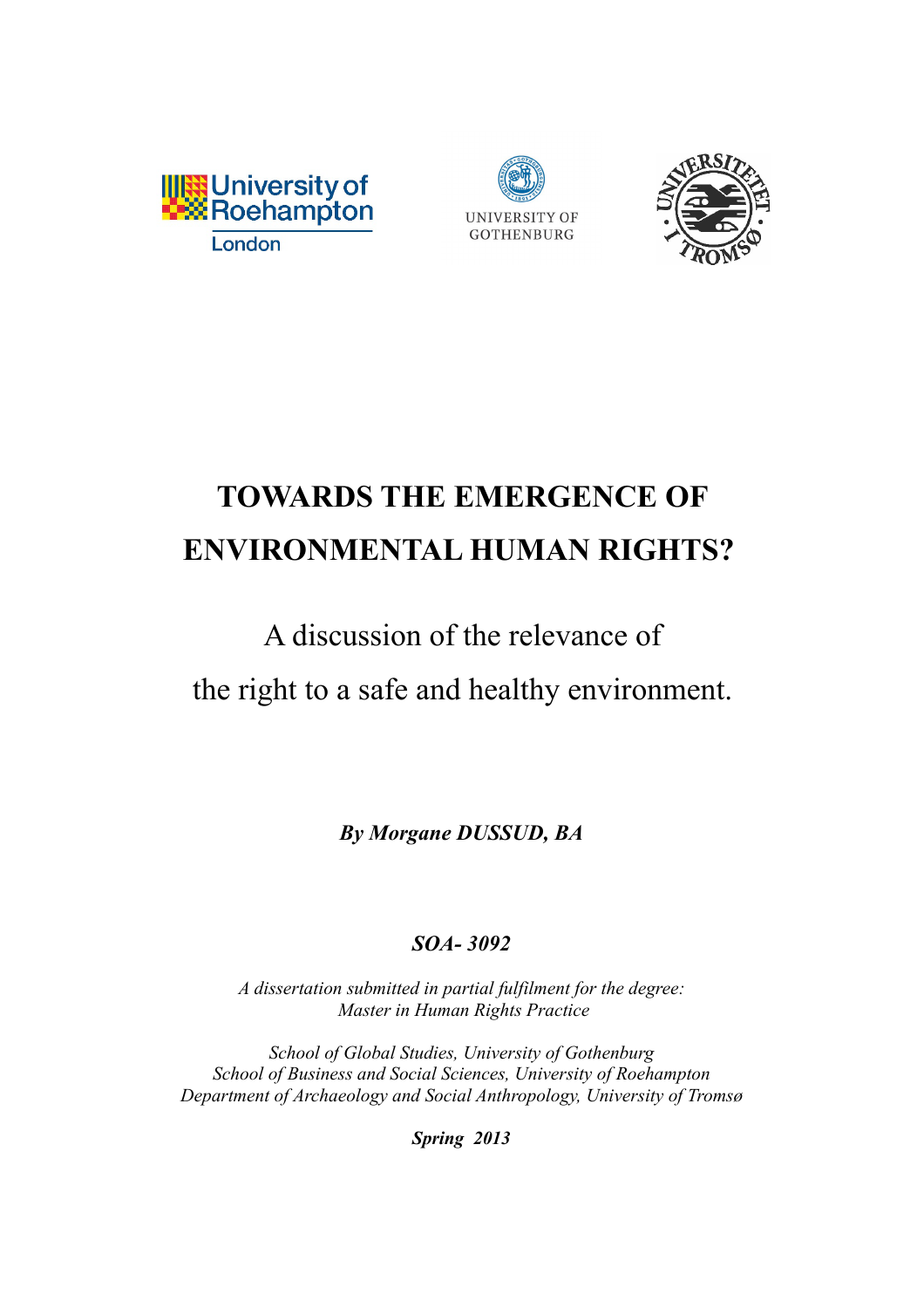





# **TOWARDS THE EMERGENCE OF ENVIRONMENTAL HUMAN RIGHTS?**

# A discussion of the relevance of the right to a safe and healthy environment.

*By Morgane DUSSUD, BA*

# *SOA- 3092*

*A dissertation submitted in partial fulfilment for the degree: Master in Human Rights Practice*

*School of Global Studies, University of Gothenburg School of Business and Social Sciences, University of Roehampton Department of Archaeology and Social Anthropology, University of Tromsø*

*Spring 2013*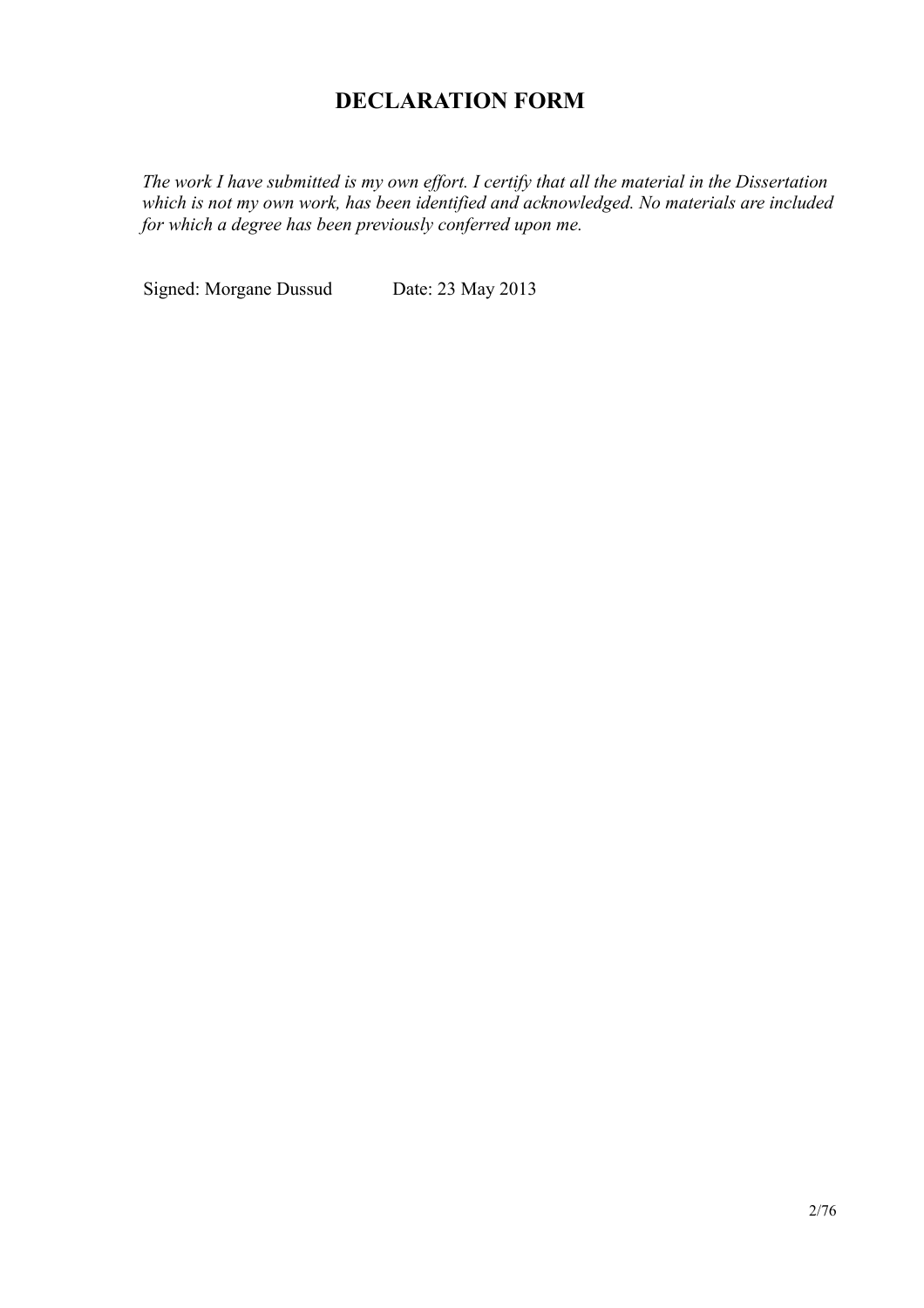# **DECLARATION FORM**

The work I have submitted is my own effort. I certify that all the material in the Dissertation which is not my own work, has been identified and acknowledged. No materials are included for which a degree has been previously conferred upon me.

Signed: Morgane Dussud Date: 23 May 2013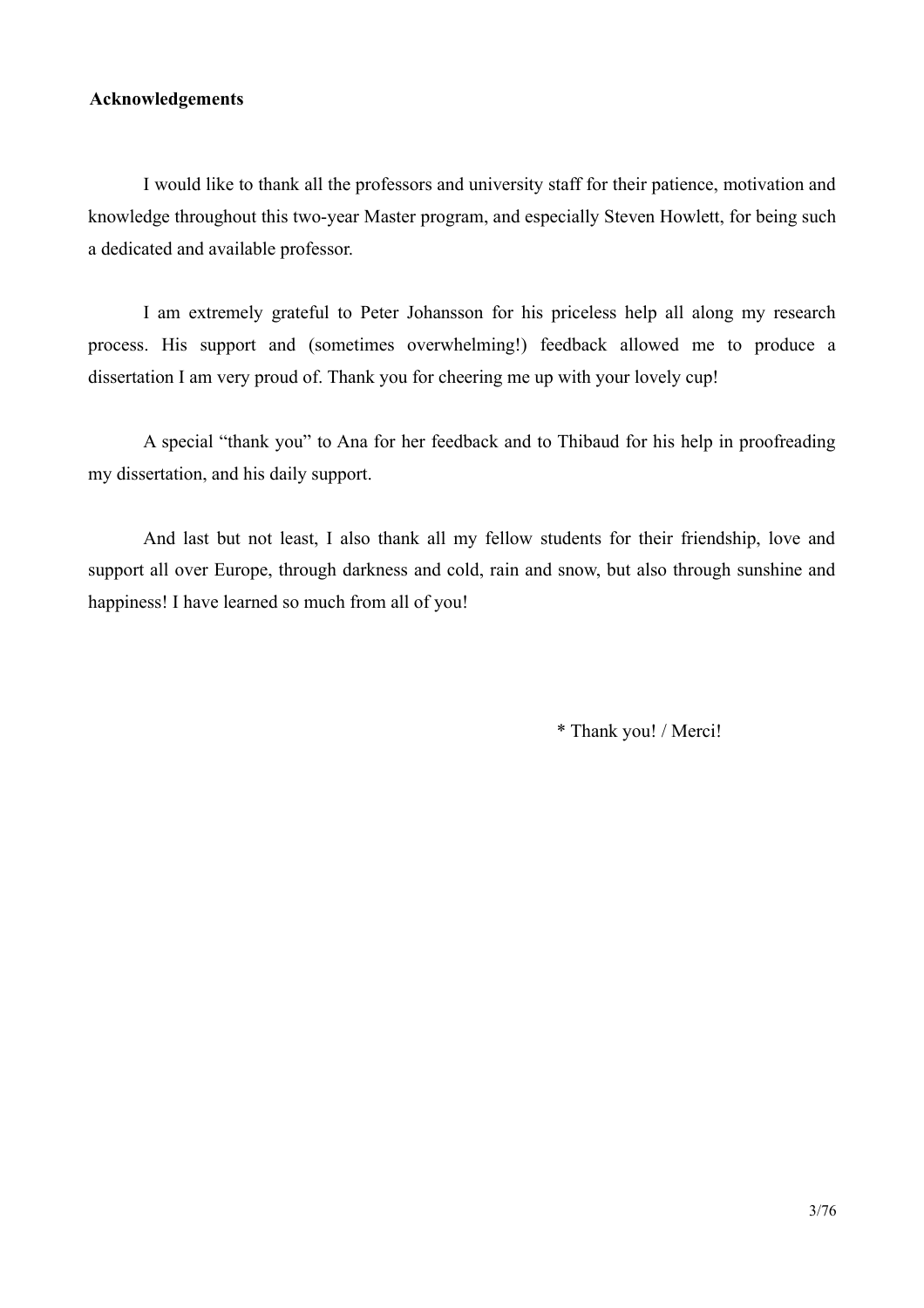#### **Acknowledgements**

I would like to thank all the professors and university staff for their patience, motivation and knowledge throughout this two-year Master program, and especially Steven Howlett, for being such a dedicated and available professor.

I am extremely grateful to Peter Johansson for his priceless help all along my research process. His support and (sometimes overwhelming!) feedback allowed me to produce a dissertation I am very proud of. Thank you for cheering me up with your lovely cup!

A special "thank you" to Ana for her feedback and to Thibaud for his help in proofreading my dissertation, and his daily support.

And last but not least, I also thank all my fellow students for their friendship, love and support all over Europe, through darkness and cold, rain and snow, but also through sunshine and happiness! I have learned so much from all of you!

\* Thank you! / Merci!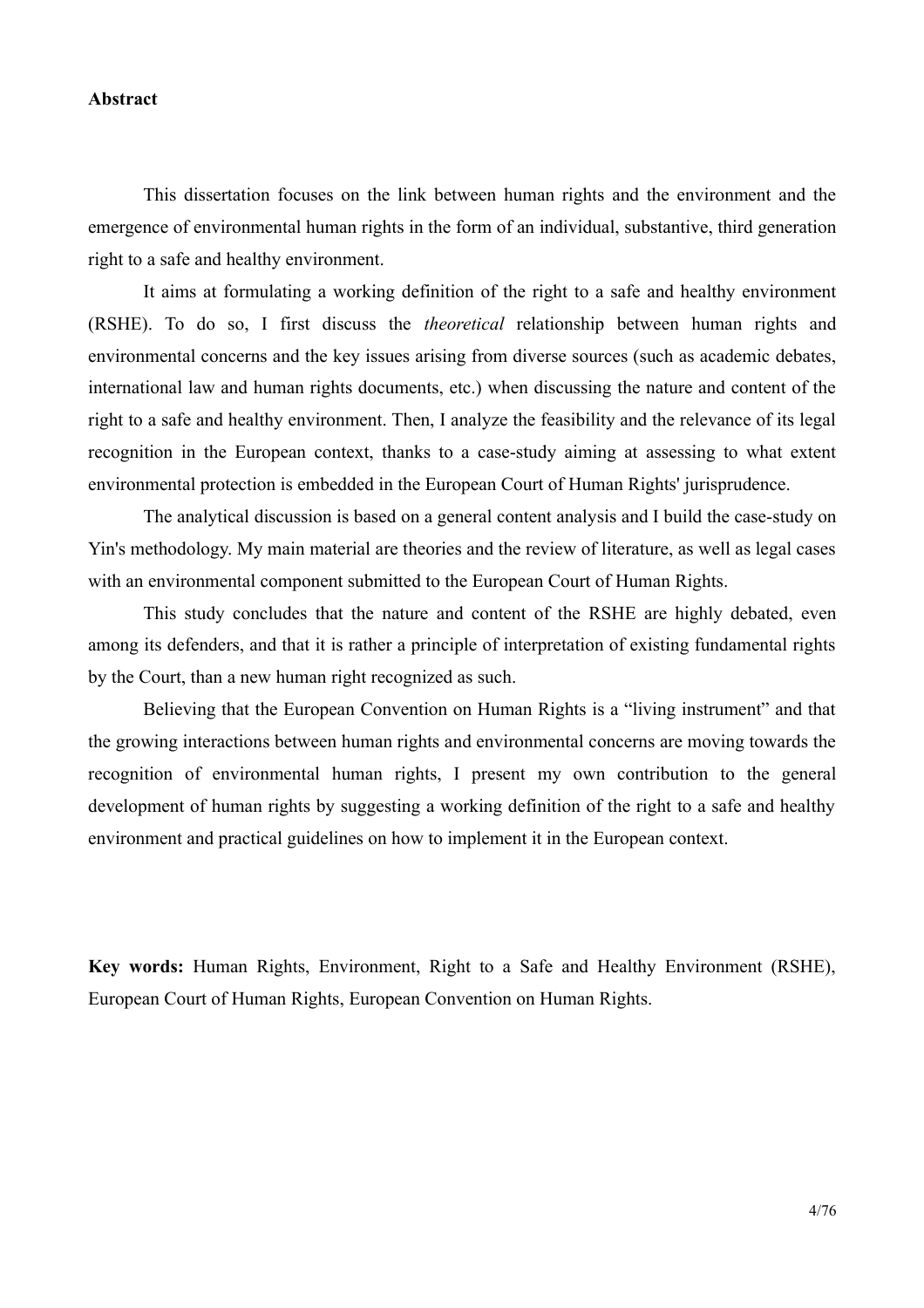#### Abstract

This dissertation focuses on the link between human rights and the environment and the emergence of environmental human rights in the form of an individual, substantive, third generation right to a safe and healthy environment.

It aims at formulating a working definition of the right to a safe and healthy environment (RSHE). To do so, I first discuss the *theoretical* relationship between human rights and environmental concerns and the key issues arising from diverse sources (such as academic debates, international law and human rights documents, etc.) when discussing the nature and content of the right to a safe and healthy environment. Then, I analyze the feasibility and the relevance of its legal recognition in the European context, thanks to a case-study aiming at assessing to what extent environmental protection is embedded in the European Court of Human Rights' jurisprudence.

The analytical discussion is based on a general content analysis and I build the case-study on Yin's methodology. My main material are theories and the review of literature, as well as legal cases with an environmental component submitted to the European Court of Human Rights.

This study concludes that the nature and content of the RSHE are highly debated, even among its defenders, and that it is rather a principle of interpretation of existing fundamental rights by the Court, than a new human right recognized as such.

Believing that the European Convention on Human Rights is a "living instrument" and that the growing interactions between human rights and environmental concerns are moving towards the recognition of environmental human rights. I present my own contribution to the general development of human rights by suggesting a working definition of the right to a safe and healthy environment and practical guidelines on how to implement it in the European context.

Key words: Human Rights, Environment, Right to a Safe and Healthy Environment (RSHE), European Court of Human Rights, European Convention on Human Rights.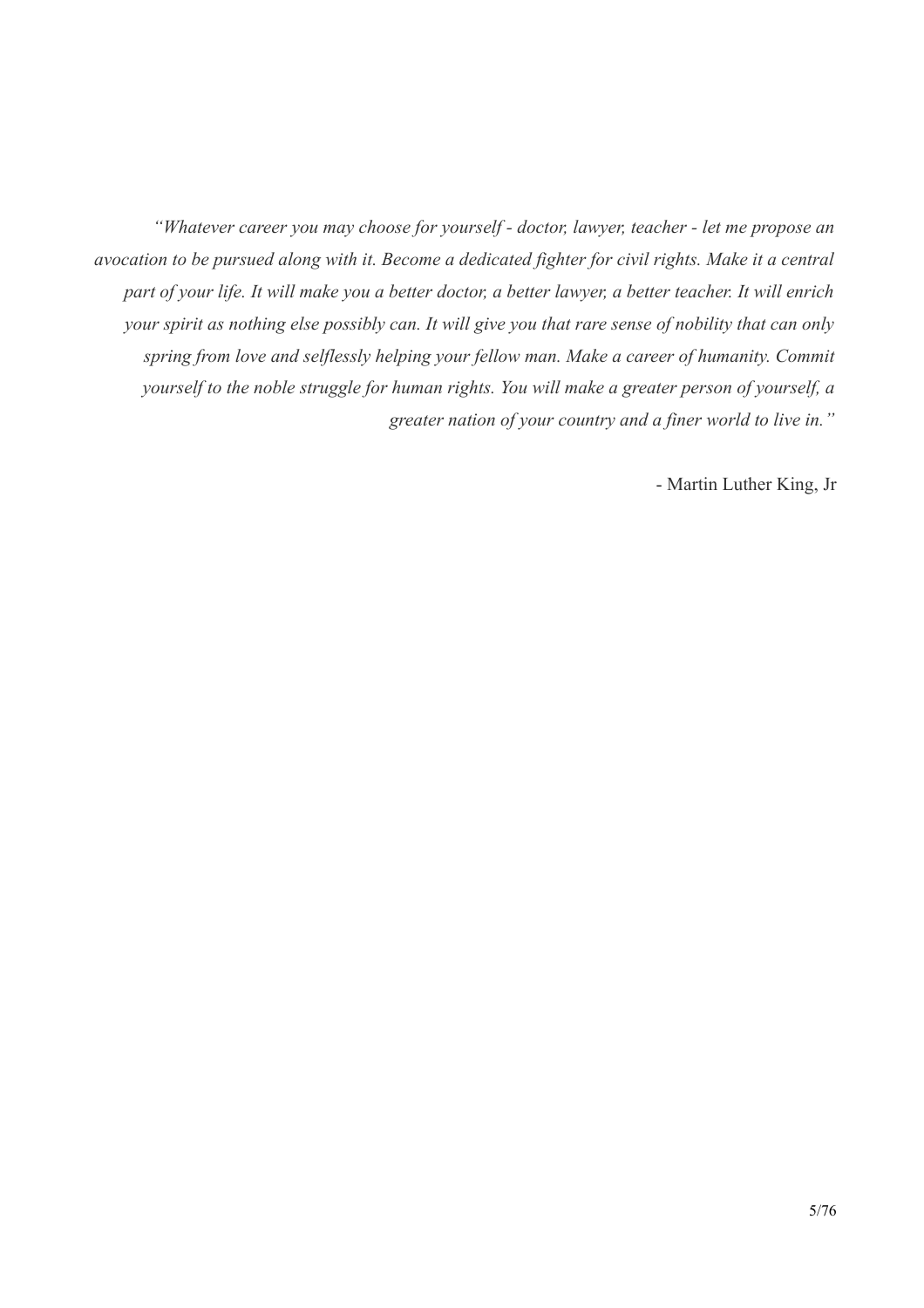"Whatever career you may choose for yourself - doctor, lawyer, teacher - let me propose an avocation to be pursued along with it. Become a dedicated fighter for civil rights. Make it a central part of your life. It will make you a better doctor, a better lawyer, a better teacher. It will enrich your spirit as nothing else possibly can. It will give you that rare sense of nobility that can only spring from love and selflessly helping your fellow man. Make a career of humanity. Commit yourself to the noble struggle for human rights. You will make a greater person of yourself, a greater nation of your country and a finer world to live in."

- Martin Luther King, Jr.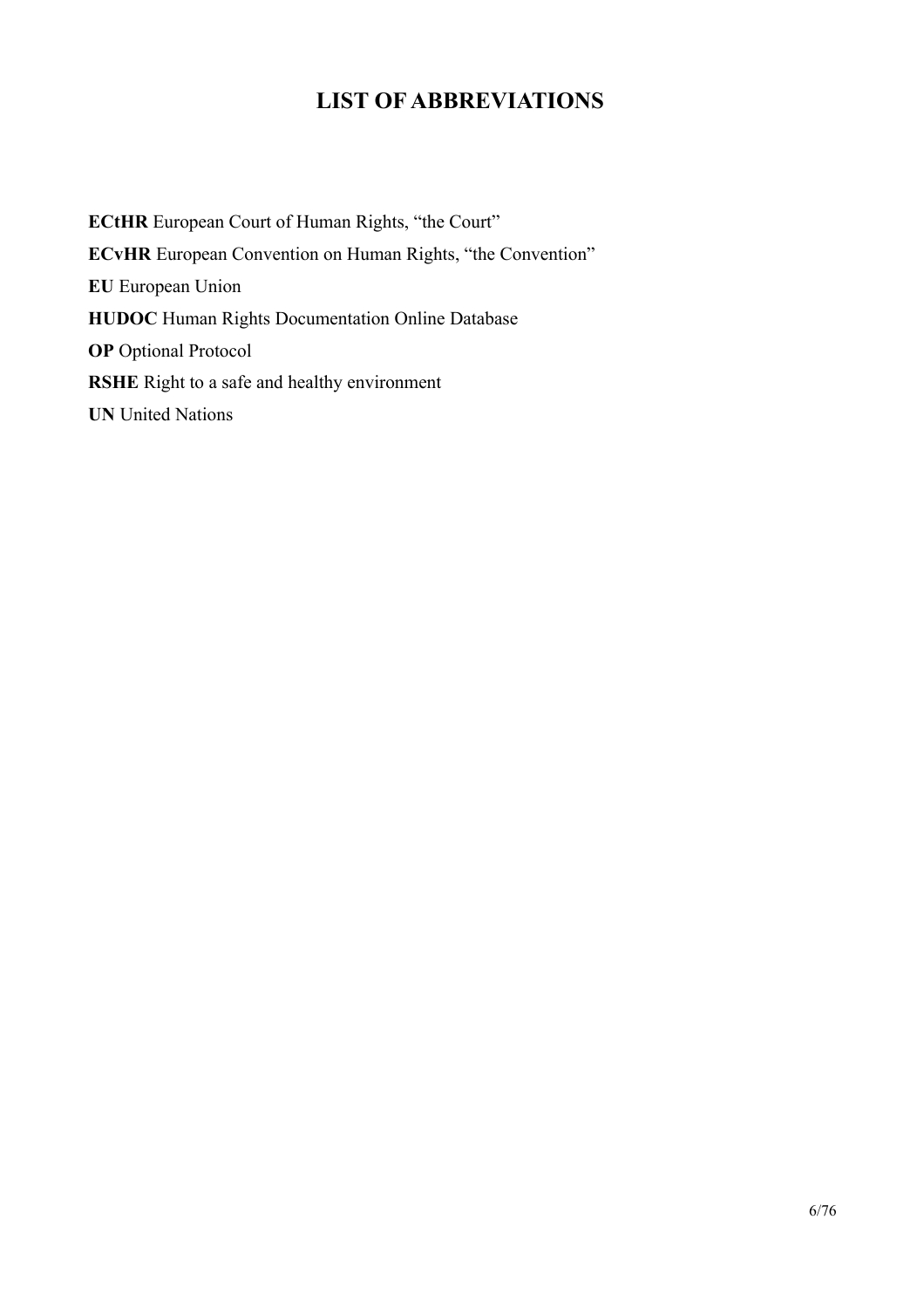# **LIST OF ABBREVIATIONS**

**ECtHR** European Court of Human Rights, "the Court" **ECvHR** European Convention on Human Rights, "the Convention" **EU** European Union **HUDOC** Human Rights Documentation Online Database **OP** Optional Protocol **RSHE** Right to a safe and healthy environment **UN** United Nations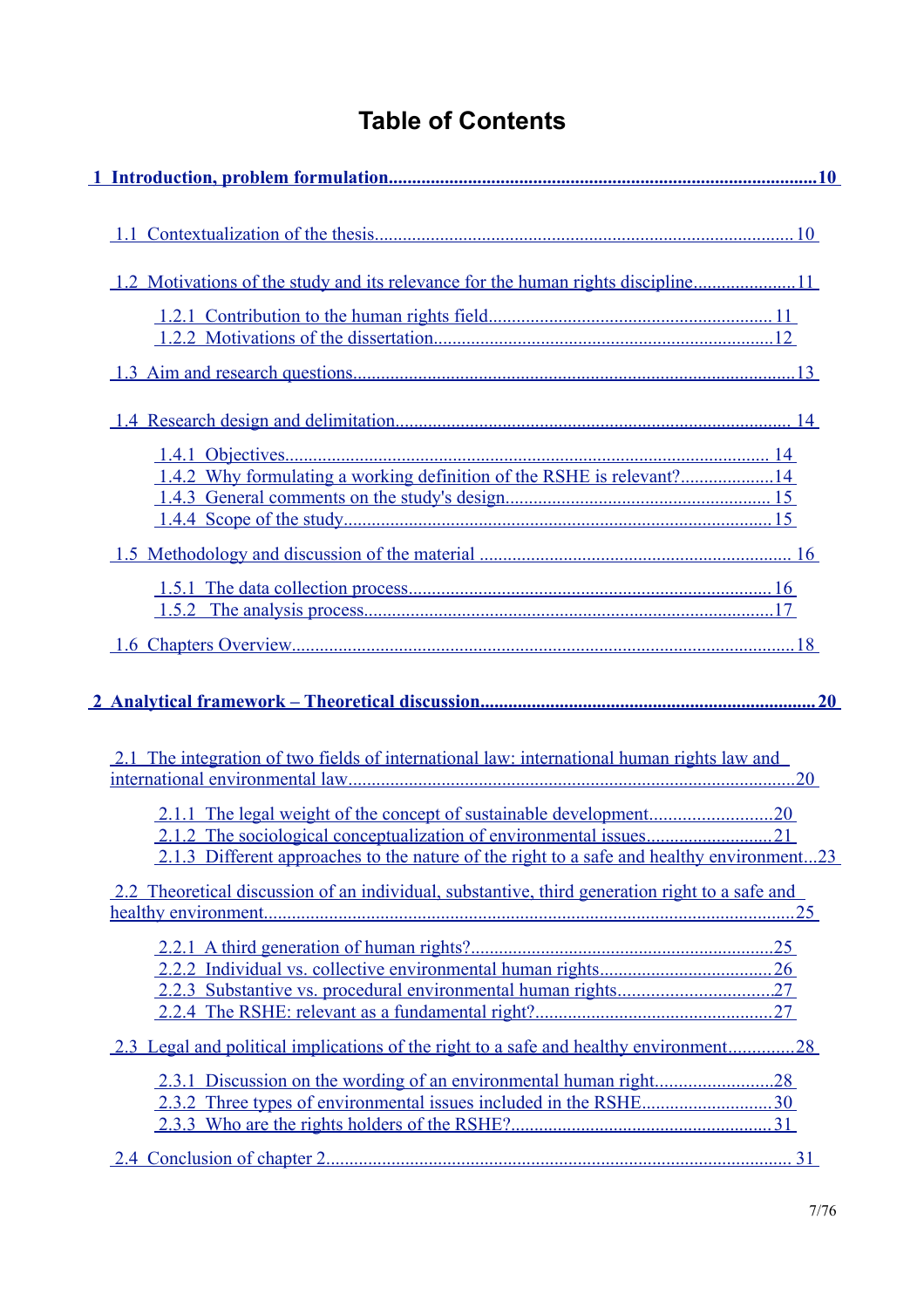# **Table of Contents**

| 2.1 The integration of two fields of international law: international human rights law and     |  |
|------------------------------------------------------------------------------------------------|--|
| 2.1.3 Different approaches to the nature of the right to a safe and healthy environment23      |  |
| 2.2 Theoretical discussion of an individual, substantive, third generation right to a safe and |  |
|                                                                                                |  |
| 2.3 Legal and political implications of the right to a safe and healthy environment28          |  |
|                                                                                                |  |
|                                                                                                |  |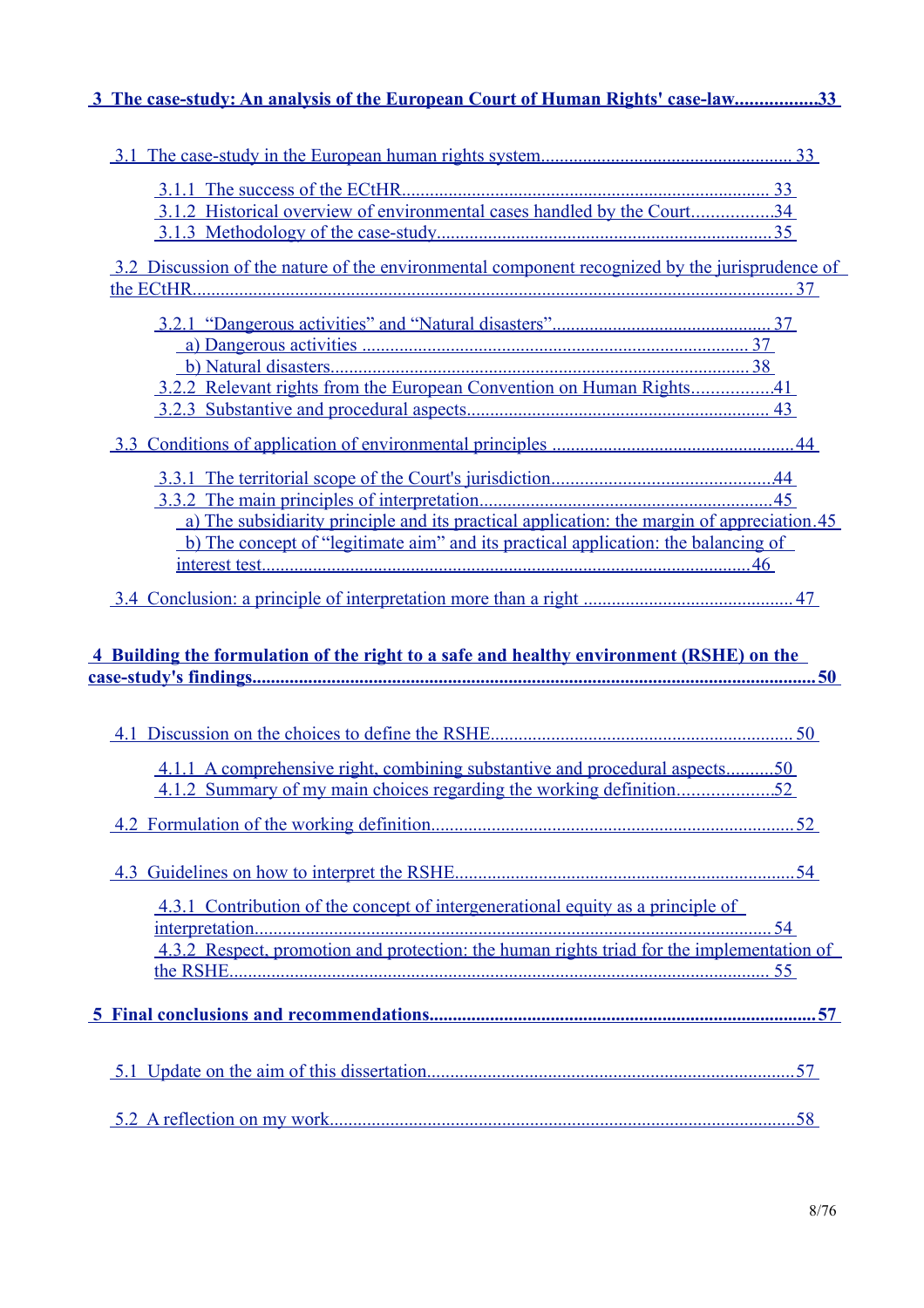# 3 The case-study: An analysis of the European Court of Human Rights' case-law................33

| 3.1.2 Historical overview of environmental cases handled by the Court34                        |  |
|------------------------------------------------------------------------------------------------|--|
|                                                                                                |  |
|                                                                                                |  |
| 3.2 Discussion of the nature of the environmental component recognized by the jurisprudence of |  |
|                                                                                                |  |
|                                                                                                |  |
|                                                                                                |  |
|                                                                                                |  |
|                                                                                                |  |
|                                                                                                |  |
|                                                                                                |  |
|                                                                                                |  |
|                                                                                                |  |
| a) The subsidiarity principle and its practical application: the margin of appreciation.45     |  |
| b) The concept of "legitimate aim" and its practical application: the balancing of             |  |
|                                                                                                |  |
|                                                                                                |  |
|                                                                                                |  |
|                                                                                                |  |
|                                                                                                |  |
| 4 Building the formulation of the right to a safe and healthy environment (RSHE) on the        |  |
|                                                                                                |  |
|                                                                                                |  |
|                                                                                                |  |
|                                                                                                |  |
| <u>4.1.1 A comprehensive right, combining substantive and procedural aspects50</u>             |  |
|                                                                                                |  |
|                                                                                                |  |
|                                                                                                |  |
|                                                                                                |  |
|                                                                                                |  |
| 4.3.1 Contribution of the concept of intergenerational equity as a principle of                |  |
|                                                                                                |  |
| 4.3.2 Respect, promotion and protection: the human rights triad for the implementation of      |  |
|                                                                                                |  |
|                                                                                                |  |
|                                                                                                |  |
|                                                                                                |  |
|                                                                                                |  |
|                                                                                                |  |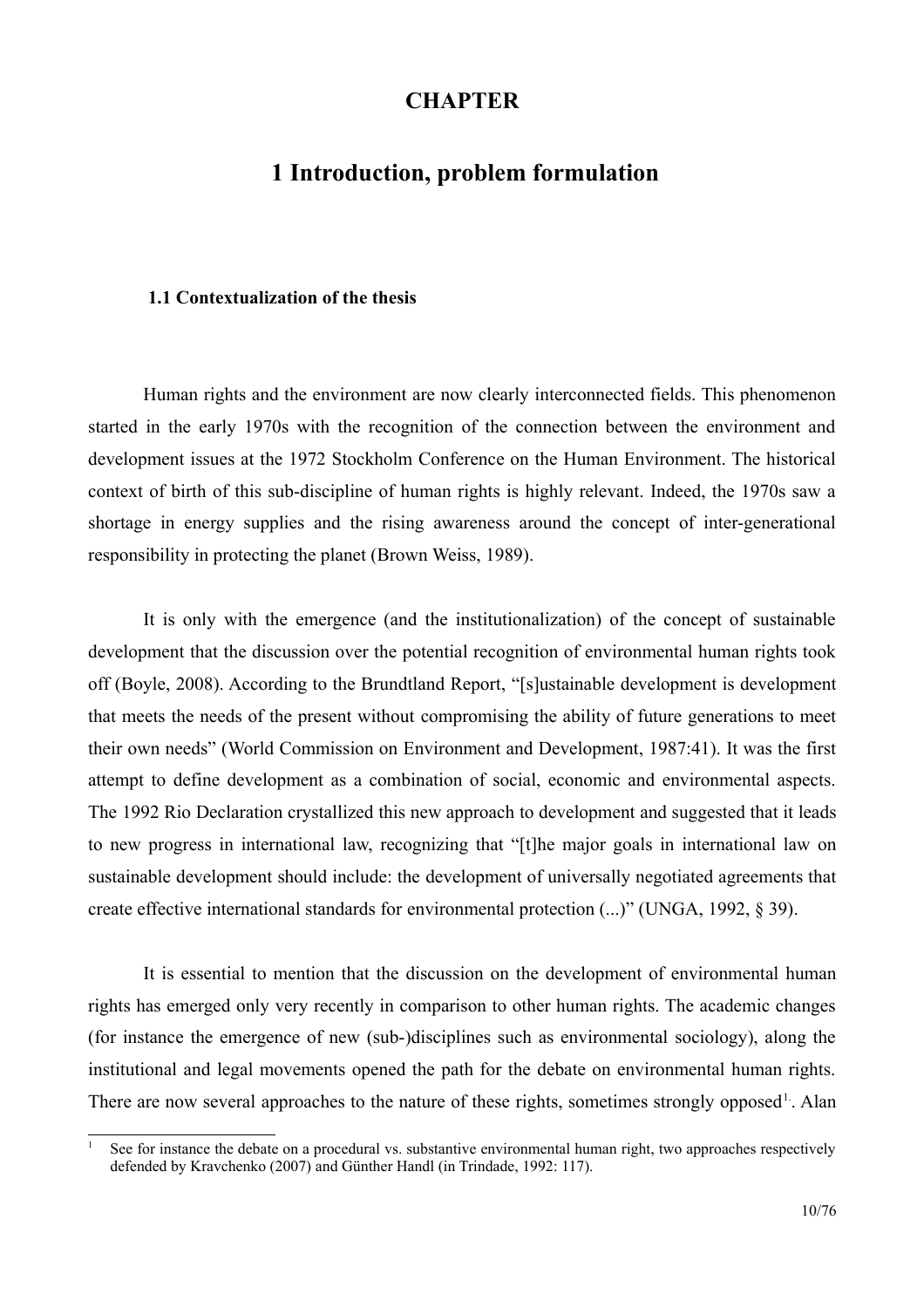## **CHAPTER**

# <span id="page-9-0"></span>1 Introduction, problem formulation

#### <span id="page-9-1"></span>1.1 Contextualization of the thesis

Human rights and the environment are now clearly interconnected fields. This phenomenon started in the early 1970s with the recognition of the connection between the environment and development issues at the 1972 Stockholm Conference on the Human Environment. The historical context of birth of this sub-discipline of human rights is highly relevant. Indeed, the 1970s saw a shortage in energy supplies and the rising awareness around the concept of inter-generational responsibility in protecting the planet (Brown Weiss, 1989).

It is only with the emergence (and the institutionalization) of the concept of sustainable development that the discussion over the potential recognition of environmental human rights took off (Boyle, 2008). According to the Brundtland Report, "[s]ustainable development is development that meets the needs of the present without compromising the ability of future generations to meet their own needs" (World Commission on Environment and Development, 1987:41). It was the first attempt to define development as a combination of social, economic and environmental aspects. The 1992 Rio Declaration crystallized this new approach to development and suggested that it leads to new progress in international law, recognizing that "[t] he major goals in international law on sustainable development should include: the development of universally negotiated agreements that create effective international standards for environmental protection (...)" (UNGA, 1992, § 39).

It is essential to mention that the discussion on the development of environmental human rights has emerged only very recently in comparison to other human rights. The academic changes (for instance the emergence of new (sub-)disciplines such as environmental sociology), along the institutional and legal movements opened the path for the debate on environmental human rights. There are now several approaches to the nature of these rights, sometimes strongly opposed<sup>1</sup>. Alan

<span id="page-9-2"></span>See for instance the debate on a procedural vs. substantive environmental human right, two approaches respectively defended by Kravchenko (2007) and Günther Handl (in Trindade, 1992; 117).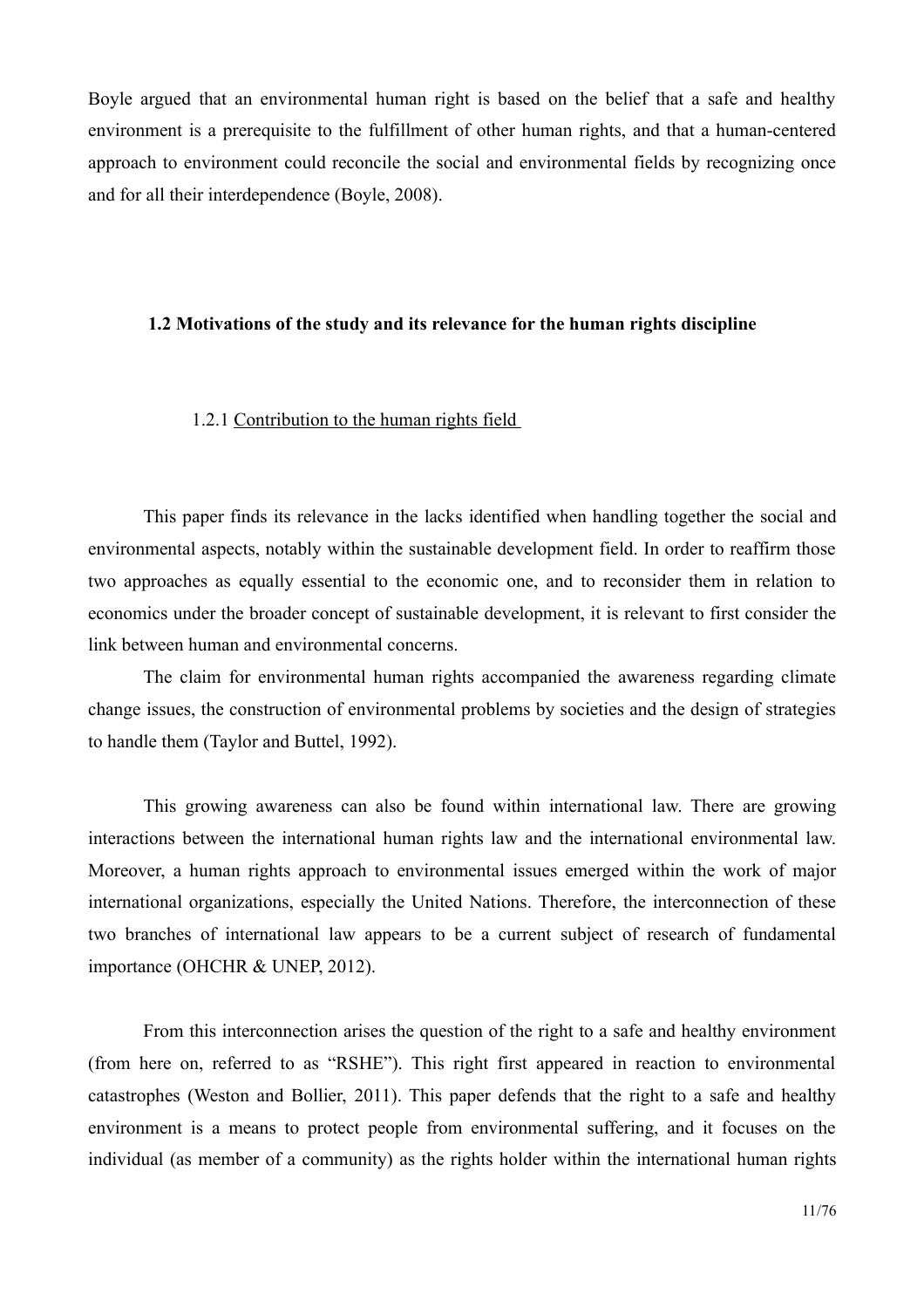Boyle argued that an environmental human right is based on the belief that a safe and healthy environment is a prerequisite to the fulfillment of other human rights, and that a human-centered approach to environment could reconcile the social and environmental fields by recognizing once and for all their interdependence (Boyle, 2008).

#### <span id="page-10-1"></span>1.2 Motivations of the study and its relevance for the human rights discipline

#### <span id="page-10-0"></span>1.2.1 Contribution to the human rights field

This paper finds its relevance in the lacks identified when handling together the social and environmental aspects, notably within the sustainable development field. In order to reaffirm those two approaches as equally essential to the economic one, and to reconsider them in relation to economics under the broader concept of sustainable development, it is relevant to first consider the link between human and environmental concerns.

The claim for environmental human rights accompanied the awareness regarding climate change issues, the construction of environmental problems by societies and the design of strategies to handle them (Taylor and Buttel, 1992).

This growing awareness can also be found within international law. There are growing interactions between the international human rights law and the international environmental law. Moreover, a human rights approach to environmental issues emerged within the work of major international organizations, especially the United Nations. Therefore, the interconnection of these two branches of international law appears to be a current subject of research of fundamental importance (OHCHR & UNEP, 2012).

From this interconnection arises the question of the right to a safe and healthy environment (from here on, referred to as "RSHE"). This right first appeared in reaction to environmental catastrophes (Weston and Bollier, 2011). This paper defends that the right to a safe and healthy environment is a means to protect people from environmental suffering, and it focuses on the individual (as member of a community) as the rights holder within the international human rights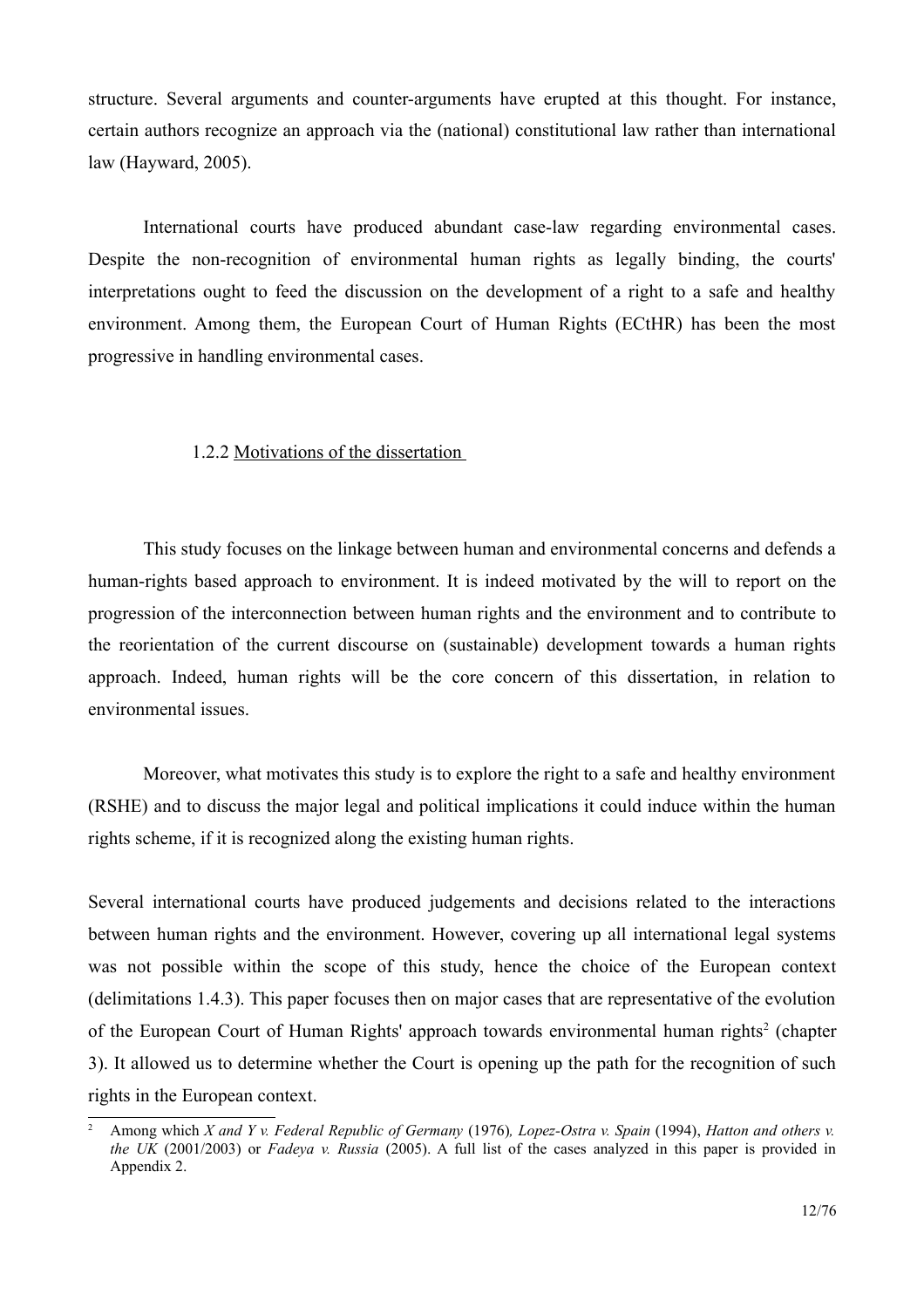structure. Several arguments and counter-arguments have erupted at this thought. For instance, certain authors recognize an approach via the (national) constitutional law rather than international law (Hayward, 2005).

International courts have produced abundant case-law regarding environmental cases. Despite the non-recognition of environmental human rights as legally binding, the courts' interpretations ought to feed the discussion on the development of a right to a safe and healthy environment. Among them, the European Court of Human Rights (ECtHR) has been the most progressive in handling environmental cases.

#### <span id="page-11-0"></span>1.2.2 Motivations of the dissertation

This study focuses on the linkage between human and environmental concerns and defends a human-rights based approach to environment. It is indeed motivated by the will to report on the progression of the interconnection between human rights and the environment and to contribute to the reorientation of the current discourse on (sustainable) development towards a human rights approach. Indeed, human rights will be the core concern of this dissertation, in relation to environmental issues

Moreover, what motivates this study is to explore the right to a safe and healthy environment (RSHE) and to discuss the major legal and political implications it could induce within the human rights scheme, if it is recognized along the existing human rights.

Several international courts have produced judgements and decisions related to the interactions between human rights and the environment. However, covering up all international legal systems was not possible within the scope of this study, hence the choice of the European context (delimitations 1.4.3). This paper focuses then on major cases that are representative of the evolution of the European Court of Human Rights' approach towards environmental human rights<sup>2</sup> (chapter 3). It allowed us to determine whether the Court is opening up the path for the recognition of such rights in the European context.

<span id="page-11-1"></span>Among which X and Y v. Federal Republic of Germany (1976), Lopez-Ostra v. Spain (1994), Hatton and others v. the UK (2001/2003) or Fadeva v. Russia (2005). A full list of the cases analyzed in this paper is provided in Appendix 2.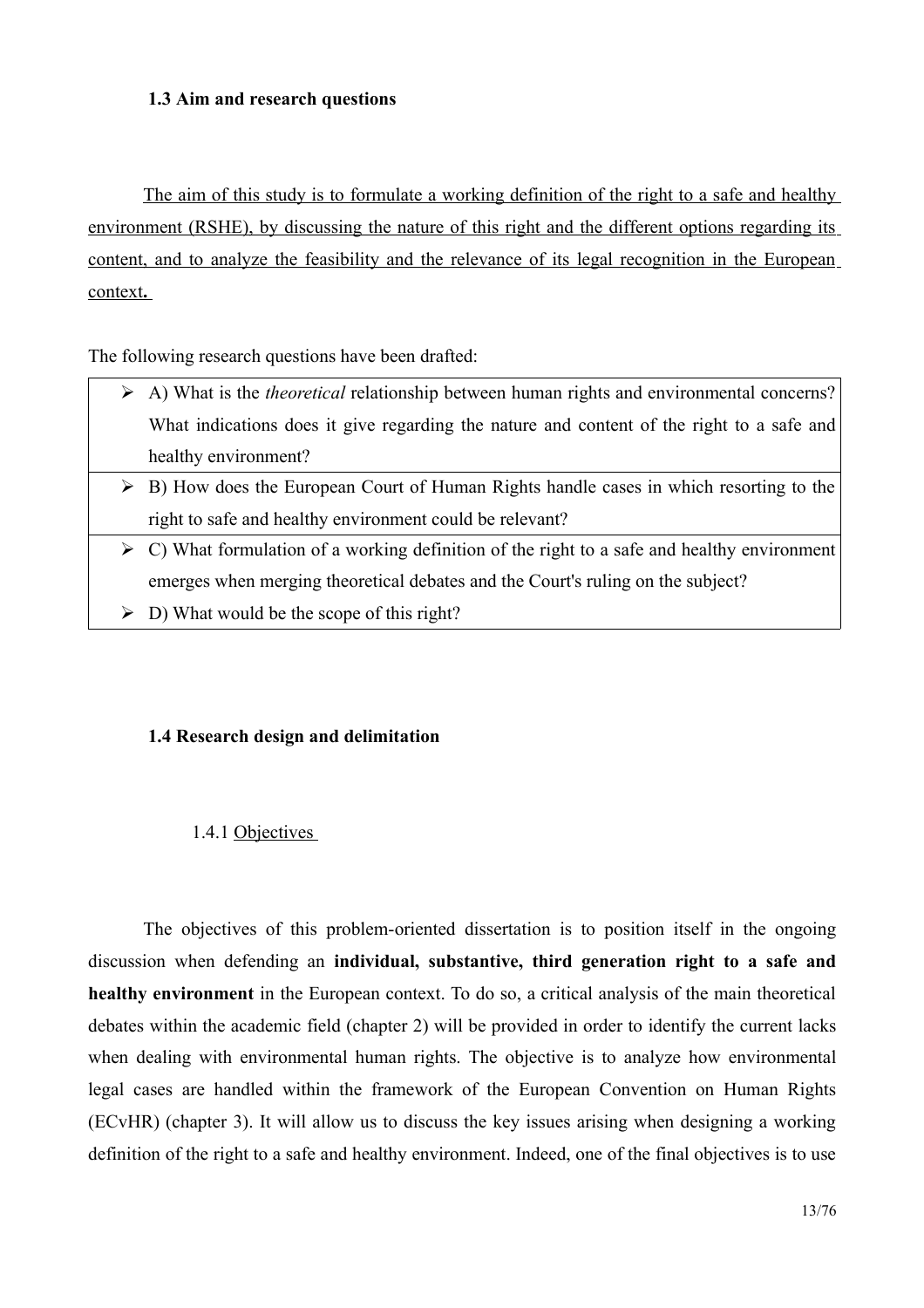### <span id="page-12-2"></span>1.3 Aim and research questions

The aim of this study is to formulate a working definition of the right to a safe and healthy environment (RSHE), by discussing the nature of this right and the different options regarding its content, and to analyze the feasibility and the relevance of its legal recognition in the European context.

The following research questions have been drafted:

- $\triangleright$  A) What is the *theoretical* relationship between human rights and environmental concerns? What indications does it give regarding the nature and content of the right to a safe and healthy environment?
- $\triangleright$  B) How does the European Court of Human Rights handle cases in which resorting to the right to safe and healthy environment could be relevant?
- $\triangleright$  C) What formulation of a working definition of the right to a safe and healthy environment emerges when merging theoretical debates and the Court's ruling on the subject?
- $\triangleright$  D) What would be the scope of this right?

### <span id="page-12-1"></span>1.4 Research design and delimitation

#### <span id="page-12-0"></span>1.4.1 Objectives

The objectives of this problem-oriented dissertation is to position itself in the ongoing discussion when defending an individual, substantive, third generation right to a safe and healthy environment in the European context. To do so, a critical analysis of the main theoretical debates within the academic field (chapter 2) will be provided in order to identify the current lacks when dealing with environmental human rights. The objective is to analyze how environmental legal cases are handled within the framework of the European Convention on Human Rights (ECvHR) (chapter 3). It will allow us to discuss the key issues arising when designing a working definition of the right to a safe and healthy environment. Indeed, one of the final objectives is to use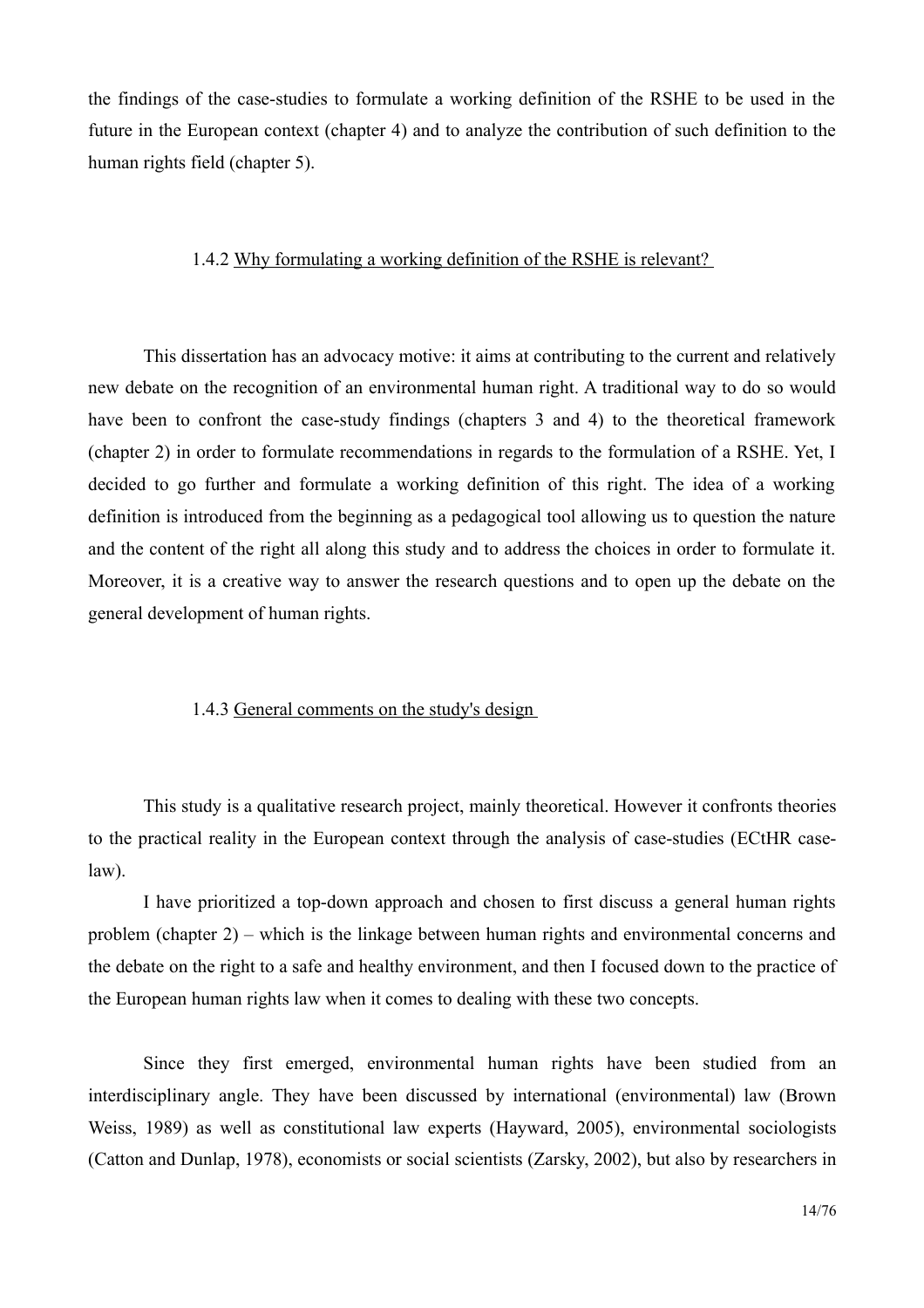the findings of the case-studies to formulate a working definition of the RSHE to be used in the future in the European context (chapter 4) and to analyze the contribution of such definition to the human rights field (chapter 5).

#### <span id="page-13-1"></span>1.4.2 Why formulating a working definition of the RSHE is relevant?

This dissertation has an advocacy motive: it aims at contributing to the current and relatively new debate on the recognition of an environmental human right. A traditional way to do so would have been to confront the case-study findings (chapters 3 and 4) to the theoretical framework (chapter 2) in order to formulate recommendations in regards to the formulation of a RSHE. Yet, I decided to go further and formulate a working definition of this right. The idea of a working definition is introduced from the beginning as a pedagogical tool allowing us to question the nature and the content of the right all along this study and to address the choices in order to formulate it. Moreover, it is a creative way to answer the research questions and to open up the debate on the general development of human rights.

#### <span id="page-13-0"></span>1.4.3 General comments on the study's design

This study is a qualitative research project, mainly theoretical. However it confronts theories to the practical reality in the European context through the analysis of case-studies (ECtHR case $law)$ .

I have prioritized a top-down approach and chosen to first discuss a general human rights problem (chapter  $2$ ) – which is the linkage between human rights and environmental concerns and the debate on the right to a safe and healthy environment, and then I focused down to the practice of the European human rights law when it comes to dealing with these two concepts.

Since they first emerged, environmental human rights have been studied from an interdisciplinary angle. They have been discussed by international (environmental) law (Brown Weiss, 1989) as well as constitutional law experts (Hayward, 2005), environmental sociologists (Catton and Dunlap, 1978), economists or social scientists (Zarsky, 2002), but also by researchers in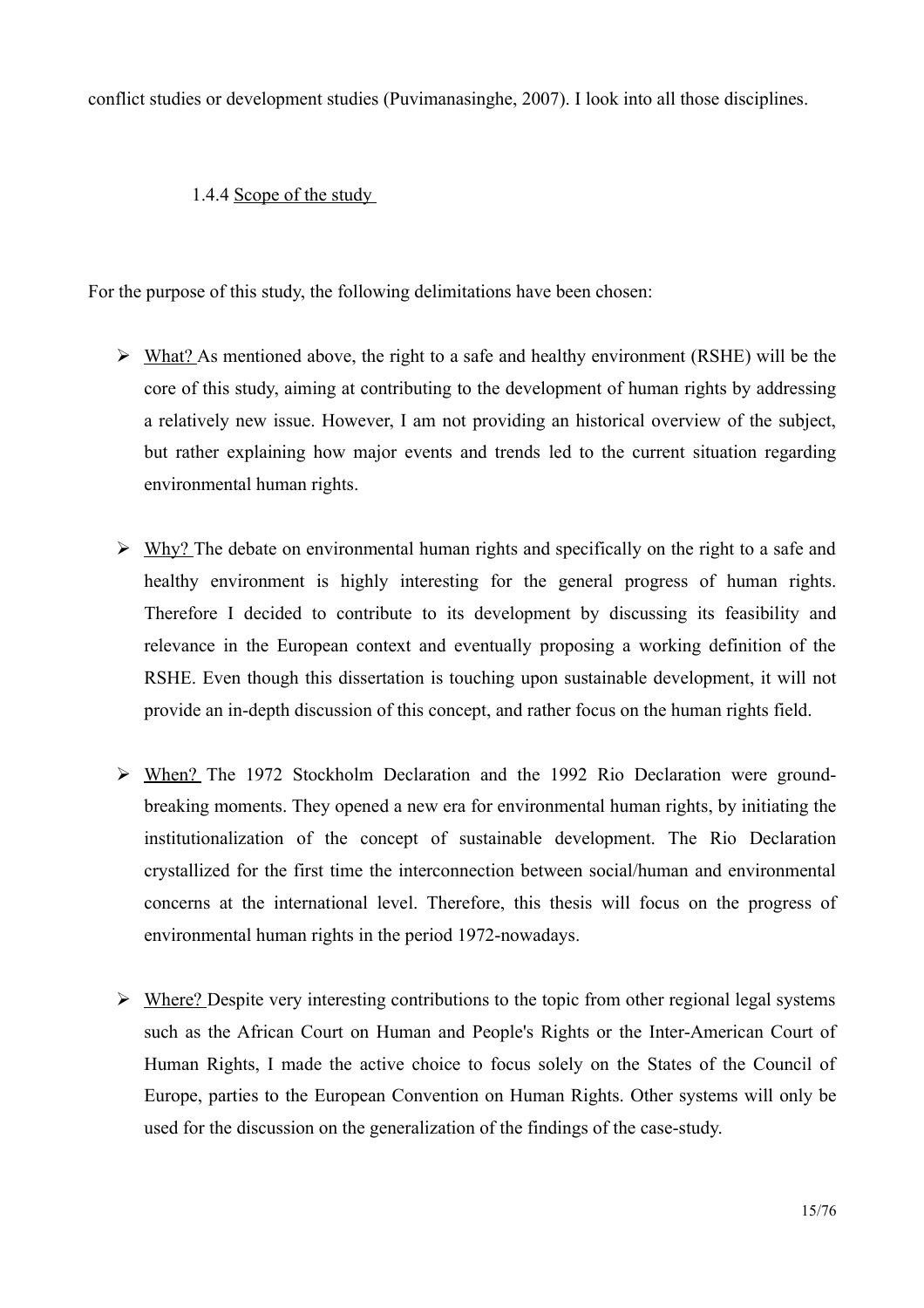conflict studies or development studies (Puvimanasinghe, 2007). I look into all those disciplines.

## <span id="page-14-0"></span>1.4.4 Scope of the study

For the purpose of this study, the following delimitations have been chosen:

- $\triangleright$  What? As mentioned above, the right to a safe and healthy environment (RSHE) will be the core of this study, aiming at contributing to the development of human rights by addressing a relatively new issue. However, I am not providing an historical overview of the subject, but rather explaining how major events and trends led to the current situation regarding environmental human rights.
- $\triangleright$  Why? The debate on environmental human rights and specifically on the right to a safe and healthy environment is highly interesting for the general progress of human rights. Therefore I decided to contribute to its development by discussing its feasibility and relevance in the European context and eventually proposing a working definition of the RSHE. Even though this dissertation is touching upon sustainable development, it will not provide an in-depth discussion of this concept, and rather focus on the human rights field.
- $\triangleright$  When? The 1972 Stockholm Declaration and the 1992 Rio Declaration were groundbreaking moments. They opened a new era for environmental human rights, by initiating the institutionalization of the concept of sustainable development. The Rio Declaration crystallized for the first time the interconnection between social/human and environmental concerns at the international level. Therefore, this thesis will focus on the progress of environmental human rights in the period 1972-nowadays.
- $\triangleright$  Where? Despite very interesting contributions to the topic from other regional legal systems such as the African Court on Human and People's Rights or the Inter-American Court of Human Rights, I made the active choice to focus solely on the States of the Council of Europe, parties to the European Convention on Human Rights. Other systems will only be used for the discussion on the generalization of the findings of the case-study.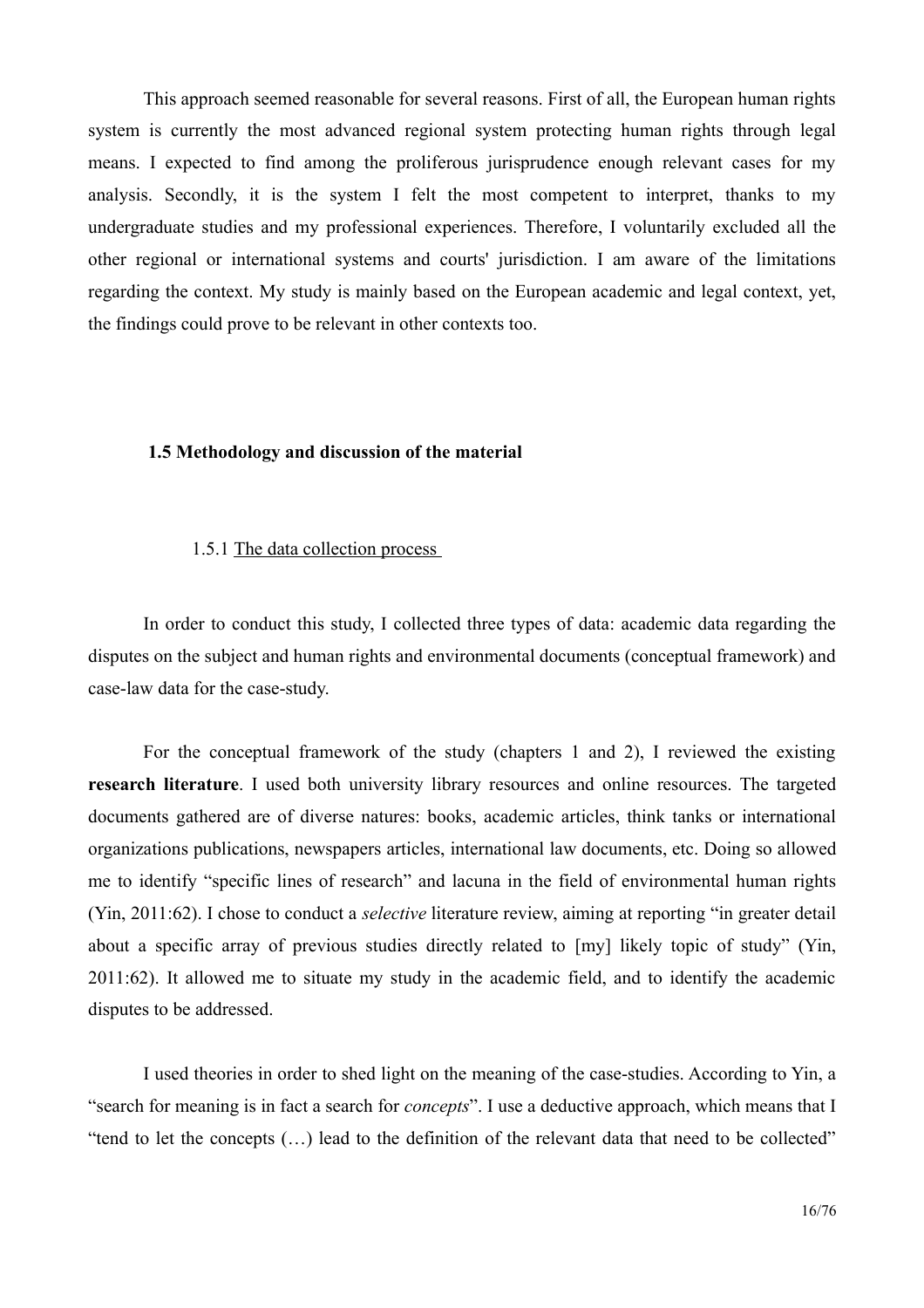This approach seemed reasonable for several reasons. First of all, the European human rights system is currently the most advanced regional system protecting human rights through legal means. I expected to find among the proliferous jurisprudence enough relevant cases for my analysis. Secondly, it is the system I felt the most competent to interpret, thanks to my undergraduate studies and my professional experiences. Therefore, I voluntarily excluded all the other regional or international systems and courts' jurisdiction. I am aware of the limitations regarding the context. My study is mainly based on the European academic and legal context, yet, the findings could prove to be relevant in other contexts too.

#### <span id="page-15-1"></span>1.5 Methodology and discussion of the material

#### <span id="page-15-0"></span>1.5.1 The data collection process

In order to conduct this study, I collected three types of data: academic data regarding the disputes on the subject and human rights and environmental documents (conceptual framework) and case-law data for the case-study.

For the conceptual framework of the study (chapters 1 and 2), I reviewed the existing research literature. I used both university library resources and online resources. The targeted documents gathered are of diverse natures: books, academic articles, think tanks or international organizations publications, newspapers articles, international law documents, etc. Doing so allowed me to identify "specific lines of research" and lacuna in the field of environmental human rights (Yin, 2011:62). I chose to conduct a *selective* literature review, aiming at reporting "in greater detail" about a specific array of previous studies directly related to [my] likely topic of study" (Yin, 2011:62). It allowed me to situate my study in the academic field, and to identify the academic disputes to be addressed.

I used theories in order to shed light on the meaning of the case-studies. According to Yin, a "search for meaning is in fact a search for *concepts*". I use a deductive approach, which means that I "tend to let the concepts (...) lead to the definition of the relevant data that need to be collected"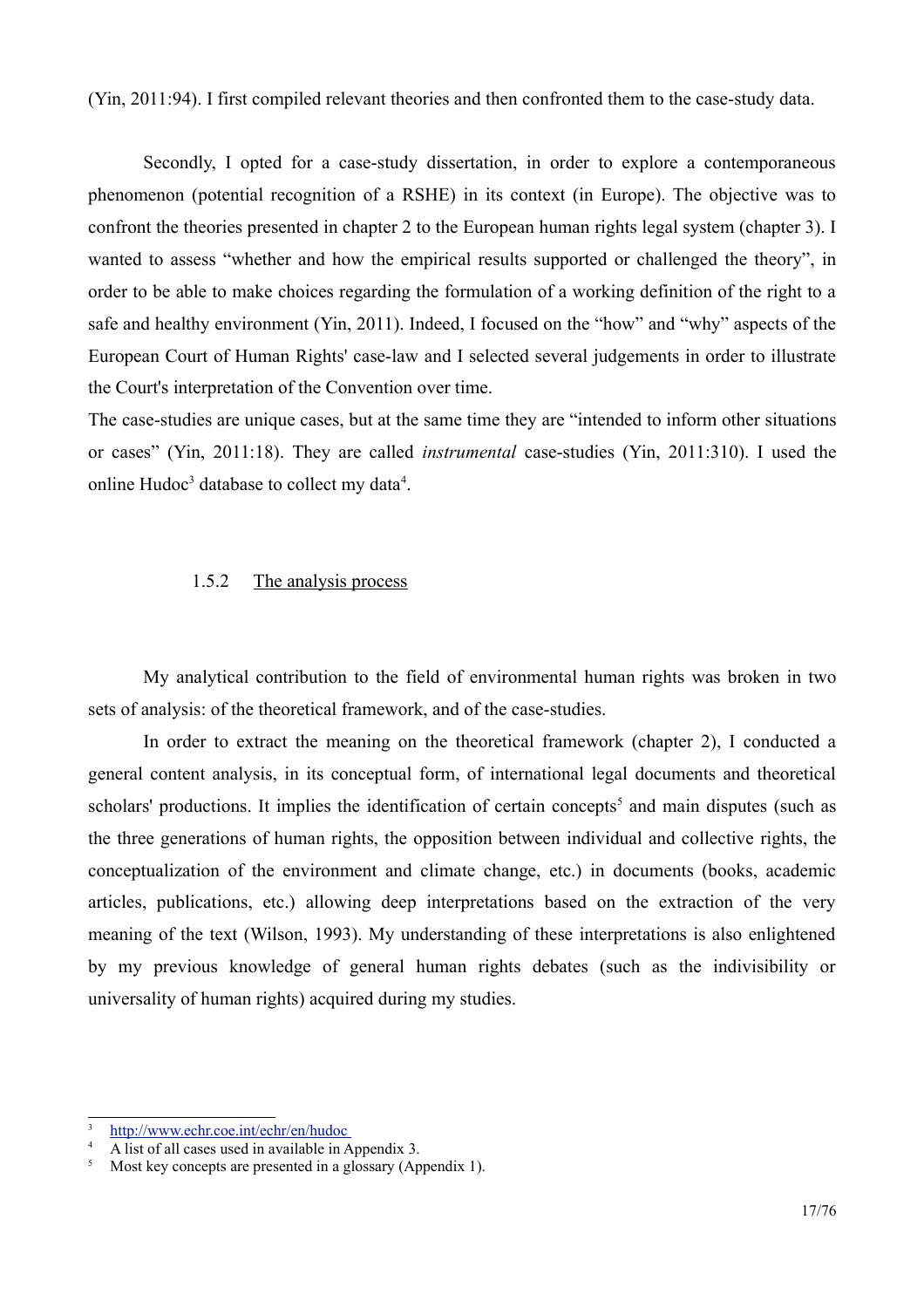(Yin, 2011:94). I first compiled relevant theories and then confronted them to the case-study data.

Secondly, I opted for a case-study dissertation, in order to explore a contemporaneous phenomenon (potential recognition of a RSHE) in its context (in Europe). The objective was to confront the theories presented in chapter 2 to the European human rights legal system (chapter 3). I wanted to assess "whether and how the empirical results supported or challenged the theory", in order to be able to make choices regarding the formulation of a working definition of the right to a safe and healthy environment (Yin, 2011). Indeed, I focused on the "how" and "why" aspects of the European Court of Human Rights' case-law and I selected several judgements in order to illustrate the Court's interpretation of the Convention over time.

The case-studies are unique cases, but at the same time they are "intended to inform other situations" or cases" (Yin, 2011:18). They are called *instrumental* case-studies (Yin, 2011:310). I used the online Hudoc<sup>3</sup> database to collect my data<sup>4</sup>.

#### <span id="page-16-0"></span>1.5.2 The analysis process

My analytical contribution to the field of environmental human rights was broken in two sets of analysis: of the theoretical framework, and of the case-studies.

In order to extract the meaning on the theoretical framework (chapter 2), I conducted a general content analysis, in its conceptual form, of international legal documents and theoretical scholars' productions. It implies the identification of certain concepts<sup>5</sup> and main disputes (such as the three generations of human rights, the opposition between individual and collective rights, the conceptualization of the environment and climate change, etc.) in documents (books, academic articles, publications, etc.) allowing deep interpretations based on the extraction of the very meaning of the text (Wilson, 1993). My understanding of these interpretations is also enlightened by my previous knowledge of general human rights debates (such as the indivisibility or universality of human rights) acquired during my studies.

<span id="page-16-2"></span>http://www.echr.coe.int/echr/en/hudoc

<span id="page-16-3"></span>A list of all cases used in available in Appendix 3.

<span id="page-16-1"></span>Most key concepts are presented in a glossary (Appendix 1).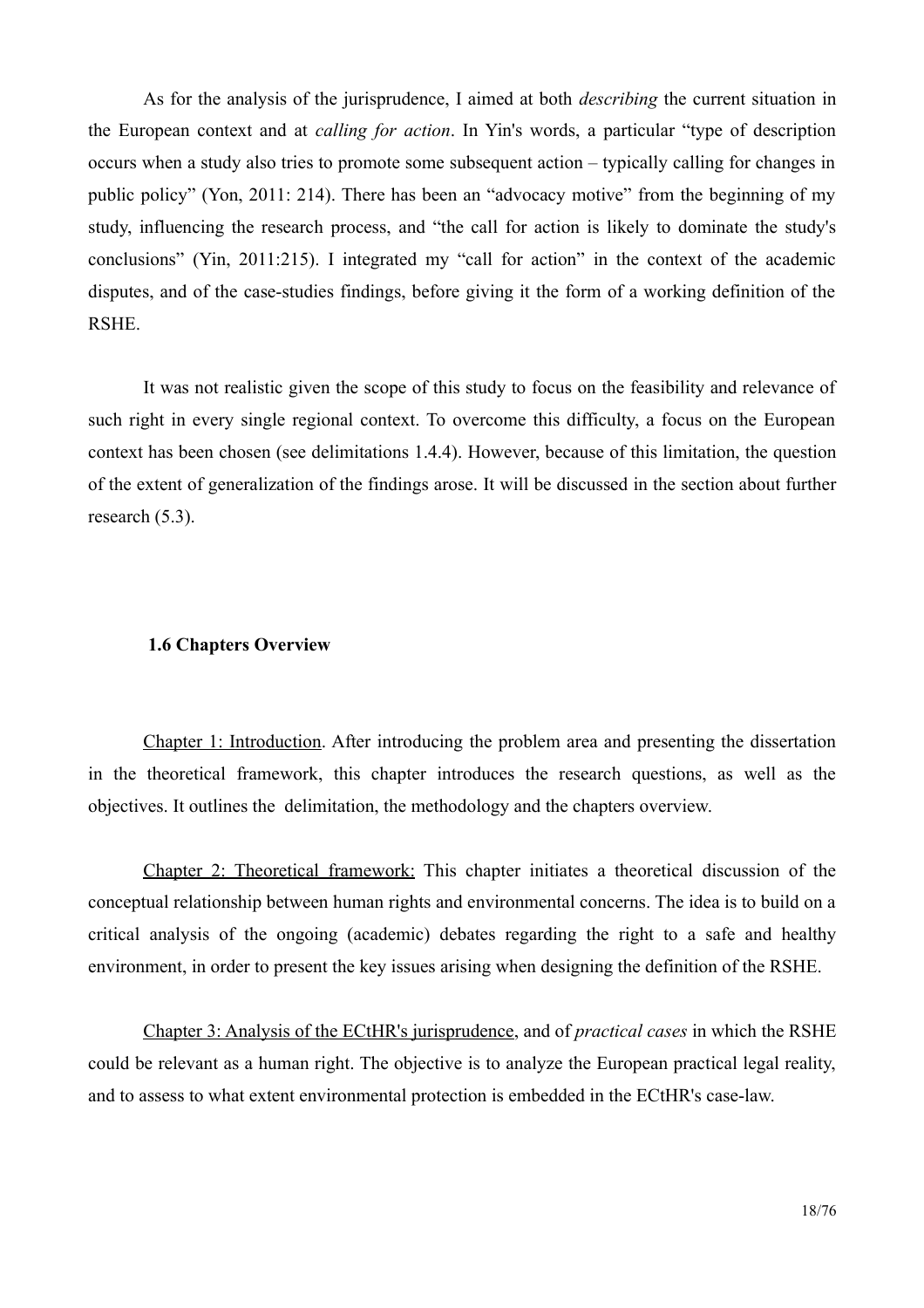As for the analysis of the jurisprudence, I aimed at both *describing* the current situation in the European context and at *calling for action*. In Yin's words, a particular "type of description" occurs when a study also tries to promote some subsequent action – typically calling for changes in public policy" (Yon, 2011: 214). There has been an "advocacy motive" from the beginning of my study, influencing the research process, and "the call for action is likely to dominate the study's conclusions" (Yin, 2011:215). I integrated my "call for action" in the context of the academic disputes, and of the case-studies findings, before giving it the form of a working definition of the RSHE.

It was not realistic given the scope of this study to focus on the feasibility and relevance of such right in every single regional context. To overcome this difficulty, a focus on the European context has been chosen (see delimitations 1.4.4). However, because of this limitation, the question of the extent of generalization of the findings arose. It will be discussed in the section about further research  $(5.3)$ .

#### <span id="page-17-0"></span>**1.6 Chapters Overview**

Chapter 1: Introduction. After introducing the problem area and presenting the dissertation in the theoretical framework, this chapter introduces the research questions, as well as the objectives. It outlines the delimitation, the methodology and the chapters overview.

Chapter 2: Theoretical framework: This chapter initiates a theoretical discussion of the conceptual relationship between human rights and environmental concerns. The idea is to build on a critical analysis of the ongoing (academic) debates regarding the right to a safe and healthy environment, in order to present the key issues arising when designing the definition of the RSHE.

Chapter 3: Analysis of the ECtHR's jurisprudence, and of *practical cases* in which the RSHE could be relevant as a human right. The objective is to analyze the European practical legal reality, and to assess to what extent environmental protection is embedded in the ECtHR's case-law.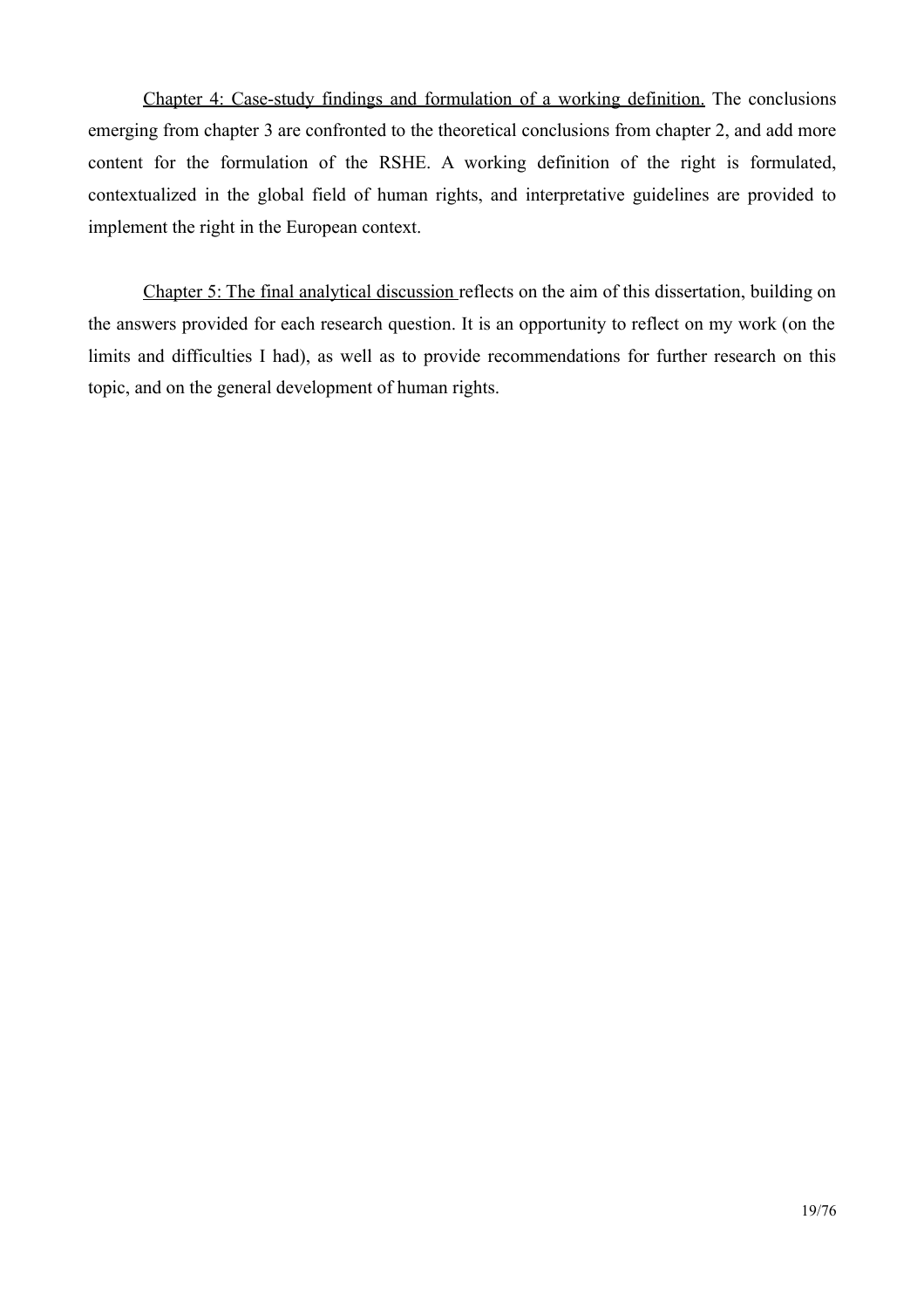Chapter 4: Case-study findings and formulation of a working definition. The conclusions emerging from chapter 3 are confronted to the theoretical conclusions from chapter 2, and add more content for the formulation of the RSHE. A working definition of the right is formulated, contextualized in the global field of human rights, and interpretative guidelines are provided to implement the right in the European context.

Chapter 5: The final analytical discussion reflects on the aim of this dissertation, building on the answers provided for each research question. It is an opportunity to reflect on my work (on the limits and difficulties I had), as well as to provide recommendations for further research on this topic, and on the general development of human rights.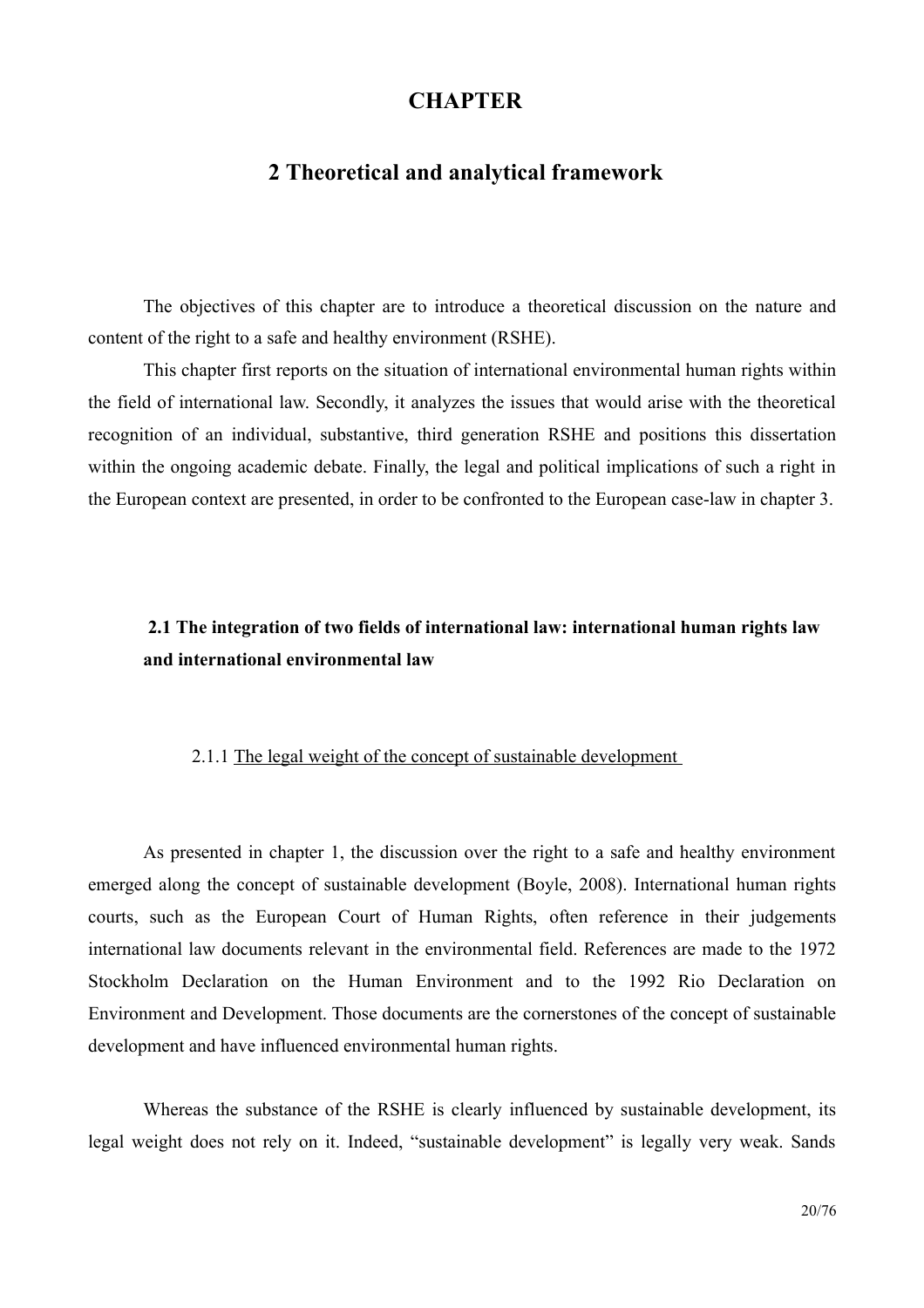# **CHAPTER**

### <span id="page-19-2"></span>2 Theoretical and analytical framework

The objectives of this chapter are to introduce a theoretical discussion on the nature and content of the right to a safe and healthy environment (RSHE).

This chapter first reports on the situation of international environmental human rights within the field of international law. Secondly, it analyzes the issues that would arise with the theoretical recognition of an individual, substantive, third generation RSHE and positions this dissertation within the ongoing academic debate. Finally, the legal and political implications of such a right in the European context are presented, in order to be confronted to the European case-law in chapter 3.

# <span id="page-19-1"></span>2.1 The integration of two fields of international law: international human rights law and international environmental law

### <span id="page-19-0"></span>2.1.1 The legal weight of the concept of sustainable development

As presented in chapter 1, the discussion over the right to a safe and healthy environment emerged along the concept of sustainable development (Boyle, 2008). International human rights courts, such as the European Court of Human Rights, often reference in their judgements international law documents relevant in the environmental field. References are made to the 1972 Stockholm Declaration on the Human Environment and to the 1992 Rio Declaration on Environment and Development. Those documents are the cornerstones of the concept of sustainable development and have influenced environmental human rights.

Whereas the substance of the RSHE is clearly influenced by sustainable development, its legal weight does not rely on it. Indeed, "sustainable development" is legally very weak. Sands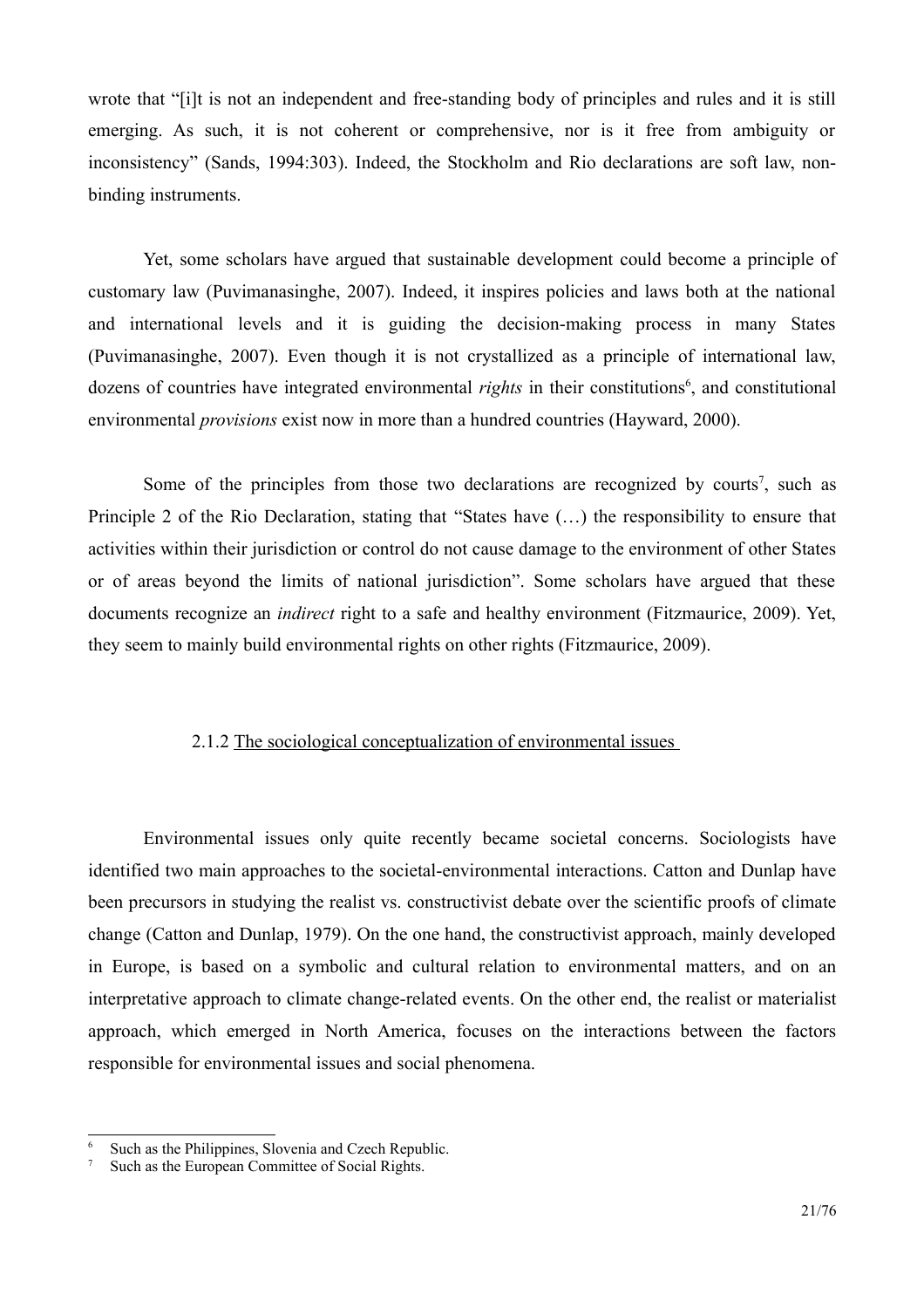wrote that "[i]t is not an independent and free-standing body of principles and rules and it is still emerging. As such, it is not coherent or comprehensive, nor is it free from ambiguity or inconsistency" (Sands, 1994:303). Indeed, the Stockholm and Rio declarations are soft law, nonbinding instruments.

Yet, some scholars have argued that sustainable development could become a principle of customary law (Puvimanasinghe, 2007). Indeed, it inspires policies and laws both at the national and international levels and it is guiding the decision-making process in many States (Puvimanasinghe, 2007). Even though it is not crystallized as a principle of international law, dozens of countries have integrated environmental *rights* in their constitutions<sup>6</sup>, and constitutional environmental *provisions* exist now in more than a hundred countries (Hayward, 2000).

Some of the principles from those two declarations are recognized by courts<sup>7</sup>, such as Principle 2 of the Rio Declaration, stating that "States have (...) the responsibility to ensure that activities within their jurisdiction or control do not cause damage to the environment of other States or of areas beyond the limits of national jurisdiction". Some scholars have argued that these documents recognize an *indirect* right to a safe and healthy environment (Fitzmaurice, 2009). Yet, they seem to mainly build environmental rights on other rights (Fitzmaurice, 2009).

#### <span id="page-20-0"></span>2.1.2 The sociological conceptualization of environmental issues

Environmental issues only quite recently became societal concerns. Sociologists have identified two main approaches to the societal-environmental interactions. Catton and Dunlap have been precursors in studying the realist vs. constructivist debate over the scientific proofs of climate change (Catton and Dunlap, 1979). On the one hand, the constructivist approach, mainly developed in Europe, is based on a symbolic and cultural relation to environmental matters, and on an interpretative approach to climate change-related events. On the other end, the realist or materialist approach, which emerged in North America, focuses on the interactions between the factors responsible for environmental issues and social phenomena.

<span id="page-20-2"></span>Such as the Philippines, Slovenia and Czech Republic.

<span id="page-20-1"></span>Such as the European Committee of Social Rights.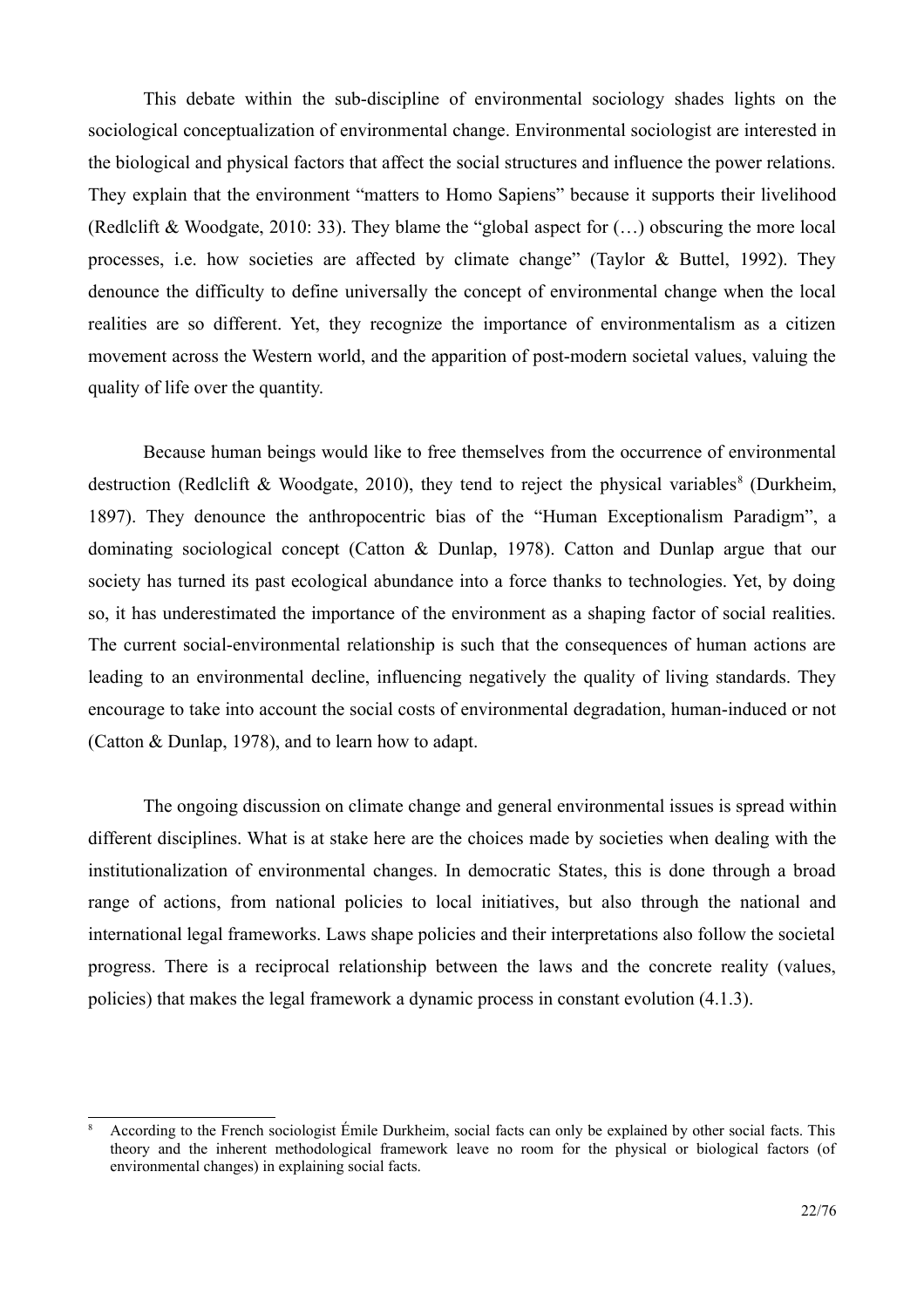This debate within the sub-discipline of environmental sociology shades lights on the sociological conceptualization of environmental change. Environmental sociologist are interested in the biological and physical factors that affect the social structures and influence the power relations. They explain that the environment "matters to Homo Sapiens" because it supports their livelihood (Redlclift & Woodgate, 2010: 33). They blame the "global aspect for  $(...)$  obscuring the more local processes, i.e. how societies are affected by climate change" (Taylor & Buttel, 1992). They denounce the difficulty to define universally the concept of environmental change when the local realities are so different. Yet, they recognize the importance of environmentalism as a citizen movement across the Western world, and the apparition of post-modern societal values, valuing the quality of life over the quantity.

Because human beings would like to free themselves from the occurrence of environmental destruction (Redlclift & Woodgate, 2010), they tend to reject the physical variables<sup>8</sup> (Durkheim, 1897). They denounce the anthropocentric bias of the "Human Exceptionalism Paradigm", a dominating sociological concept (Catton & Dunlap, 1978). Catton and Dunlap argue that our society has turned its past ecological abundance into a force thanks to technologies. Yet, by doing so, it has underestimated the importance of the environment as a shaping factor of social realities. The current social-environmental relationship is such that the consequences of human actions are leading to an environmental decline, influencing negatively the quality of living standards. They encourage to take into account the social costs of environmental degradation, human-induced or not (Catton & Dunlap, 1978), and to learn how to adapt.

The ongoing discussion on climate change and general environmental issues is spread within different disciplines. What is at stake here are the choices made by societies when dealing with the institutionalization of environmental changes. In democratic States, this is done through a broad range of actions, from national policies to local initiatives, but also through the national and international legal frameworks. Laws shape policies and their interpretations also follow the societal progress. There is a reciprocal relationship between the laws and the concrete reality (values, policies) that makes the legal framework a dynamic process in constant evolution (4.1.3).

<span id="page-21-0"></span>According to the French sociologist Émile Durkheim, social facts can only be explained by other social facts. This theory and the inherent methodological framework leave no room for the physical or biological factors (of environmental changes) in explaining social facts.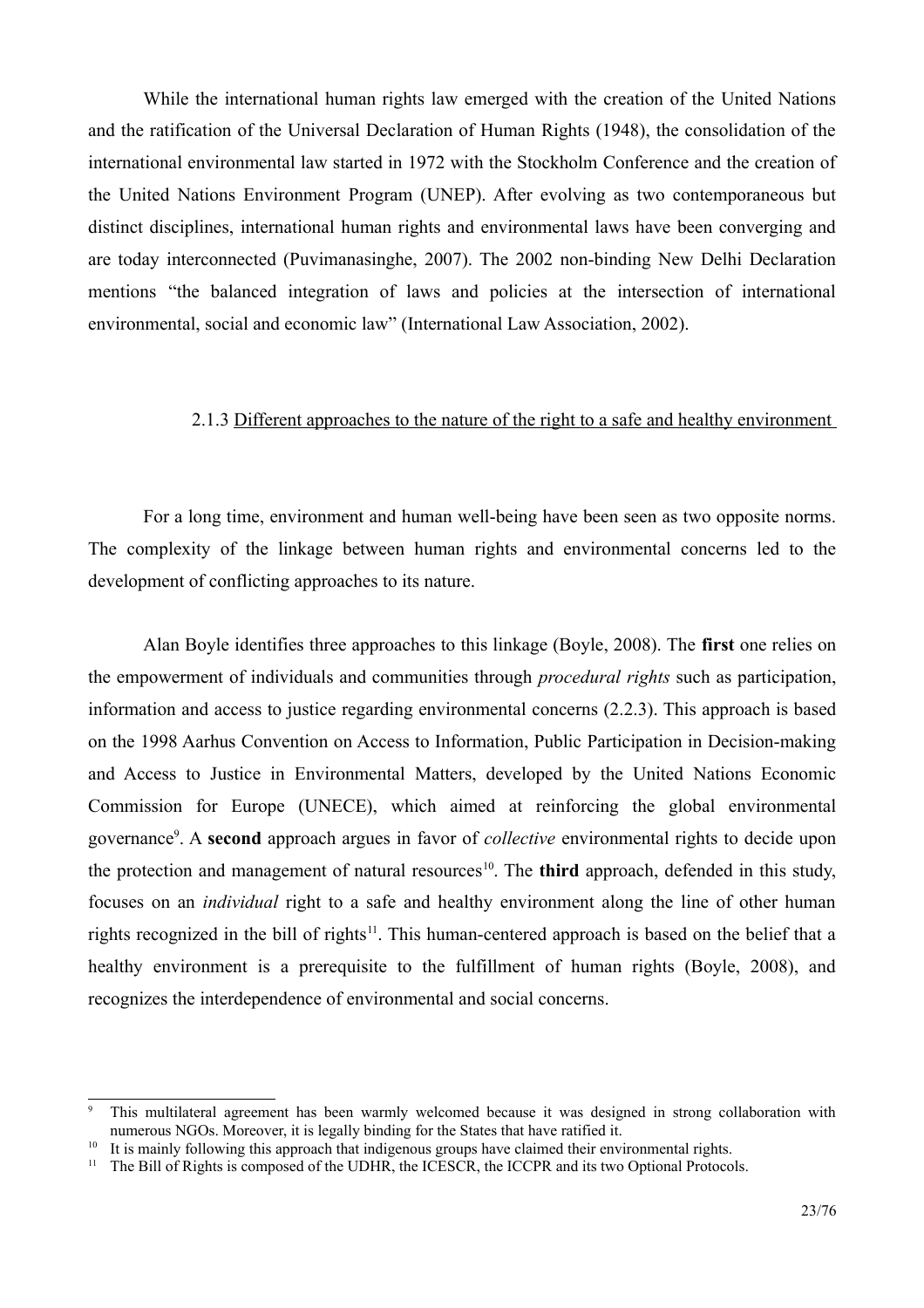While the international human rights law emerged with the creation of the United Nations and the ratification of the Universal Declaration of Human Rights (1948), the consolidation of the international environmental law started in 1972 with the Stockholm Conference and the creation of the United Nations Environment Program (UNEP). After evolving as two contemporaneous but distinct disciplines, international human rights and environmental laws have been converging and are today interconnected (Puvimanasinghe, 2007). The 2002 non-binding New Delhi Declaration mentions "the balanced integration of laws and policies at the intersection of international environmental, social and economic law" (International Law Association, 2002).

#### <span id="page-22-0"></span>2.1.3 Different approaches to the nature of the right to a safe and healthy environment

For a long time, environment and human well-being have been seen as two opposite norms. The complexity of the linkage between human rights and environmental concerns led to the development of conflicting approaches to its nature.

Alan Boyle identifies three approaches to this linkage (Boyle, 2008). The first one relies on the empowerment of individuals and communities through *procedural rights* such as participation, information and access to justice regarding environmental concerns (2.2.3). This approach is based on the 1998 Aarhus Convention on Access to Information, Public Participation in Decision-making and Access to Justice in Environmental Matters, developed by the United Nations Economic Commission for Europe (UNECE), which aimed at reinforcing the global environmental governance<sup>9</sup>. A second approach argues in favor of *collective* environmental rights to decide upon the protection and management of natural resources<sup>10</sup>. The **third** approach, defended in this study, focuses on an *individual* right to a safe and healthy environment along the line of other human rights recognized in the bill of rights<sup>11</sup>. This human-centered approach is based on the belief that a healthy environment is a prerequisite to the fulfillment of human rights (Boyle, 2008), and recognizes the interdependence of environmental and social concerns.

<span id="page-22-2"></span>This multilateral agreement has been warmly welcomed because it was designed in strong collaboration with numerous NGOs. Moreover, it is legally binding for the States that have ratified it.

<span id="page-22-3"></span><sup>&</sup>lt;sup>10</sup> It is mainly following this approach that indigenous groups have claimed their environmental rights.

<span id="page-22-1"></span> $<sup>11</sup>$  The Bill of Rights is composed of the UDHR, the ICESCR, the ICCPR and its two Optional Protocols.</sup>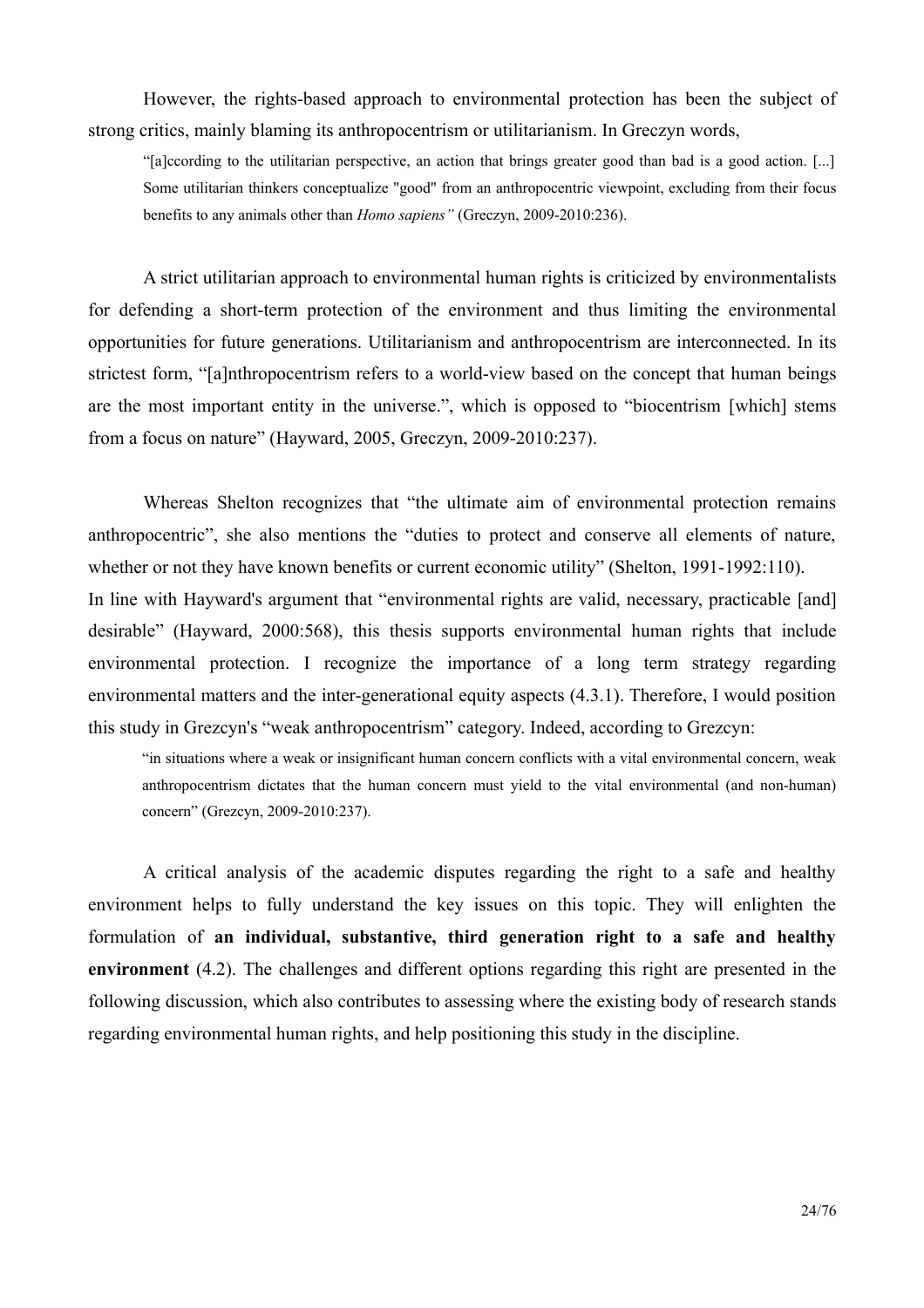However, the rights-based approach to environmental protection has been the subject of strong critics, mainly blaming its anthropocentrism or utilitarianism. In Greczyn words,

"[a]ccording to the utilitarian perspective, an action that brings greater good than bad is a good action. [...] Some utilitarian thinkers conceptualize "good" from an anthropocentric viewpoint, excluding from their focus benefits to any animals other than *Homo sapiens*" (Greczyn, 2009-2010:236).

A strict utilitarian approach to environmental human rights is criticized by environmentalists for defending a short-term protection of the environment and thus limiting the environmental opportunities for future generations. Utilitarianism and anthropocentrism are interconnected. In its strictest form, "[a]nthropocentrism refers to a world-view based on the concept that human beings are the most important entity in the universe.", which is opposed to "biocentrism [which] stems from a focus on nature" (Hayward, 2005, Greczyn, 2009-2010:237).

Whereas Shelton recognizes that "the ultimate aim of environmental protection remains" anthropocentric", she also mentions the "duties to protect and conserve all elements of nature, whether or not they have known benefits or current economic utility" (Shelton, 1991-1992:110). In line with Hayward's argument that "environmental rights are valid, necessary, practicable [and] desirable" (Hayward, 2000:568), this thesis supports environmental human rights that include environmental protection. I recognize the importance of a long term strategy regarding environmental matters and the inter-generational equity aspects (4.3.1). Therefore, I would position this study in Grezeyn's "weak anthropocentrism" category. Indeed, according to Grezeyn:

"in situations where a weak or insignificant human concern conflicts with a vital environmental concern, weak anthropocentrism dictates that the human concern must yield to the vital environmental (and non-human) concern" (Grezcyn, 2009-2010:237).

A critical analysis of the academic disputes regarding the right to a safe and healthy environment helps to fully understand the key issues on this topic. They will enlighten the formulation of an individual, substantive, third generation right to a safe and healthy environment  $(4.2)$ . The challenges and different options regarding this right are presented in the following discussion, which also contributes to assessing where the existing body of research stands regarding environmental human rights, and help positioning this study in the discipline.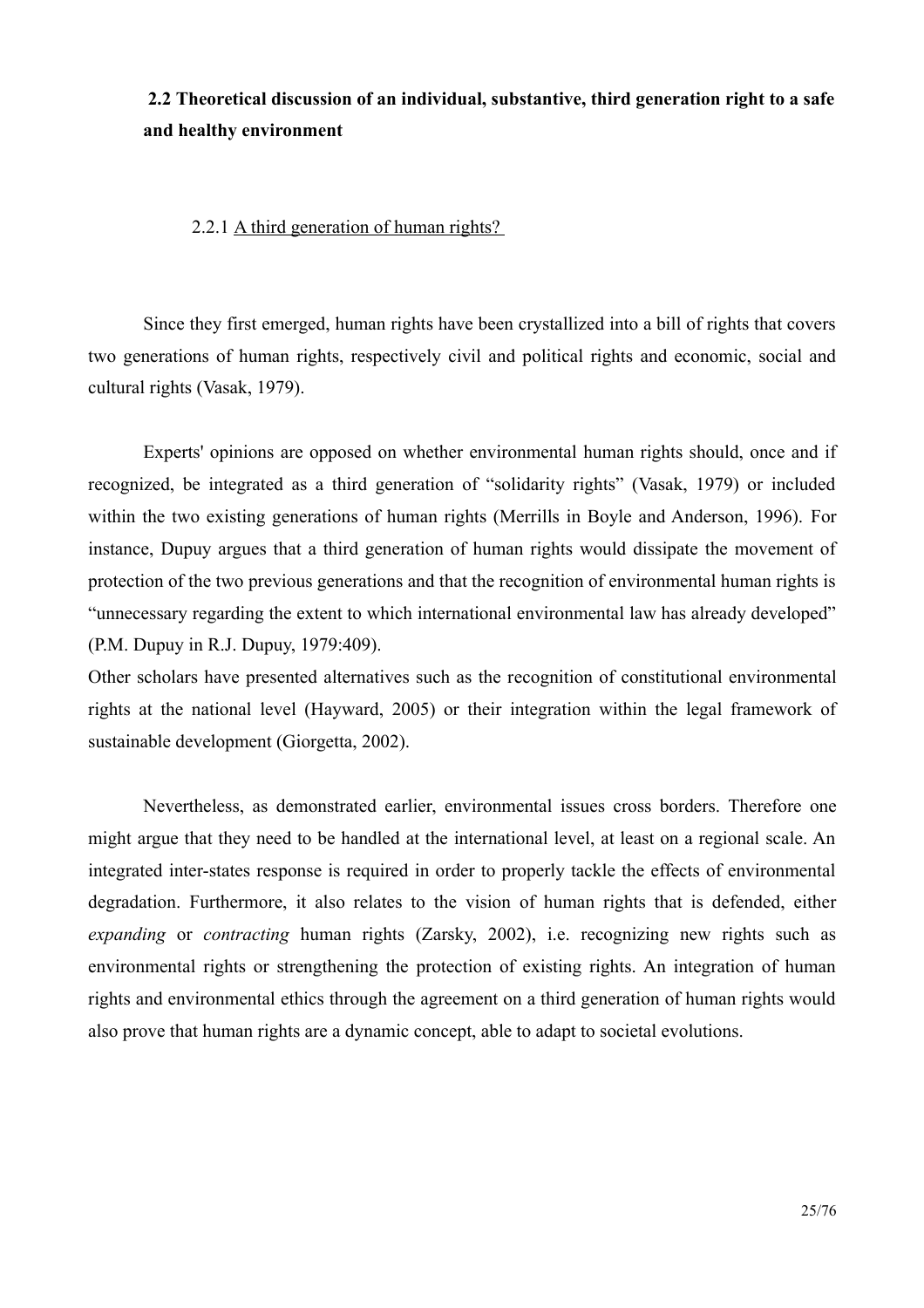<span id="page-24-1"></span>2.2 Theoretical discussion of an individual, substantive, third generation right to a safe and healthy environment

<span id="page-24-0"></span>2.2.1 A third generation of human rights?

Since they first emerged, human rights have been crystallized into a bill of rights that covers two generations of human rights, respectively civil and political rights and economic, social and cultural rights (Vasak, 1979).

Experts' opinions are opposed on whether environmental human rights should, once and if recognized, be integrated as a third generation of "solidarity rights" (Vasak, 1979) or included within the two existing generations of human rights (Merrills in Boyle and Anderson, 1996). For instance, Dupuy argues that a third generation of human rights would dissipate the movement of protection of the two previous generations and that the recognition of environmental human rights is "unnecessary regarding the extent to which international environmental law has already developed" (P.M. Dupuy in R.J. Dupuy, 1979:409).

Other scholars have presented alternatives such as the recognition of constitutional environmental rights at the national level (Hayward, 2005) or their integration within the legal framework of sustainable development (Giorgetta, 2002).

Nevertheless, as demonstrated earlier, environmental issues cross borders. Therefore one might argue that they need to be handled at the international level, at least on a regional scale. An integrated inter-states response is required in order to properly tackle the effects of environmental degradation. Furthermore, it also relates to the vision of human rights that is defended, either expanding or contracting human rights (Zarsky, 2002), i.e. recognizing new rights such as environmental rights or strengthening the protection of existing rights. An integration of human rights and environmental ethics through the agreement on a third generation of human rights would also prove that human rights are a dynamic concept, able to adapt to societal evolutions.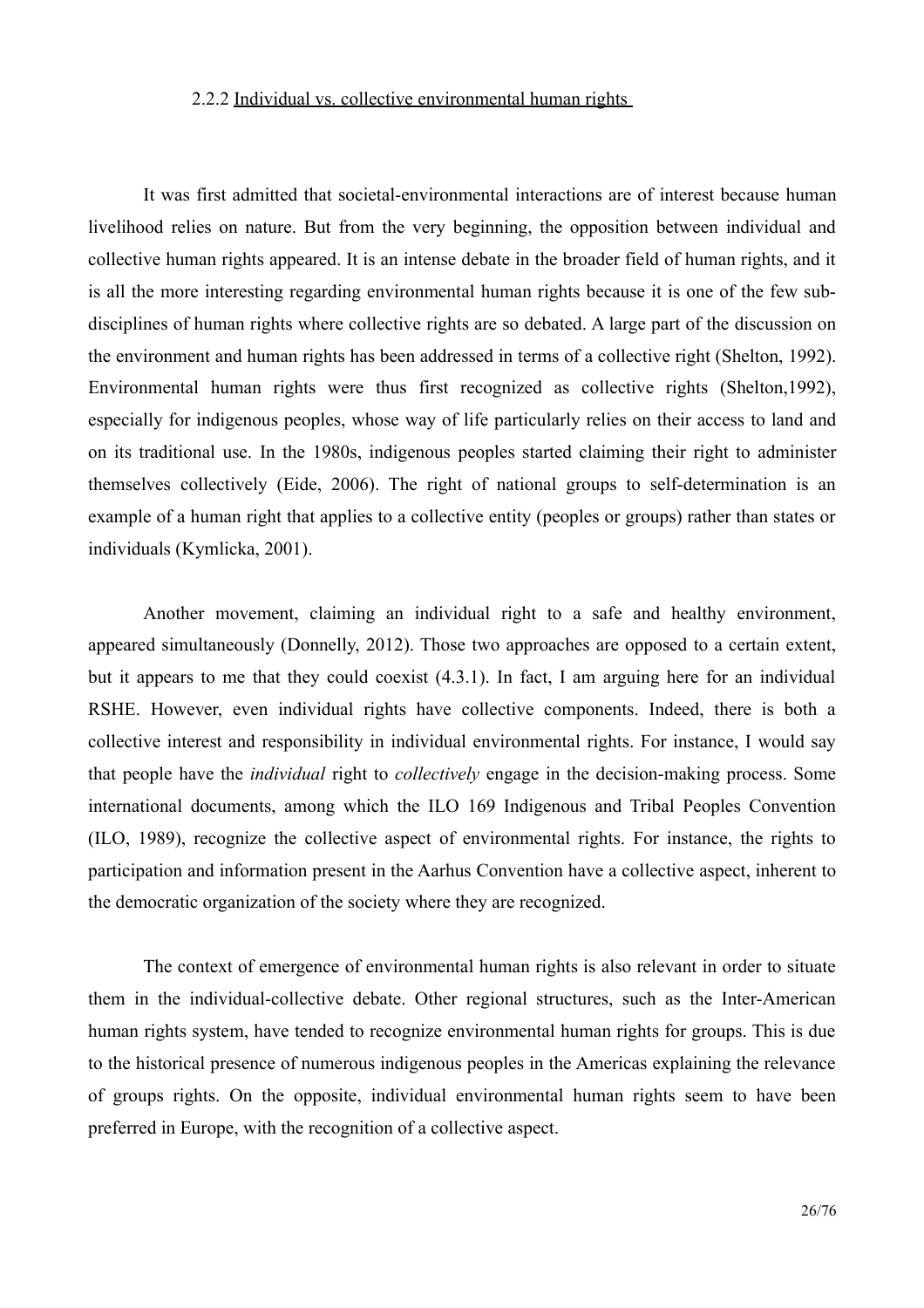#### <span id="page-25-0"></span>2.2.2 Individual vs. collective environmental human rights

It was first admitted that societal-environmental interactions are of interest because human livelihood relies on nature. But from the very beginning, the opposition between individual and collective human rights appeared. It is an intense debate in the broader field of human rights, and it is all the more interesting regarding environmental human rights because it is one of the few subdisciplines of human rights where collective rights are so debated. A large part of the discussion on the environment and human rights has been addressed in terms of a collective right (Shelton, 1992). Environmental human rights were thus first recognized as collective rights (Shelton, 1992), especially for indigenous peoples, whose way of life particularly relies on their access to land and on its traditional use. In the 1980s, indigenous peoples started claiming their right to administer themselves collectively (Eide, 2006). The right of national groups to self-determination is an example of a human right that applies to a collective entity (peoples or groups) rather than states or individuals (Kymlicka, 2001).

Another movement, claiming an individual right to a safe and healthy environment, appeared simultaneously (Donnelly, 2012). Those two approaches are opposed to a certain extent, but it appears to me that they could coexist  $(4.3.1)$ . In fact, I am arguing here for an individual RSHE. However, even individual rights have collective components. Indeed, there is both a collective interest and responsibility in individual environmental rights. For instance, I would say that people have the *individual* right to *collectively* engage in the decision-making process. Some international documents, among which the ILO 169 Indigenous and Tribal Peoples Convention (ILO, 1989), recognize the collective aspect of environmental rights. For instance, the rights to participation and information present in the Aarhus Convention have a collective aspect, inherent to the democratic organization of the society where they are recognized.

The context of emergence of environmental human rights is also relevant in order to situate them in the individual-collective debate. Other regional structures, such as the Inter-American human rights system, have tended to recognize environmental human rights for groups. This is due to the historical presence of numerous indigenous peoples in the Americas explaining the relevance of groups rights. On the opposite, individual environmental human rights seem to have been preferred in Europe, with the recognition of a collective aspect.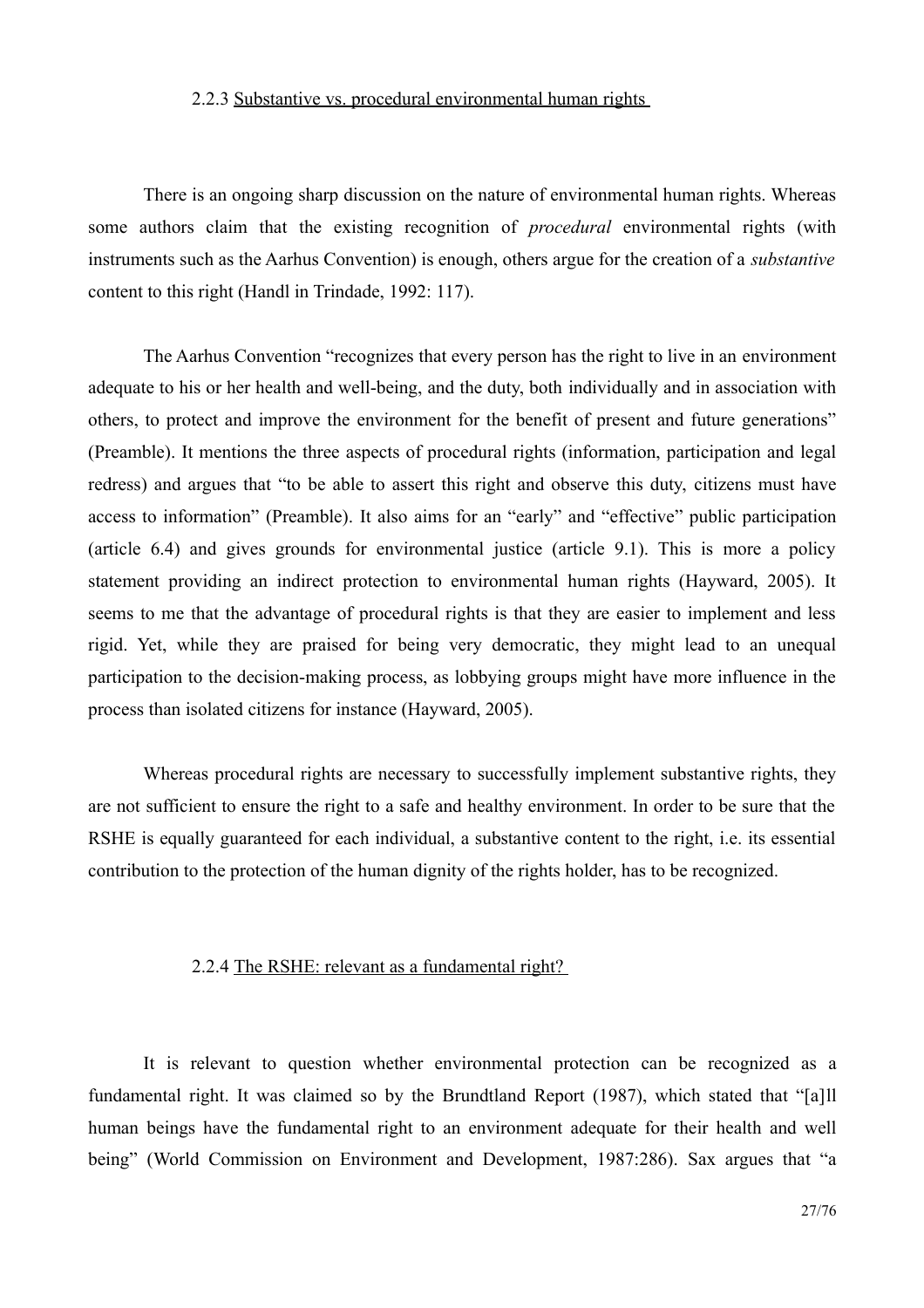#### <span id="page-26-1"></span>2.2.3 Substantive vs. procedural environmental human rights

There is an ongoing sharp discussion on the nature of environmental human rights. Whereas some authors claim that the existing recognition of *procedural* environmental rights (with instruments such as the Aarhus Convention) is enough, others argue for the creation of a *substantive* content to this right (Handl in Trindade, 1992; 117).

The Aarhus Convention "recognizes that every person has the right to live in an environment adequate to his or her health and well-being, and the duty, both individually and in association with others, to protect and improve the environment for the benefit of present and future generations" (Preamble). It mentions the three aspects of procedural rights (information, participation and legal redress) and argues that "to be able to assert this right and observe this duty, citizens must have access to information" (Preamble). It also aims for an "early" and "effective" public participation (article 6.4) and gives grounds for environmental justice (article 9.1). This is more a policy statement providing an indirect protection to environmental human rights (Hayward, 2005). It seems to me that the advantage of procedural rights is that they are easier to implement and less rigid. Yet, while they are praised for being very democratic, they might lead to an unequal participation to the decision-making process, as lobbying groups might have more influence in the process than isolated citizens for instance (Hayward, 2005).

Whereas procedural rights are necessary to successfully implement substantive rights, they are not sufficient to ensure the right to a safe and healthy environment. In order to be sure that the RSHE is equally guaranteed for each individual, a substantive content to the right, i.e. its essential contribution to the protection of the human dignity of the rights holder, has to be recognized.

#### <span id="page-26-0"></span>2.2.4 The RSHE: relevant as a fundamental right?

It is relevant to question whether environmental protection can be recognized as a fundamental right. It was claimed so by the Brundtland Report (1987), which stated that "[a]ll human beings have the fundamental right to an environment adequate for their health and well being" (World Commission on Environment and Development, 1987:286). Sax argues that "a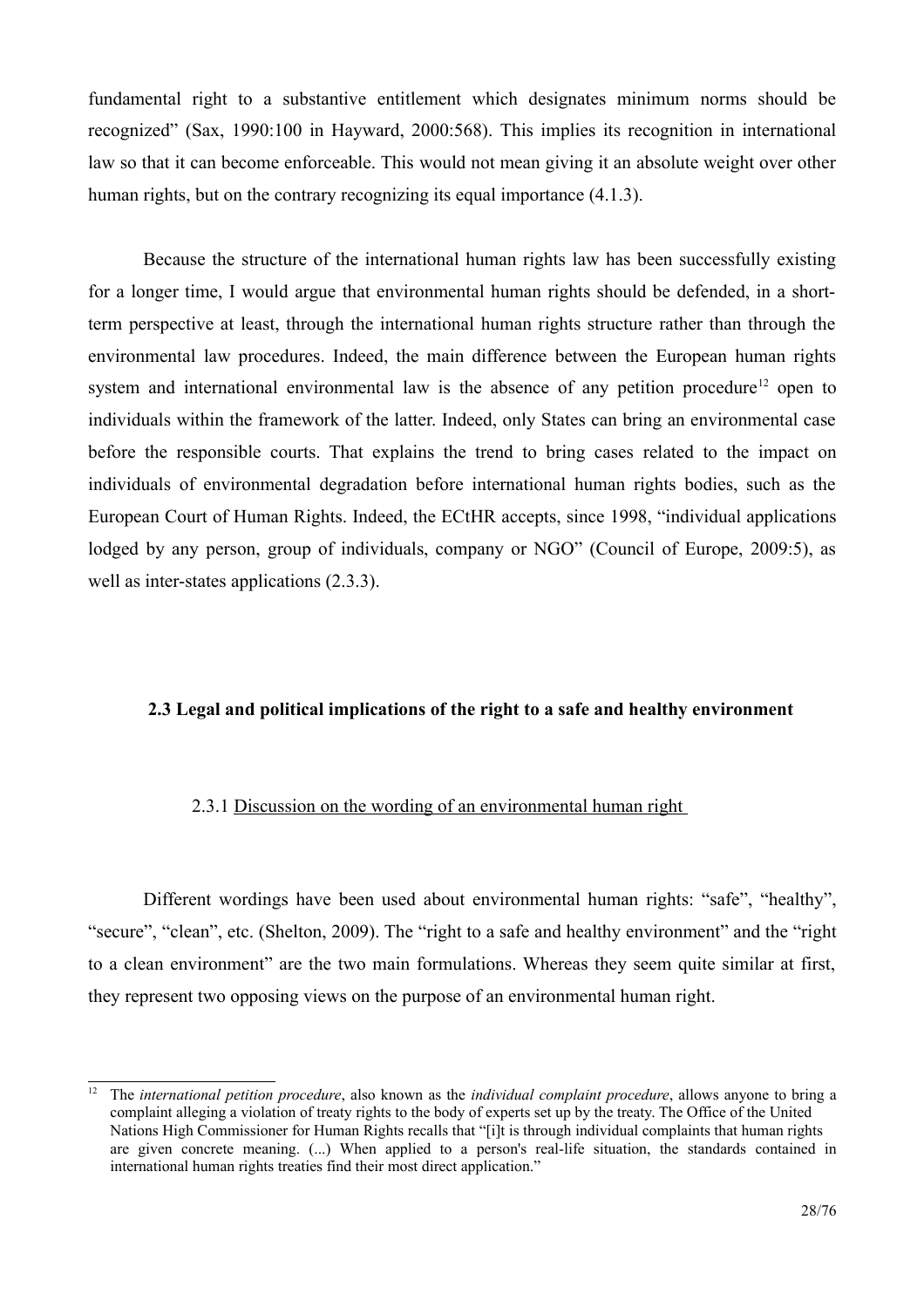fundamental right to a substantive entitlement which designates minimum norms should be recognized" (Sax, 1990:100 in Hayward, 2000:568). This implies its recognition in international law so that it can become enforceable. This would not mean giving it an absolute weight over other human rights, but on the contrary recognizing its equal importance (4.1.3).

Because the structure of the international human rights law has been successfully existing for a longer time, I would argue that environmental human rights should be defended, in a shortterm perspective at least, through the international human rights structure rather than through the environmental law procedures. Indeed, the main difference between the European human rights system and international environmental law is the absence of any petition procedure<sup>12</sup> open to individuals within the framework of the latter. Indeed, only States can bring an environmental case before the responsible courts. That explains the trend to bring cases related to the impact on individuals of environmental degradation before international human rights bodies, such as the European Court of Human Rights. Indeed, the ECtHR accepts, since 1998, "individual applications" lodged by any person, group of individuals, company or NGO" (Council of Europe, 2009:5), as well as inter-states applications  $(2.3.3)$ .

#### <span id="page-27-1"></span>2.3 Legal and political implications of the right to a safe and healthy environment

#### <span id="page-27-0"></span>2.3.1 Discussion on the wording of an environmental human right

Different wordings have been used about environmental human rights: "safe", "healthy", "secure", "clean", etc. (Shelton, 2009). The "right to a safe and healthy environment" and the "right" to a clean environment" are the two main formulations. Whereas they seem quite similar at first, they represent two opposing views on the purpose of an environmental human right.

<span id="page-27-2"></span> $12<sup>12</sup>$ The international petition procedure, also known as the *individual complaint procedure*, allows anyone to bring a complaint alleging a violation of treaty rights to the body of experts set up by the treaty. The Office of the United Nations High Commissioner for Human Rights recalls that "[i]t is through individual complaints that human rights are given concrete meaning. (...) When applied to a person's real-life situation, the standards contained in international human rights treaties find their most direct application."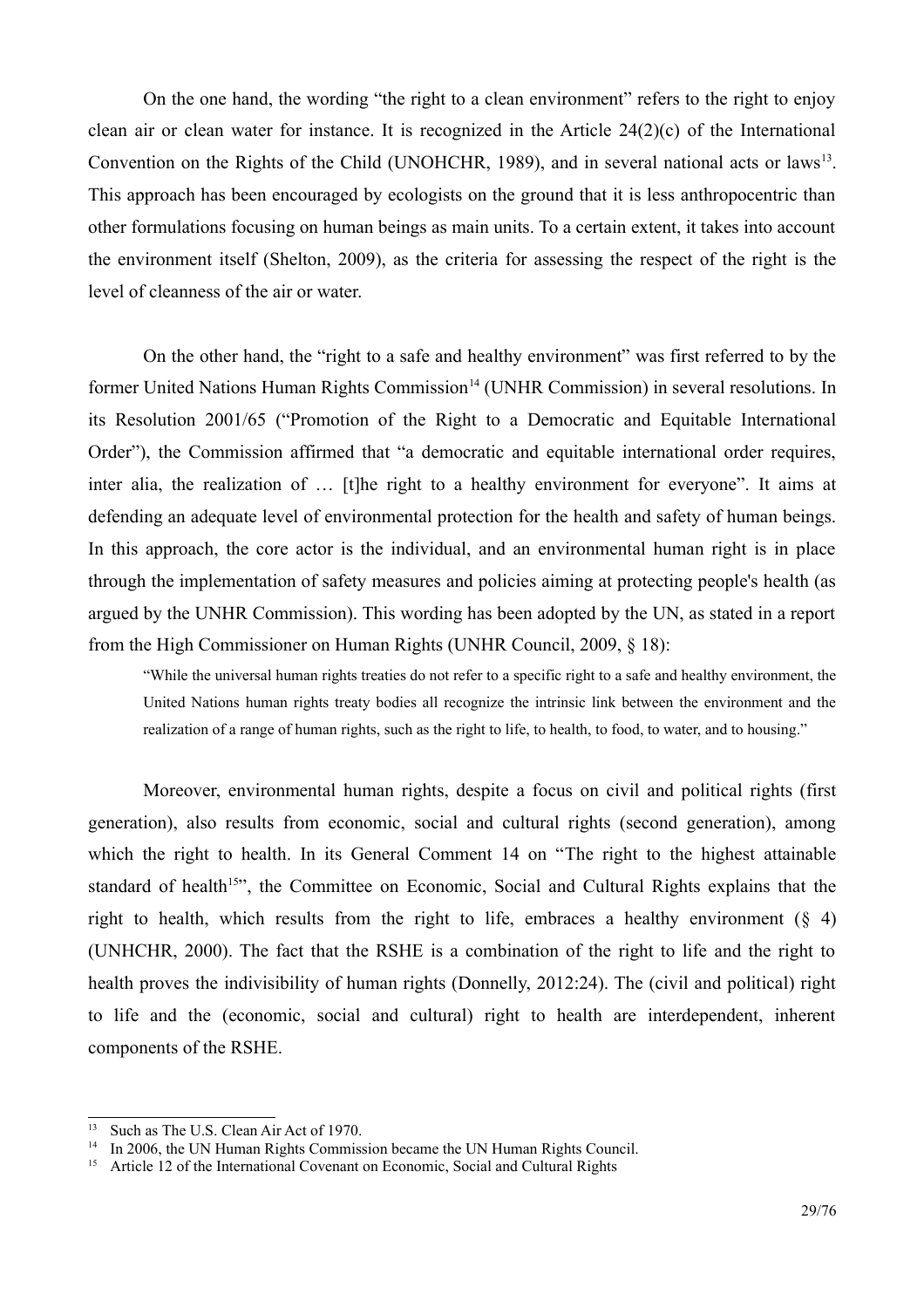On the one hand, the wording "the right to a clean environment" refers to the right to enjoy clean air or clean water for instance. It is recognized in the Article  $24(2)(c)$  of the International Convention on the Rights of the Child (UNOHCHR, 1989), and in several national acts or laws<sup>13</sup>. This approach has been encouraged by ecologists on the ground that it is less anthropocentric than other formulations focusing on human beings as main units. To a certain extent, it takes into account the environment itself (Shelton, 2009), as the criteria for assessing the respect of the right is the level of cleanness of the air or water.

On the other hand, the "right to a safe and healthy environment" was first referred to by the former United Nations Human Rights Commission<sup>14</sup> (UNHR Commission) in several resolutions. In its Resolution 2001/65 ("Promotion of the Right to a Democratic and Equitable International Order"), the Commission affirmed that "a democratic and equitable international order requires, inter alia, the realization of ... [t] the right to a healthy environment for everyone". It aims at defending an adequate level of environmental protection for the health and safety of human beings. In this approach, the core actor is the individual, and an environmental human right is in place through the implementation of safety measures and policies aiming at protecting people's health (as argued by the UNHR Commission). This wording has been adopted by the UN, as stated in a report from the High Commissioner on Human Rights (UNHR Council, 2009, § 18):

"While the universal human rights treaties do not refer to a specific right to a safe and healthy environment, the United Nations human rights treaty bodies all recognize the intrinsic link between the environment and the realization of a range of human rights, such as the right to life, to health, to food, to water, and to housing."

Moreover, environmental human rights, despite a focus on civil and political rights (first generation), also results from economic, social and cultural rights (second generation), among which the right to health. In its General Comment 14 on "The right to the highest attainable standard of health<sup>15</sup>, the Committee on Economic, Social and Cultural Rights explains that the right to health, which results from the right to life, embraces a healthy environment  $(\S$  4) (UNHCHR, 2000). The fact that the RSHE is a combination of the right to life and the right to health proves the indivisibility of human rights (Donnelly, 2012:24). The (civil and political) right to life and the (economic, social and cultural) right to health are interdependent, inherent components of the RSHE.

<span id="page-28-1"></span> $13$ Such as The U.S. Clean Air Act of 1970.

<span id="page-28-2"></span><sup>&</sup>lt;sup>14</sup> In 2006, the UN Human Rights Commission became the UN Human Rights Council.

<span id="page-28-0"></span><sup>&</sup>lt;sup>15</sup> Article 12 of the International Covenant on Economic, Social and Cultural Rights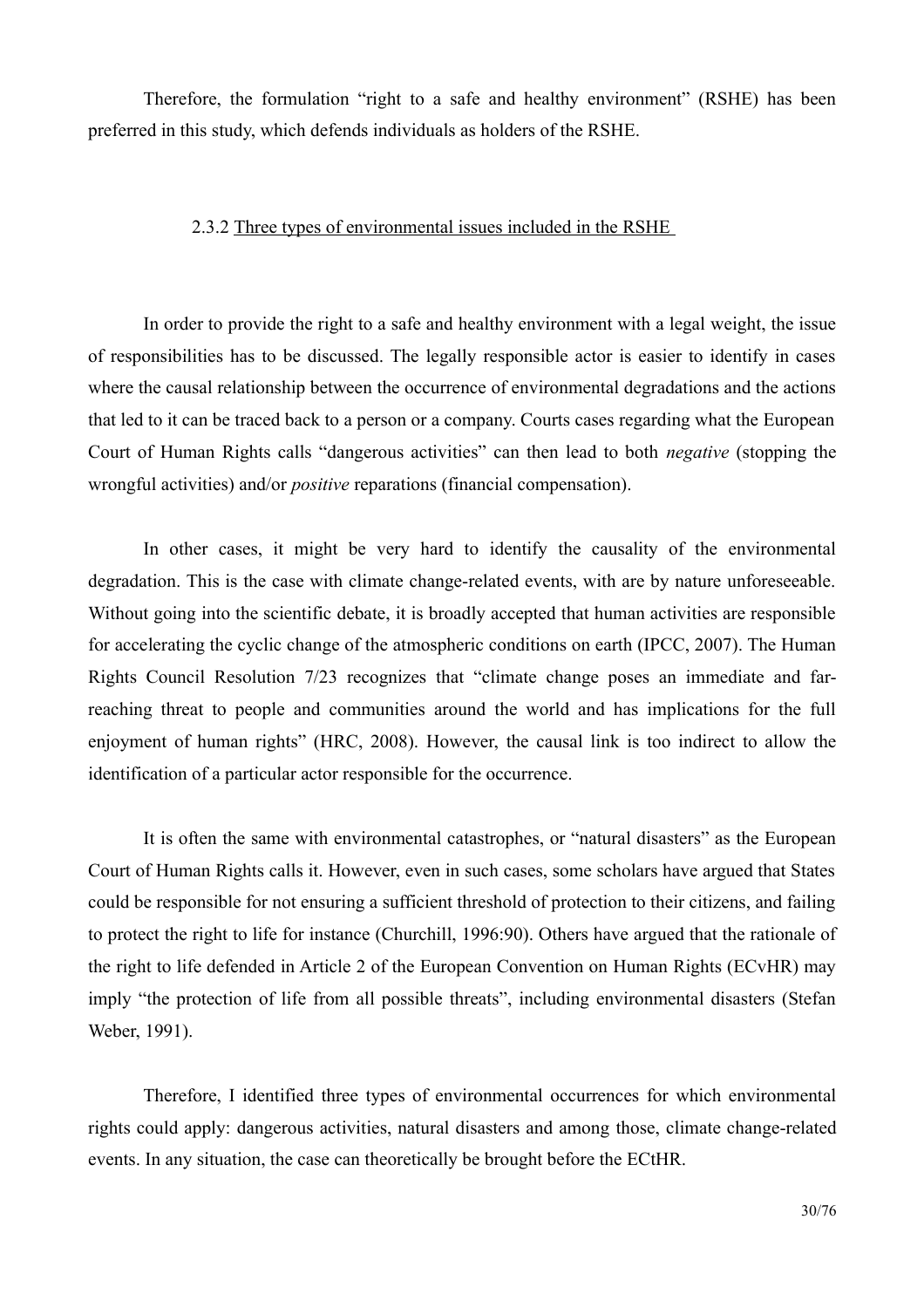Therefore, the formulation "right to a safe and healthy environment" (RSHE) has been preferred in this study, which defends individuals as holders of the RSHE.

#### <span id="page-29-0"></span>2.3.2 Three types of environmental issues included in the RSHE

In order to provide the right to a safe and healthy environment with a legal weight, the issue of responsibilities has to be discussed. The legally responsible actor is easier to identify in cases where the causal relationship between the occurrence of environmental degradations and the actions that led to it can be traced back to a person or a company. Courts cases regarding what the European Court of Human Rights calls "dangerous activities" can then lead to both *negative* (stopping the wrongful activities) and/or *positive* reparations (financial compensation).

In other cases, it might be very hard to identify the causality of the environmental degradation. This is the case with climate change-related events, with are by nature unforeseeable. Without going into the scientific debate, it is broadly accepted that human activities are responsible for accelerating the cyclic change of the atmospheric conditions on earth (IPCC, 2007). The Human Rights Council Resolution 7/23 recognizes that "climate change poses an immediate and farreaching threat to people and communities around the world and has implications for the full enjoyment of human rights" (HRC, 2008). However, the causal link is too indirect to allow the identification of a particular actor responsible for the occurrence.

It is often the same with environmental catastrophes, or "natural disasters" as the European Court of Human Rights calls it. However, even in such cases, some scholars have argued that States could be responsible for not ensuring a sufficient threshold of protection to their citizens, and failing to protect the right to life for instance (Churchill, 1996:90). Others have argued that the rationale of the right to life defended in Article 2 of the European Convention on Human Rights (ECvHR) may imply "the protection of life from all possible threats", including environmental disasters (Stefan Weber, 1991).

Therefore, I identified three types of environmental occurrences for which environmental rights could apply: dangerous activities, natural disasters and among those, climate change-related events. In any situation, the case can theoretically be brought before the ECtHR.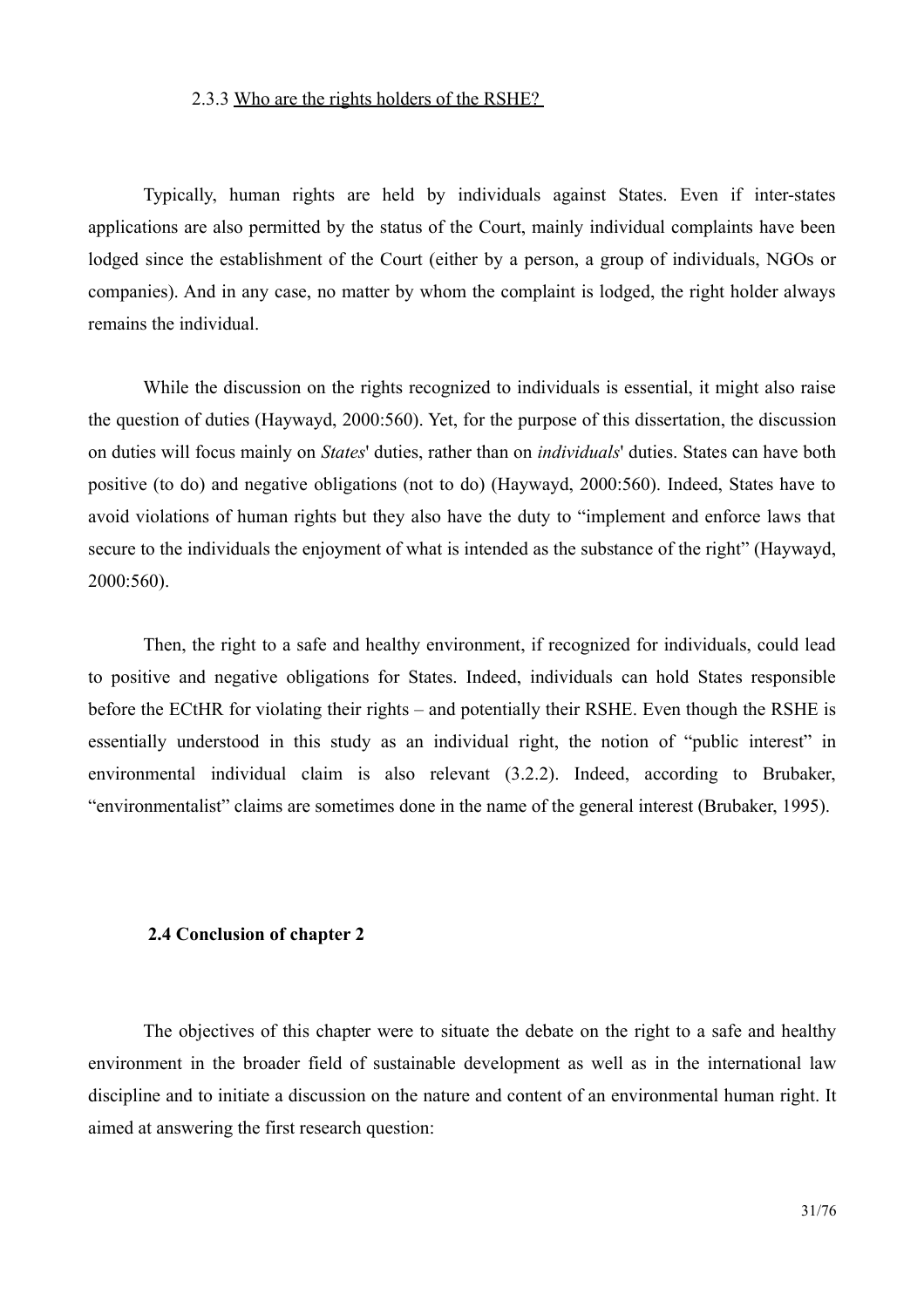#### <span id="page-30-1"></span>2.3.3 Who are the rights holders of the RSHE?

Typically, human rights are held by individuals against States. Even if inter-states applications are also permitted by the status of the Court, mainly individual complaints have been lodged since the establishment of the Court (either by a person, a group of individuals, NGOs or companies). And in any case, no matter by whom the complaint is lodged, the right holder always remains the individual.

While the discussion on the rights recognized to individuals is essential, it might also raise the question of duties (Haywayd, 2000:560). Yet, for the purpose of this dissertation, the discussion on duties will focus mainly on *States'* duties, rather than on *individuals'* duties. States can have both positive (to do) and negative obligations (not to do) (Haywayd, 2000:560). Indeed, States have to avoid violations of human rights but they also have the duty to "implement and enforce laws that secure to the individuals the enjoyment of what is intended as the substance of the right" (Haywayd, 2000:560).

Then, the right to a safe and healthy environment, if recognized for individuals, could lead to positive and negative obligations for States. Indeed, individuals can hold States responsible before the ECtHR for violating their rights – and potentially their RSHE. Even though the RSHE is essentially understood in this study as an individual right, the notion of "public interest" in environmental individual claim is also relevant (3.2.2). Indeed, according to Brubaker, "environmentalist" claims are sometimes done in the name of the general interest (Brubaker, 1995).

#### <span id="page-30-0"></span>2.4 Conclusion of chapter 2

The objectives of this chapter were to situate the debate on the right to a safe and healthy environment in the broader field of sustainable development as well as in the international law discipline and to initiate a discussion on the nature and content of an environmental human right. It aimed at answering the first research question: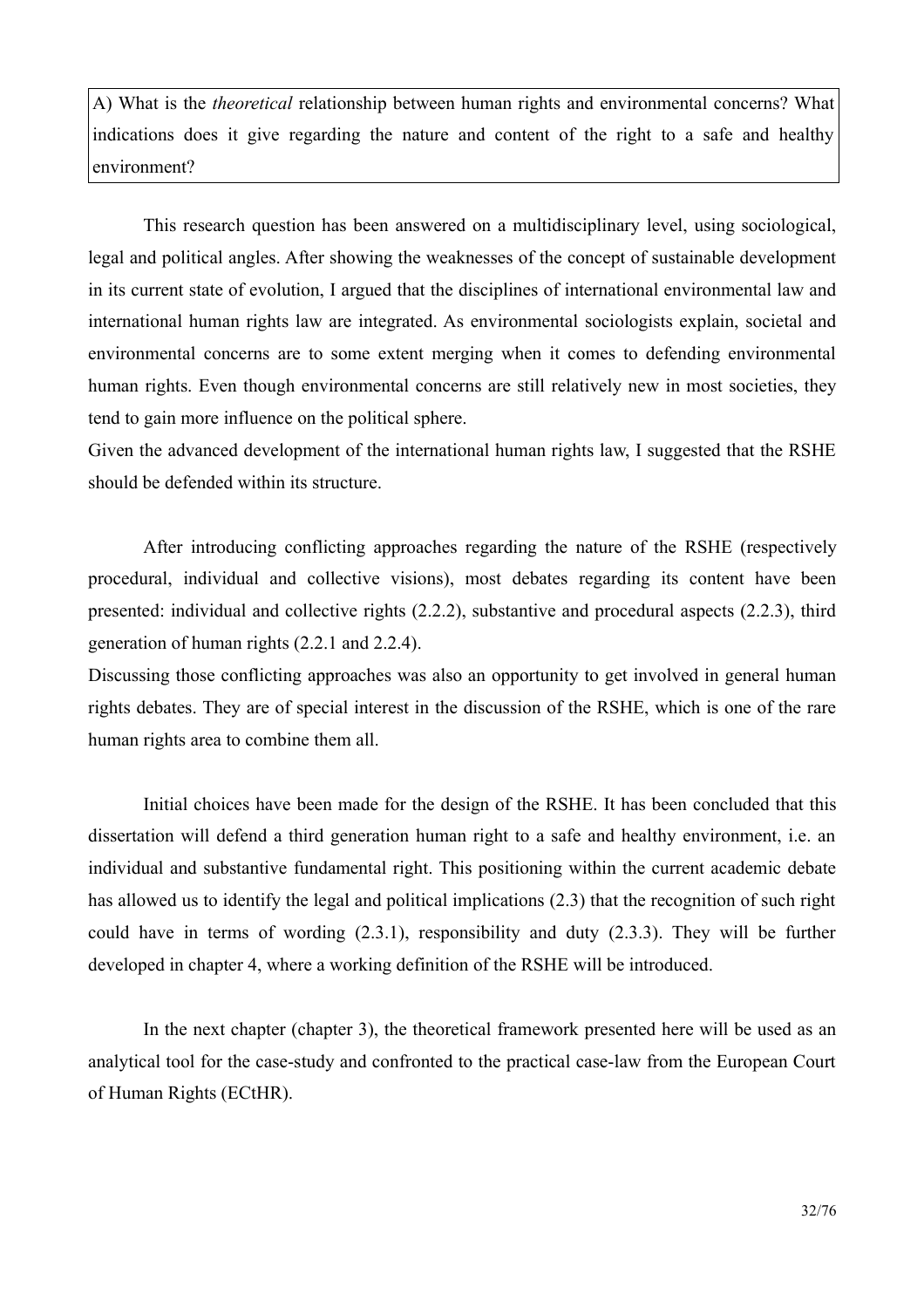A) What is the *theoretical* relationship between human rights and environmental concerns? What indications does it give regarding the nature and content of the right to a safe and healthy environment?

This research question has been answered on a multidisciplinary level, using sociological, legal and political angles. After showing the weaknesses of the concept of sustainable development in its current state of evolution. I argued that the disciplines of international environmental law and international human rights law are integrated. As environmental sociologists explain, societal and environmental concerns are to some extent merging when it comes to defending environmental human rights. Even though environmental concerns are still relatively new in most societies, they tend to gain more influence on the political sphere.

Given the advanced development of the international human rights law. I suggested that the RSHE should be defended within its structure.

After introducing conflicting approaches regarding the nature of the RSHE (respectively procedural, individual and collective visions), most debates regarding its content have been presented: individual and collective rights (2.2.2), substantive and procedural aspects (2.2.3), third generation of human rights  $(2.2.1$  and  $2.2.4)$ .

Discussing those conflicting approaches was also an opportunity to get involved in general human rights debates. They are of special interest in the discussion of the RSHE, which is one of the rare human rights area to combine them all.

Initial choices have been made for the design of the RSHE. It has been concluded that this dissertation will defend a third generation human right to a safe and healthy environment, i.e. an individual and substantive fundamental right. This positioning within the current academic debate has allowed us to identify the legal and political implications (2.3) that the recognition of such right could have in terms of wording  $(2.3.1)$ , responsibility and duty  $(2.3.3)$ . They will be further developed in chapter 4, where a working definition of the RSHE will be introduced.

In the next chapter (chapter 3), the theoretical framework presented here will be used as an analytical tool for the case-study and confronted to the practical case-law from the European Court of Human Rights (ECtHR).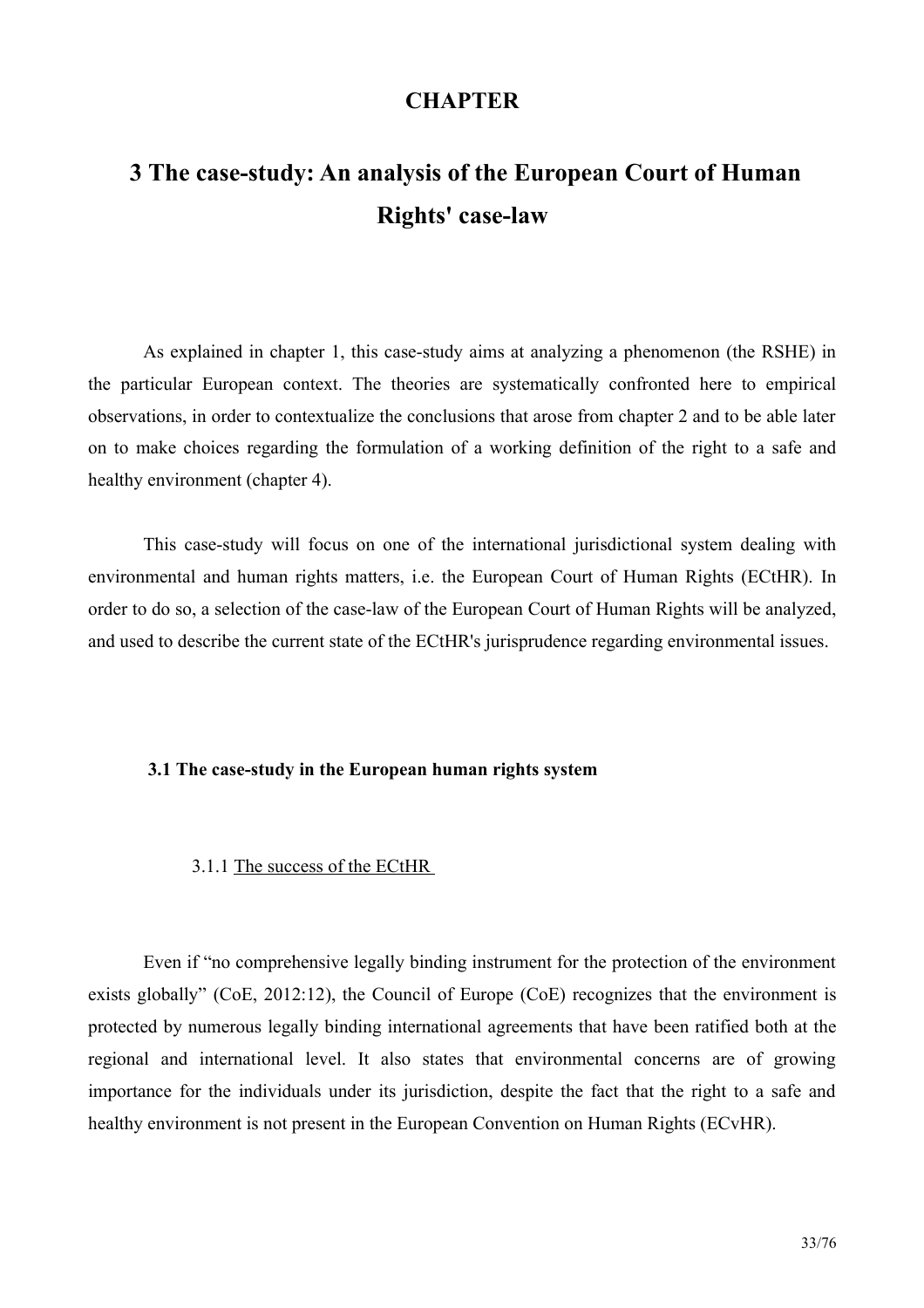# **CHAPTER**

# <span id="page-32-0"></span>3 The case-study: An analysis of the European Court of Human **Rights' case-law**

As explained in chapter 1, this case-study aims at analyzing a phenomenon (the RSHE) in the particular European context. The theories are systematically confronted here to empirical observations, in order to contextualize the conclusions that arose from chapter 2 and to be able later on to make choices regarding the formulation of a working definition of the right to a safe and healthy environment (chapter 4).

This case-study will focus on one of the international jurisdictional system dealing with environmental and human rights matters, i.e. the European Court of Human Rights (ECtHR). In order to do so, a selection of the case-law of the European Court of Human Rights will be analyzed, and used to describe the current state of the ECtHR's jurisprudence regarding environmental issues.

#### <span id="page-32-2"></span>3.1 The case-study in the European human rights system

#### <span id="page-32-1"></span>3.1.1 The success of the ECtHR

Even if "no comprehensive legally binding instrument for the protection of the environment exists globally" (CoE, 2012:12), the Council of Europe (CoE) recognizes that the environment is protected by numerous legally binding international agreements that have been ratified both at the regional and international level. It also states that environmental concerns are of growing importance for the individuals under its jurisdiction, despite the fact that the right to a safe and healthy environment is not present in the European Convention on Human Rights (ECvHR).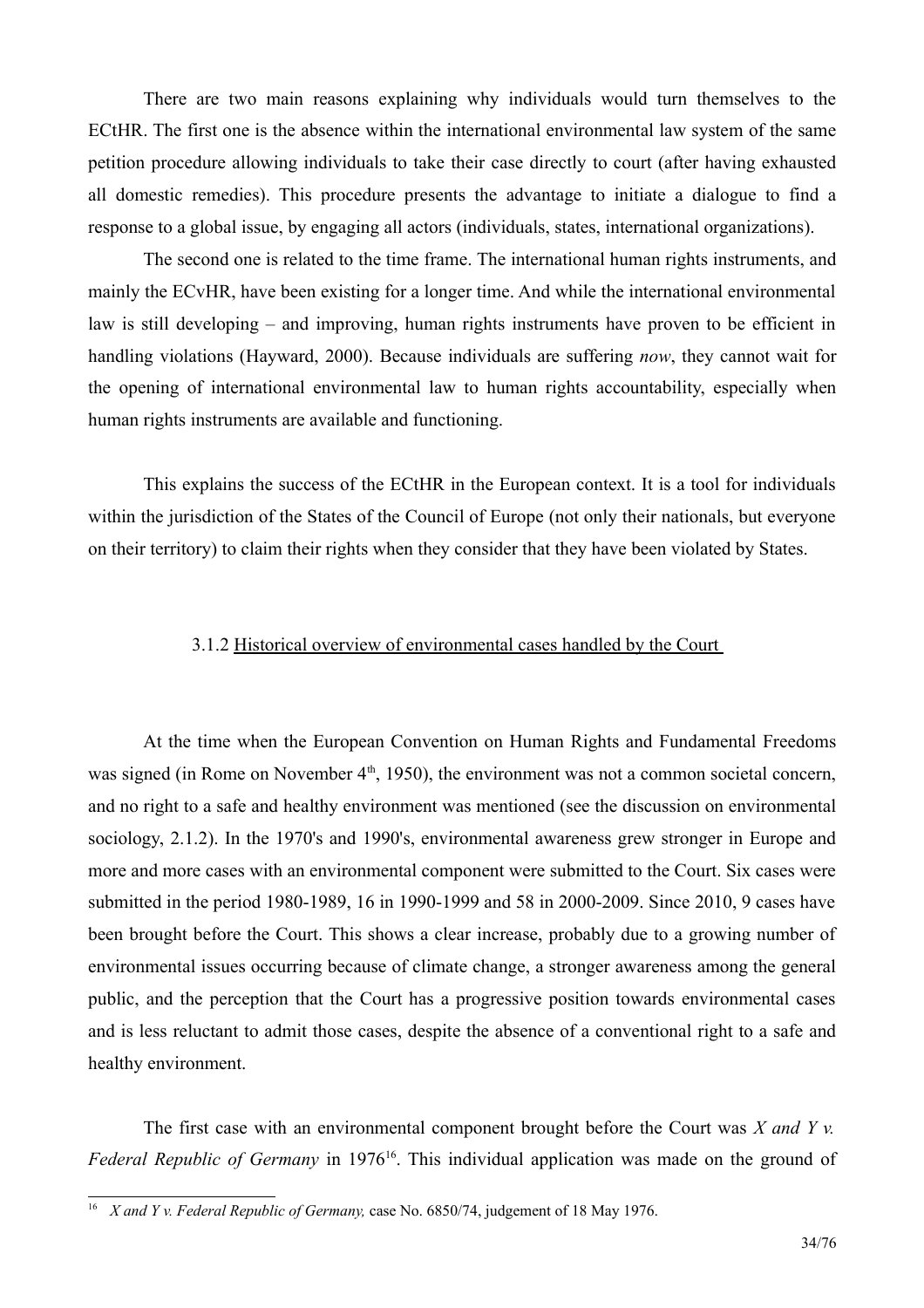There are two main reasons explaining why individuals would turn themselves to the ECtHR. The first one is the absence within the international environmental law system of the same petition procedure allowing individuals to take their case directly to court (after having exhausted all domestic remedies). This procedure presents the advantage to initiate a dialogue to find a response to a global issue, by engaging all actors (individuals, states, international organizations).

The second one is related to the time frame. The international human rights instruments, and mainly the ECvHR, have been existing for a longer time. And while the international environmental law is still developing – and improving, human rights instruments have proven to be efficient in handling violations (Hayward, 2000). Because individuals are suffering now, they cannot wait for the opening of international environmental law to human rights accountability, especially when human rights instruments are available and functioning.

This explains the success of the ECtHR in the European context. It is a tool for individuals within the jurisdiction of the States of the Council of Europe (not only their nationals, but everyone on their territory) to claim their rights when they consider that they have been violated by States.

#### <span id="page-33-0"></span>3.1.2 Historical overview of environmental cases handled by the Court

At the time when the European Convention on Human Rights and Fundamental Freedoms was signed (in Rome on November  $4<sup>th</sup>$ , 1950), the environment was not a common societal concern, and no right to a safe and healthy environment was mentioned (see the discussion on environmental sociology, 2.1.2). In the 1970's and 1990's, environmental awareness grew stronger in Europe and more and more cases with an environmental component were submitted to the Court. Six cases were submitted in the period 1980-1989, 16 in 1990-1999 and 58 in 2000-2009. Since 2010, 9 cases have been brought before the Court. This shows a clear increase, probably due to a growing number of environmental issues occurring because of climate change, a stronger awareness among the general public, and the perception that the Court has a progressive position towards environmental cases and is less reluctant to admit those cases, despite the absence of a conventional right to a safe and healthy environment.

The first case with an environmental component brought before the Court was  $X$  and  $Y$  v. Federal Republic of Germany in 1976<sup>16</sup>. This individual application was made on the ground of

<span id="page-33-1"></span><sup>&</sup>lt;sup>16</sup> *X* and *Y v. Federal Republic of Germany, case No.* 6850/74, judgement of 18 May 1976.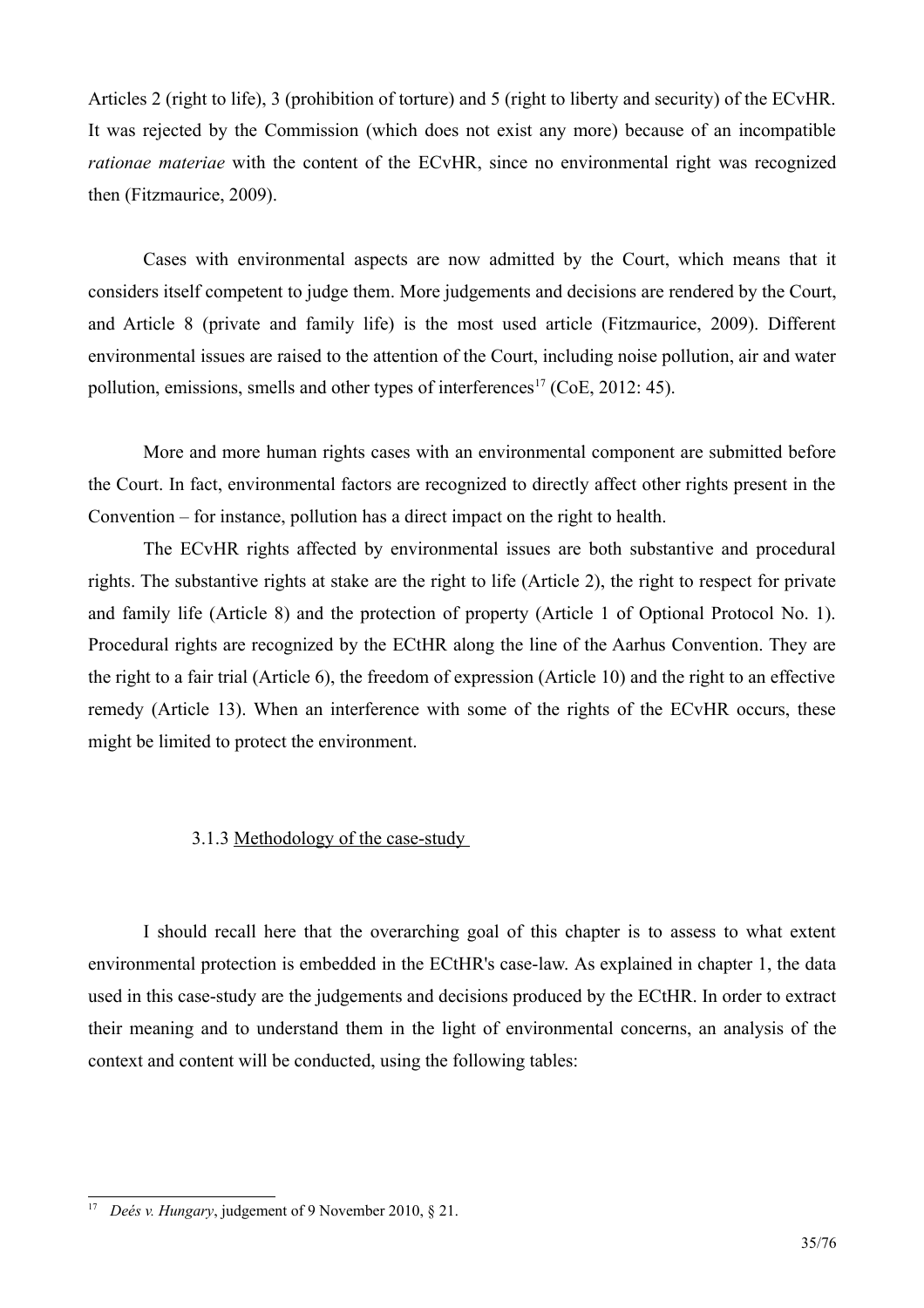Articles 2 (right to life), 3 (prohibition of torture) and 5 (right to liberty and security) of the ECvHR. It was rejected by the Commission (which does not exist any more) because of an incompatible *rationae materiae* with the content of the ECvHR, since no environmental right was recognized then (Fitzmaurice, 2009).

Cases with environmental aspects are now admitted by the Court, which means that it considers itself competent to judge them. More judgements and decisions are rendered by the Court, and Article 8 (private and family life) is the most used article (Fitzmaurice, 2009). Different environmental issues are raised to the attention of the Court, including noise pollution, air and water pollution, emissions, smells and other types of interferences<sup>17</sup> (CoE, 2012: 45).

More and more human rights cases with an environmental component are submitted before the Court. In fact, environmental factors are recognized to directly affect other rights present in the Convention – for instance, pollution has a direct impact on the right to health.

The ECvHR rights affected by environmental issues are both substantive and procedural rights. The substantive rights at stake are the right to life (Article 2), the right to respect for private and family life (Article 8) and the protection of property (Article 1 of Optional Protocol No. 1). Procedural rights are recognized by the ECtHR along the line of the Aarhus Convention. They are the right to a fair trial (Article 6), the freedom of expression (Article 10) and the right to an effective remedy (Article 13). When an interference with some of the rights of the ECvHR occurs, these might be limited to protect the environment.

#### <span id="page-34-0"></span>3.1.3 Methodology of the case-study

I should recall here that the overarching goal of this chapter is to assess to what extent environmental protection is embedded in the ECtHR's case-law. As explained in chapter 1, the data used in this case-study are the judgements and decisions produced by the ECtHR. In order to extract their meaning and to understand them in the light of environmental concerns, an analysis of the context and content will be conducted, using the following tables:

<span id="page-34-1"></span><sup>&</sup>lt;sup>17</sup> *Deés v. Hungary*, judgement of 9 November 2010, § 21.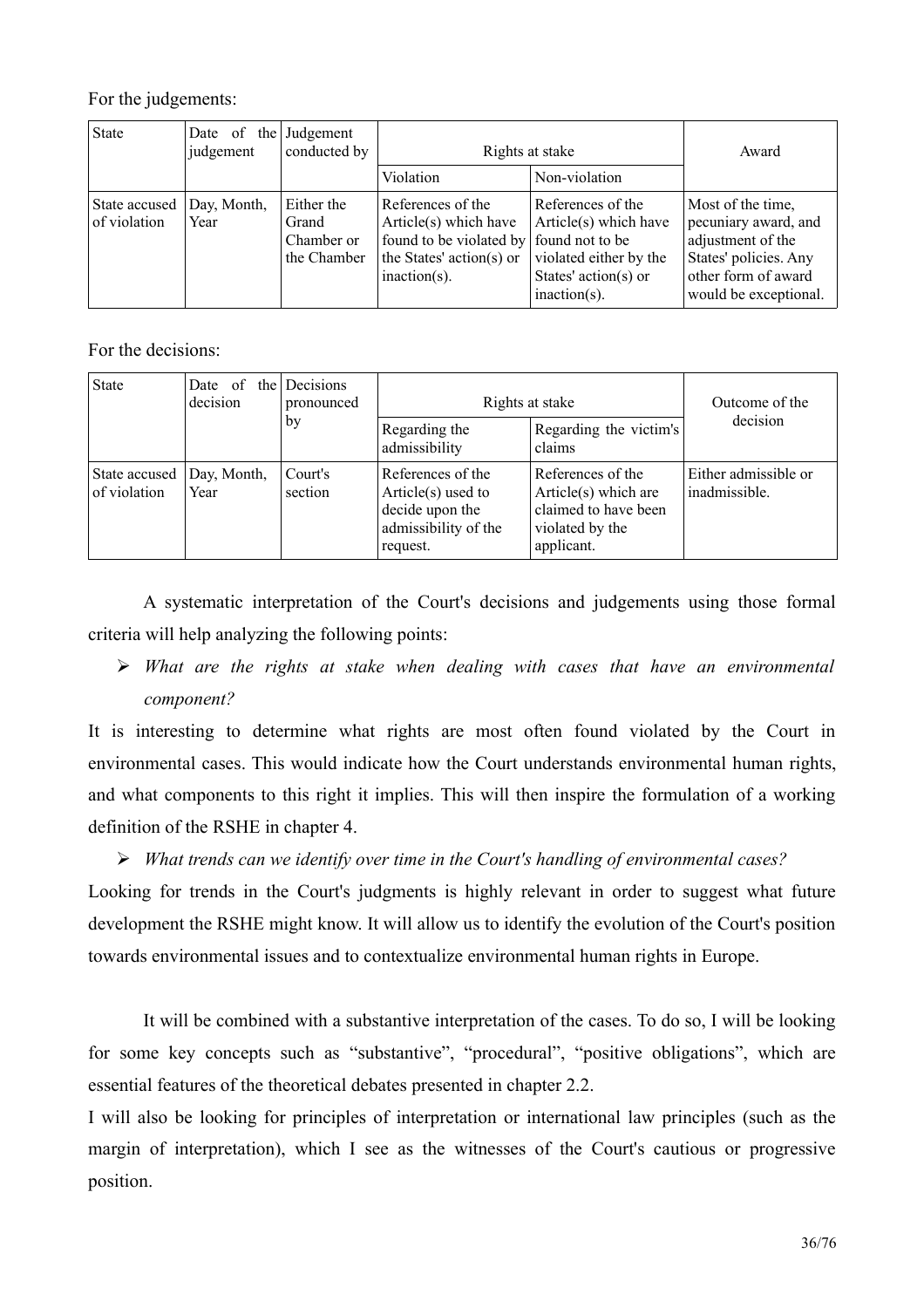For the judgements:

| <b>State</b>                  | Date of the Judgement<br>judgement | conducted by                                     | Rights at stake                                                                                                      |                                                                                                                                    | Award                                                                                                                                   |
|-------------------------------|------------------------------------|--------------------------------------------------|----------------------------------------------------------------------------------------------------------------------|------------------------------------------------------------------------------------------------------------------------------------|-----------------------------------------------------------------------------------------------------------------------------------------|
|                               |                                    |                                                  | Violation                                                                                                            | Non-violation                                                                                                                      |                                                                                                                                         |
| State accused<br>of violation | Day, Month,<br>Year                | Either the<br>Grand<br>Chamber or<br>the Chamber | References of the<br>Article(s) which have<br>found to be violated by<br>the States' action(s) or<br>$inaction(s)$ . | References of the<br>Article(s) which have<br>found not to be<br>violated either by the<br>States' action(s) or<br>$inaction(s)$ . | Most of the time,<br>pecuniary award, and<br>adjustment of the<br>States' policies. Any<br>other form of award<br>would be exceptional. |

For the decisions:

| <b>State</b>                  | Date of<br>decision | the Decisions<br>pronounced | Rights at stake                                                                                   |                                                                                                    | Outcome of the                        |
|-------------------------------|---------------------|-----------------------------|---------------------------------------------------------------------------------------------------|----------------------------------------------------------------------------------------------------|---------------------------------------|
|                               |                     | by                          | Regarding the<br>admissibility                                                                    | Regarding the victim's<br>claims                                                                   | decision                              |
| State accused<br>of violation | Day, Month,<br>Year | Court's<br>section          | References of the<br>Article $(s)$ used to<br>decide upon the<br>admissibility of the<br>request. | References of the<br>Article(s) which are<br>claimed to have been<br>violated by the<br>applicant. | Either admissible or<br>inadmissible. |

A systematic interpretation of the Court's decisions and judgements using those formal criteria will help analyzing the following points:

 $\triangleright$  What are the rights at stake when dealing with cases that have an environmental component?

It is interesting to determine what rights are most often found violated by the Court in environmental cases. This would indicate how the Court understands environmental human rights, and what components to this right it implies. This will then inspire the formulation of a working definition of the RSHE in chapter 4.

 $\triangleright$  What trends can we identify over time in the Court's handling of environmental cases?

Looking for trends in the Court's judgments is highly relevant in order to suggest what future development the RSHE might know. It will allow us to identify the evolution of the Court's position towards environmental issues and to contextualize environmental human rights in Europe.

It will be combined with a substantive interpretation of the cases. To do so, I will be looking for some key concepts such as "substantive", "procedural", "positive obligations", which are essential features of the theoretical debates presented in chapter 2.2.

I will also be looking for principles of interpretation or international law principles (such as the margin of interpretation), which I see as the witnesses of the Court's cautious or progressive position.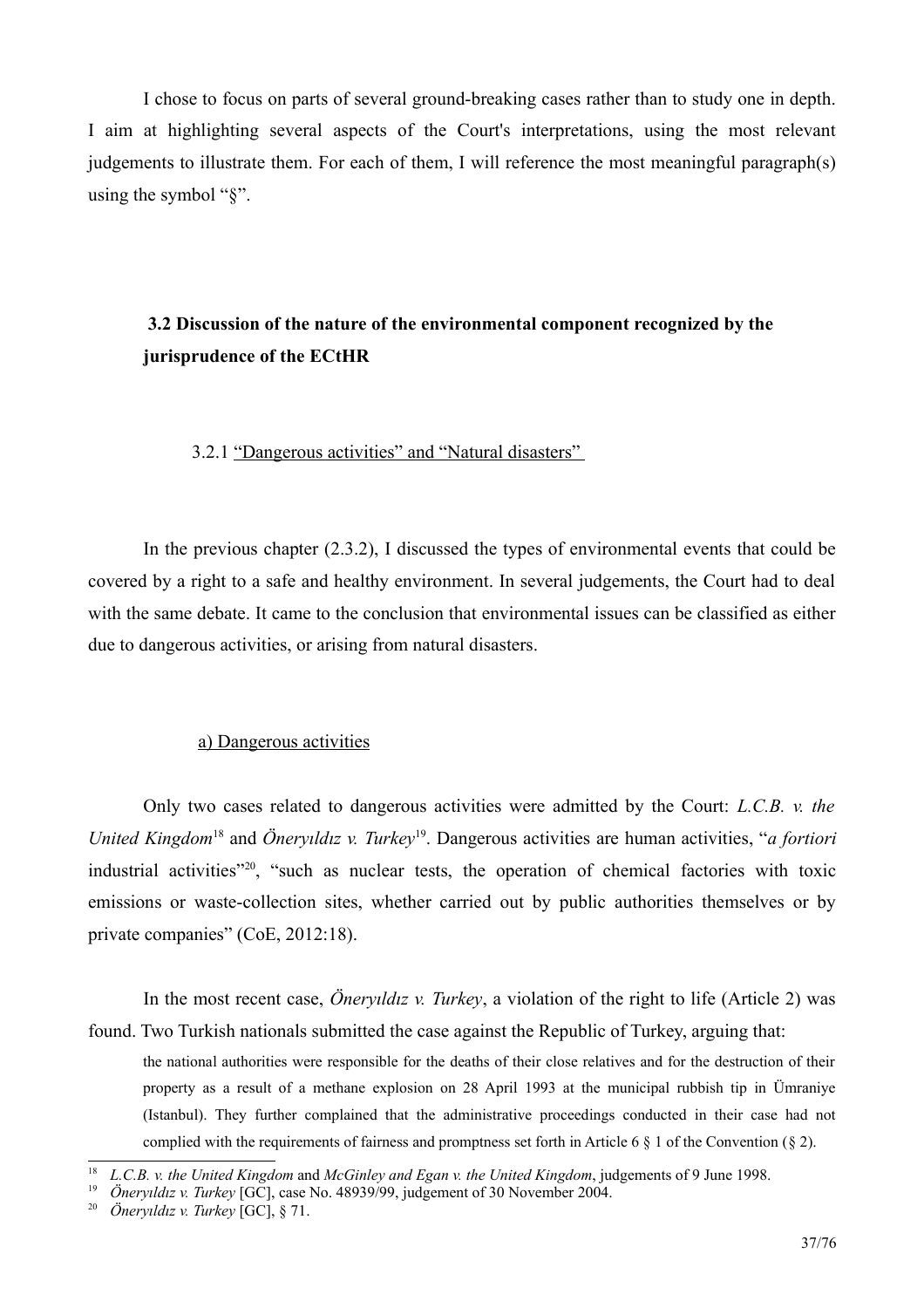I chose to focus on parts of several ground-breaking cases rather than to study one in depth. I aim at highlighting several aspects of the Court's interpretations, using the most relevant judgements to illustrate them. For each of them, I will reference the most meaningful paragraph(s) using the symbol " $\frac{8}{3}$ ".

## 3.2 Discussion of the nature of the environmental component recognized by the jurisprudence of the ECtHR

## 3.2.1 "Dangerous activities" and "Natural disasters"

In the previous chapter  $(2.3.2)$ , I discussed the types of environmental events that could be covered by a right to a safe and healthy environment. In several judgements, the Court had to deal with the same debate. It came to the conclusion that environmental issues can be classified as either due to dangerous activities, or arising from natural disasters.

## a) Dangerous activities

Only two cases related to dangerous activities were admitted by the Court: L.C.B. v. the United Kingdom<sup>18</sup> and Öneryildiz v. Turkey<sup>19</sup>. Dangerous activities are human activities, "a fortiori industrial activities"<sup>20</sup>, "such as nuclear tests, the operation of chemical factories with toxic emissions or waste-collection sites, whether carried out by public authorities themselves or by private companies" (CoE, 2012:18).

In the most recent case, *Öneryildiz v. Turkey*, a violation of the right to life (Article 2) was found. Two Turkish nationals submitted the case against the Republic of Turkey, arguing that:

the national authorities were responsible for the deaths of their close relatives and for the destruction of their property as a result of a methane explosion on 28 April 1993 at the municipal rubbish tip in Umraniye (Istanbul). They further complained that the administrative proceedings conducted in their case had not complied with the requirements of fairness and promptness set forth in Article 6  $\S$  1 of the Convention ( $\S$  2).

<span id="page-36-1"></span> $18$  L.C.B. v. the United Kingdom and McGinley and Egan v. the United Kingdom, judgements of 9 June 1998.

<span id="page-36-2"></span><sup>&</sup>lt;sup>19</sup> Önervildiz v. Turkey [GC], case No. 48939/99, judgement of 30 November 2004.

<span id="page-36-0"></span><sup>&</sup>lt;sup>20</sup> Öneryıldız v. Turkey [GC], § 71.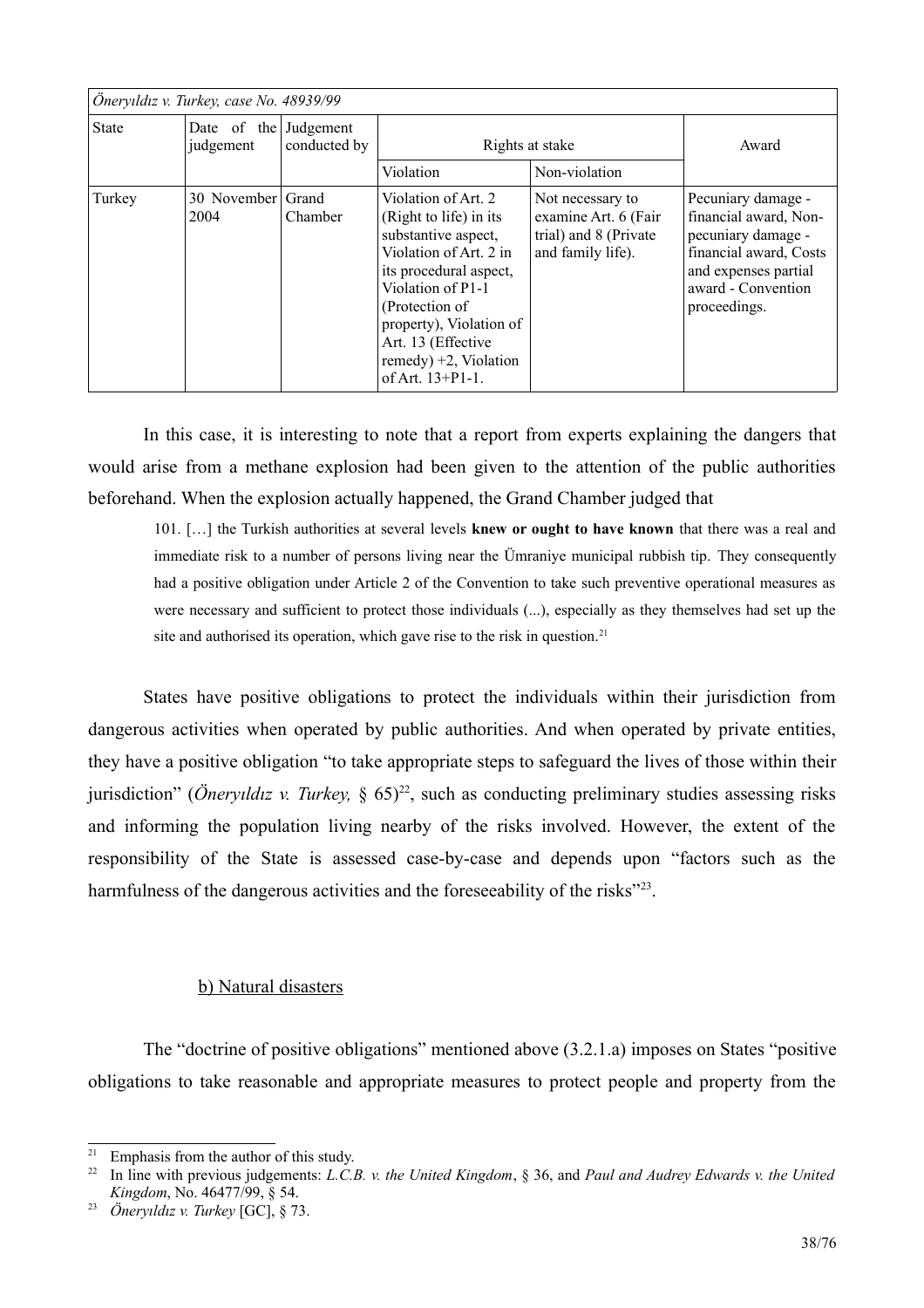| Öneryıldız v. Turkey, case No. 48939/99 |                                    |              |                                                                                                                                                                                                                                                                         |                                                                                        |                                                                                                                                                           |
|-----------------------------------------|------------------------------------|--------------|-------------------------------------------------------------------------------------------------------------------------------------------------------------------------------------------------------------------------------------------------------------------------|----------------------------------------------------------------------------------------|-----------------------------------------------------------------------------------------------------------------------------------------------------------|
| <b>State</b>                            | Date of the Judgement<br>judgement | conducted by | Rights at stake                                                                                                                                                                                                                                                         |                                                                                        | Award                                                                                                                                                     |
|                                         |                                    |              | Violation                                                                                                                                                                                                                                                               | Non-violation                                                                          |                                                                                                                                                           |
| Turkey                                  | 30 November Grand<br>2004          | Chamber      | Violation of Art. 2<br>(Right to life) in its<br>substantive aspect,<br>Violation of Art. 2 in<br>its procedural aspect,<br>Violation of P1-1<br>(Protection of<br>property), Violation of<br>Art. 13 (Effective<br>remedy) $+2$ , Violation<br>of Art. $13 + P1 - 1$ . | Not necessary to<br>examine Art. 6 (Fair<br>trial) and 8 (Private<br>and family life). | Pecuniary damage -<br>financial award, Non-<br>pecuniary damage -<br>financial award, Costs<br>and expenses partial<br>award - Convention<br>proceedings. |

In this case, it is interesting to note that a report from experts explaining the dangers that would arise from a methane explosion had been given to the attention of the public authorities beforehand. When the explosion actually happened, the Grand Chamber judged that

101. [...] the Turkish authorities at several levels knew or ought to have known that there was a real and immediate risk to a number of persons living near the Ümraniye municipal rubbish tip. They consequently had a positive obligation under Article 2 of the Convention to take such preventive operational measures as were necessary and sufficient to protect those individuals (...), especially as they themselves had set up the site and authorised its operation, which gave rise to the risk in question.<sup>21</sup>

States have positive obligations to protect the individuals within their jurisdiction from dangerous activities when operated by public authorities. And when operated by private entities, they have a positive obligation "to take appropriate steps to safeguard the lives of those within their jurisdiction" (*Öneryildiz v. Turkey*, §  $65)^{22}$ , such as conducting preliminary studies assessing risks and informing the population living nearby of the risks involved. However, the extent of the responsibility of the State is assessed case-by-case and depends upon "factors such as the harmfulness of the dangerous activities and the foreseeability of the risks"<sup>23</sup>.

## b) Natural disasters

The "doctrine of positive obligations" mentioned above (3.2.1.a) imposes on States "positive" obligations to take reasonable and appropriate measures to protect people and property from the

<span id="page-37-1"></span><sup>&</sup>lt;sup>21</sup> Emphasis from the author of this study.

<span id="page-37-2"></span> $22$ In line with previous judgements: L.C.B. v. the United Kingdom, § 36, and Paul and Audrey Edwards v. the United Kingdom, No. 46477/99, § 54.

<span id="page-37-0"></span><sup>&</sup>lt;sup>23</sup> Öneryıldız v. Turkey [GC], § 73.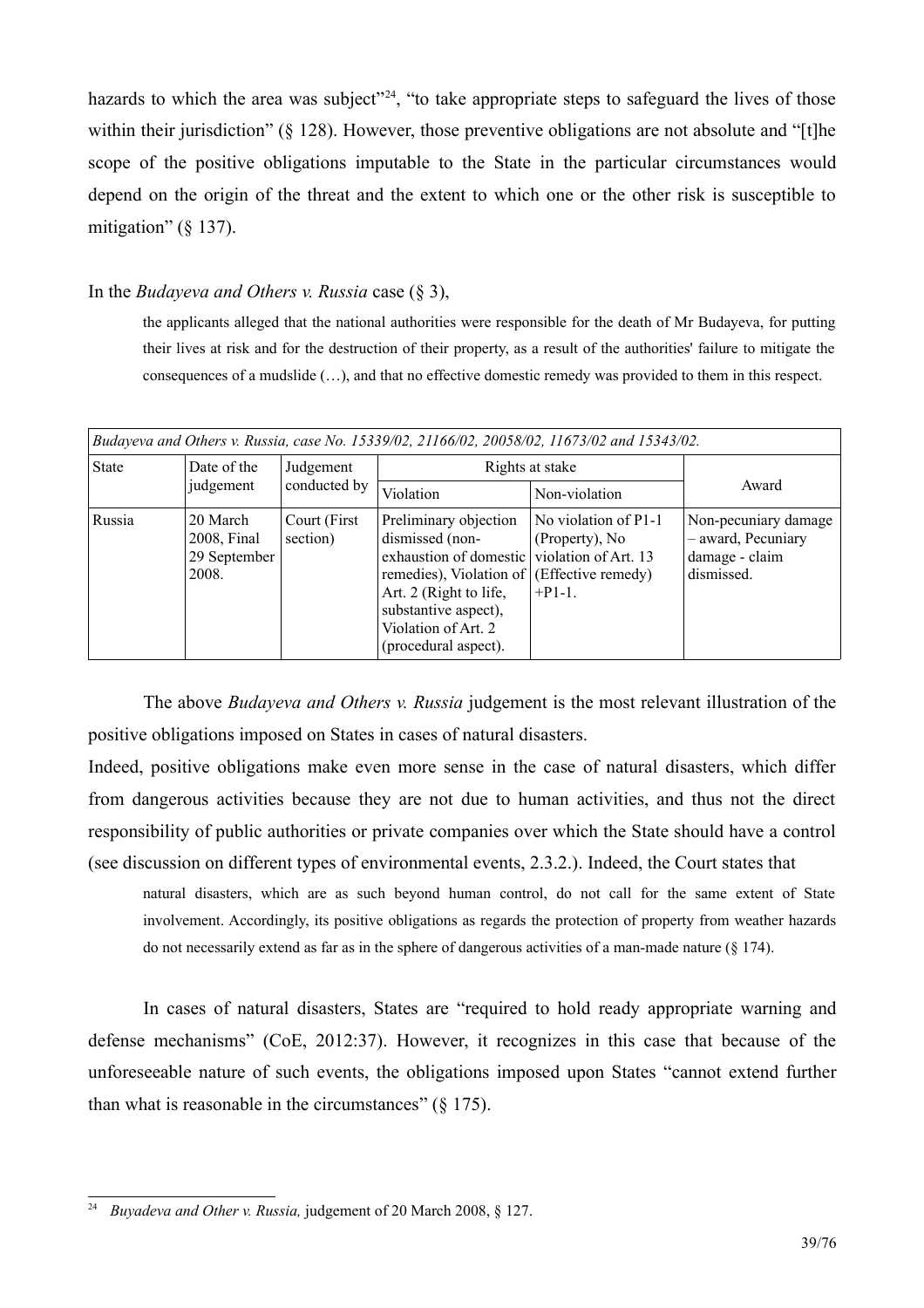hazards to which the area was subject<sup>"24</sup>, "to take appropriate steps to safeguard the lives of those within their jurisdiction"  $(\S 128)$ . However, those preventive obligations are not absolute and "[t] the scope of the positive obligations imputable to the State in the particular circumstances would depend on the origin of the threat and the extent to which one or the other risk is susceptible to mitigation" ( $\S$  137).

## In the *Budayeva and Others v. Russia* case  $(\S 3)$ ,

the applicants alleged that the national authorities were responsible for the death of Mr Budayeva, for putting their lives at risk and for the destruction of their property, as a result of the authorities' failure to mitigate the consequences of a mudslide  $(\ldots)$ , and that no effective domestic remedy was provided to them in this respect.

| Budayeva and Others v. Russia, case No. 15339/02, 21166/02, 20058/02, 11673/02 and 15343/02. |                                                  |                           |                                                                                                                                                                                                |                                                                                                   |                                                                            |
|----------------------------------------------------------------------------------------------|--------------------------------------------------|---------------------------|------------------------------------------------------------------------------------------------------------------------------------------------------------------------------------------------|---------------------------------------------------------------------------------------------------|----------------------------------------------------------------------------|
| <b>State</b>                                                                                 | Date of the<br>judgement                         | Judgement<br>conducted by | Rights at stake                                                                                                                                                                                |                                                                                                   |                                                                            |
|                                                                                              |                                                  |                           | Violation                                                                                                                                                                                      | Non-violation                                                                                     | Award                                                                      |
| Russia                                                                                       | 20 March<br>2008, Final<br>29 September<br>2008. | Court (First<br>section)  | Preliminary objection<br>dismissed (non-<br>exhaustion of domestic<br>remedies), Violation of<br>Art. 2 (Right to life,<br>substantive aspect),<br>Violation of Art. 2<br>(procedural aspect). | No violation of P1-1<br>(Property), No<br>violation of Art. 13<br>(Effective remedy)<br>$+P1-1$ . | Non-pecuniary damage<br>- award, Pecuniary<br>damage - claim<br>dismissed. |

The above *Budayeva and Others v. Russia* judgement is the most relevant illustration of the positive obligations imposed on States in cases of natural disasters.

Indeed, positive obligations make even more sense in the case of natural disasters, which differ from dangerous activities because they are not due to human activities, and thus not the direct responsibility of public authorities or private companies over which the State should have a control (see discussion on different types of environmental events, 2.3.2.). Indeed, the Court states that

natural disasters, which are as such beyond human control, do not call for the same extent of State involvement. Accordingly, its positive obligations as regards the protection of property from weather hazards do not necessarily extend as far as in the sphere of dangerous activities of a man-made nature  $(\S 174)$ .

In cases of natural disasters, States are "required to hold ready appropriate warning and defense mechanisms" (CoE, 2012:37). However, it recognizes in this case that because of the unforeseeable nature of such events, the obligations imposed upon States "cannot extend further than what is reasonable in the circumstances"  $(8\ 175)$ .

<span id="page-38-0"></span><sup>&</sup>lt;sup>24</sup> Buvadeva and Other v. Russia, judgement of 20 March 2008, § 127.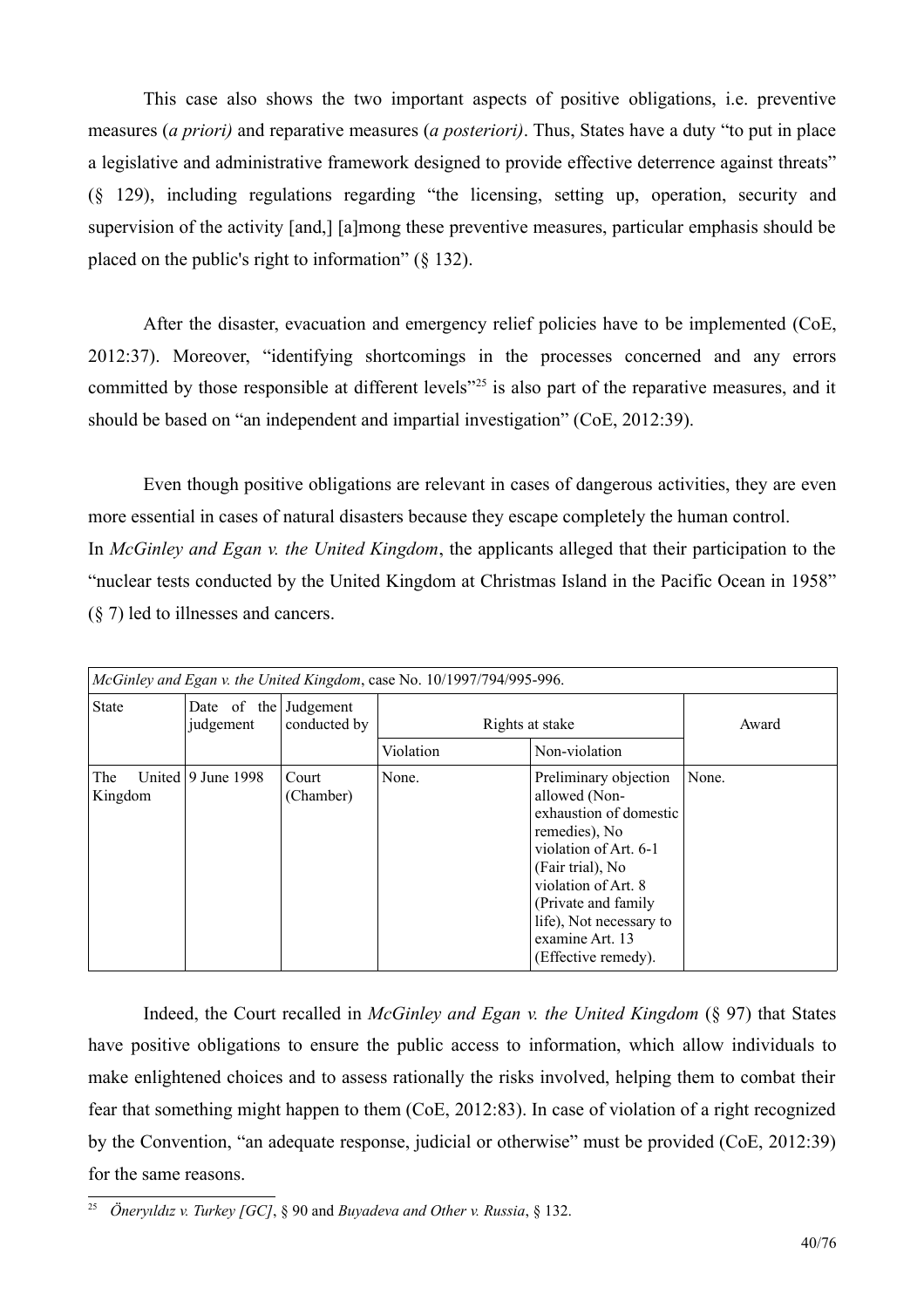This case also shows the two important aspects of positive obligations, i.e. preventive measures (*a priori*) and reparative measures (*a posteriori*). Thus, States have a duty "to put in place a legislative and administrative framework designed to provide effective deterrence against threats"  $(\S$  129), including regulations regarding "the licensing, setting up, operation, security and supervision of the activity [and,] [a]mong these preventive measures, particular emphasis should be placed on the public's right to information"  $(\S 132)$ .

After the disaster, evacuation and emergency relief policies have to be implemented (CoE, 2012:37). Moreover, "identifying shortcomings in the processes concerned and any errors committed by those responsible at different levels<sup>"25</sup> is also part of the reparative measures, and it should be based on "an independent and impartial investigation" (CoE, 2012:39).

Even though positive obligations are relevant in cases of dangerous activities, they are even more essential in cases of natural disasters because they escape completely the human control. In McGinley and Egan v. the United Kingdom, the applicants alleged that their participation to the "nuclear tests conducted by the United Kingdom at Christmas Island in the Pacific Ocean in 1958"  $(\S 7)$  led to illnesses and cancers.

| McGinley and Egan v. the United Kingdom, case No. 10/1997/794/995-996. |                                    |                    |                 |                                                                                                                                                                                                                                                    |       |
|------------------------------------------------------------------------|------------------------------------|--------------------|-----------------|----------------------------------------------------------------------------------------------------------------------------------------------------------------------------------------------------------------------------------------------------|-------|
| <b>State</b>                                                           | Date of the Judgement<br>judgement | conducted by       | Rights at stake |                                                                                                                                                                                                                                                    | Award |
|                                                                        |                                    |                    | Violation       | Non-violation                                                                                                                                                                                                                                      |       |
| The<br>Kingdom                                                         | United $\vert$ 9 June 1998         | Court<br>(Chamber) | None.           | Preliminary objection<br>allowed (Non-<br>exhaustion of domestic<br>remedies), No<br>violation of Art. 6-1<br>(Fair trial), No<br>violation of Art. 8<br>(Private and family)<br>life), Not necessary to<br>examine Art. 13<br>(Effective remedy). | None. |

Indeed, the Court recalled in *McGinley and Egan v. the United Kingdom*  $(\S 97)$  that States have positive obligations to ensure the public access to information, which allow individuals to make enlightened choices and to assess rationally the risks involved, helping them to combat their fear that something might happen to them (CoE, 2012:83). In case of violation of a right recognized by the Convention, "an adequate response, judicial or otherwise" must be provided (CoE, 2012:39) for the same reasons.

<span id="page-39-0"></span><sup>&</sup>lt;sup>25</sup> Önervildiz v. Turkey [GC], § 90 and Buyadeva and Other v. Russia, § 132.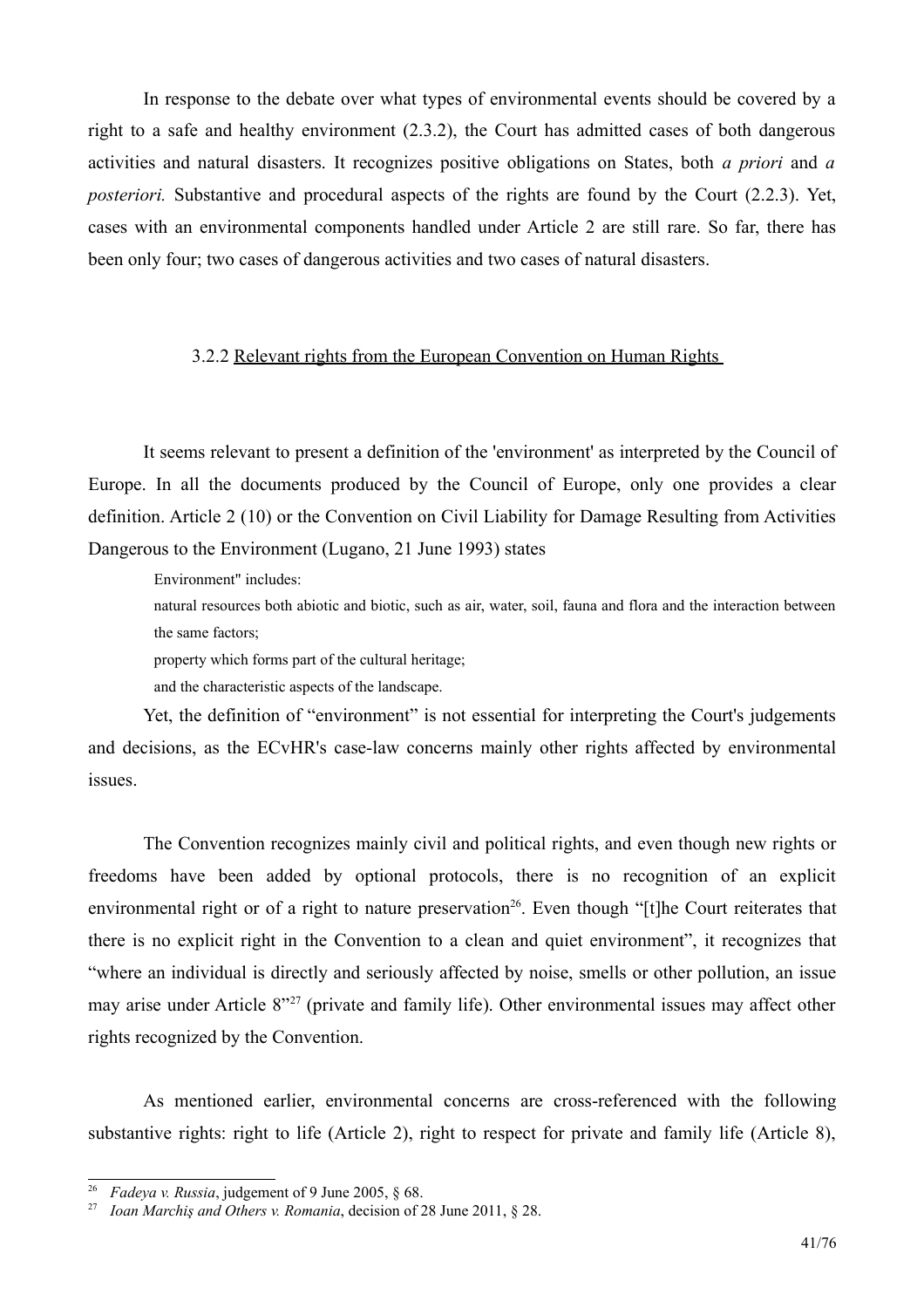In response to the debate over what types of environmental events should be covered by a right to a safe and healthy environment (2.3.2), the Court has admitted cases of both dangerous activities and natural disasters. It recognizes positive obligations on States, both *a priori* and *a posteriori*. Substantive and procedural aspects of the rights are found by the Court (2.2.3). Yet, cases with an environmental components handled under Article 2 are still rare. So far, there has been only four; two cases of dangerous activities and two cases of natural disasters.

## 3.2.2 Relevant rights from the European Convention on Human Rights

It seems relevant to present a definition of the 'environment' as interpreted by the Council of Europe. In all the documents produced by the Council of Europe, only one provides a clear definition. Article 2 (10) or the Convention on Civil Liability for Damage Resulting from Activities Dangerous to the Environment (Lugano, 21 June 1993) states

Environment" includes:

natural resources both abiotic and biotic, such as air, water, soil, fauna and flora and the interaction between the same factors;

property which forms part of the cultural heritage;

and the characteristic aspects of the landscape.

Yet, the definition of "environment" is not essential for interpreting the Court's judgements and decisions, as the ECvHR's case-law concerns mainly other rights affected by environmental issues.

The Convention recognizes mainly civil and political rights, and even though new rights or freedoms have been added by optional protocols, there is no recognition of an explicit environmental right or of a right to nature preservation<sup>26</sup>. Even though "[t] the Court reiterates that there is no explicit right in the Convention to a clean and quiet environment", it recognizes that "where an individual is directly and seriously affected by noise, smells or other pollution, an issue may arise under Article 8<sup>327</sup> (private and family life). Other environmental issues may affect other rights recognized by the Convention.

As mentioned earlier, environmental concerns are cross-referenced with the following substantive rights: right to life (Article 2), right to respect for private and family life (Article 8),

<span id="page-40-1"></span><sup>&</sup>lt;sup>26</sup> *Fadeya v. Russia*, judgement of 9 June 2005, § 68.

<span id="page-40-0"></span><sup>&</sup>lt;sup>27</sup> Ioan Marchis and Others v. Romania, decision of 28 June 2011, § 28.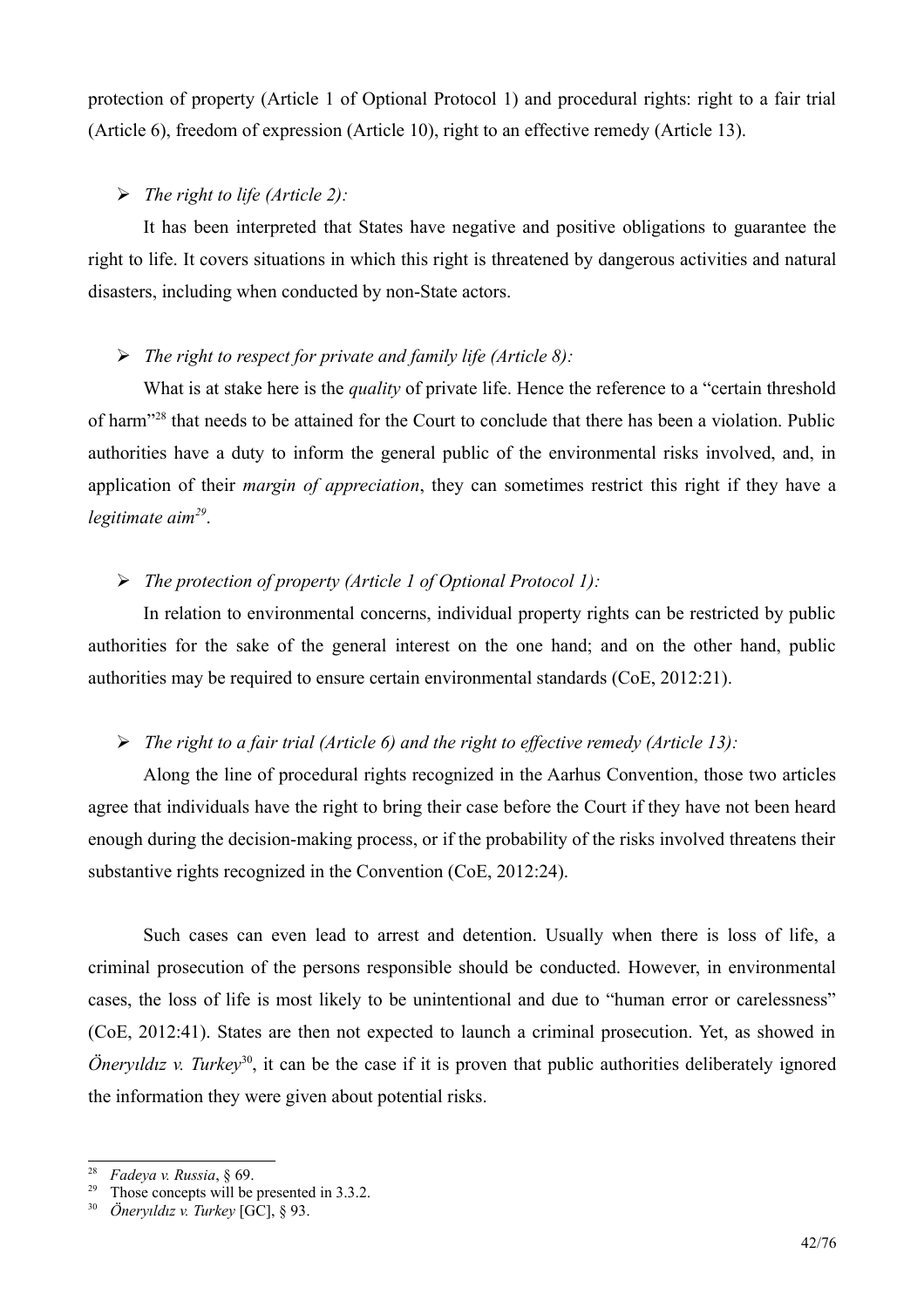protection of property (Article 1 of Optional Protocol 1) and procedural rights: right to a fair trial (Article 6), freedom of expression (Article 10), right to an effective remedy (Article 13).

## $\triangleright$  The right to life (Article 2):

It has been interpreted that States have negative and positive obligations to guarantee the right to life. It covers situations in which this right is threatened by dangerous activities and natural disasters, including when conducted by non-State actors.

## $\triangleright$  The right to respect for private and family life (Article 8):

What is at stake here is the *quality* of private life. Hence the reference to a "certain threshold" of harm<sup>"28</sup> that needs to be attained for the Court to conclude that there has been a violation. Public authorities have a duty to inform the general public of the environmental risks involved, and, in application of their *margin of appreciation*, they can sometimes restrict this right if they have a legitimate  $aim<sup>29</sup>$ .

## $\triangleright$  The protection of property (Article 1 of Optional Protocol 1):

In relation to environmental concerns, individual property rights can be restricted by public authorities for the sake of the general interest on the one hand; and on the other hand, public authorities may be required to ensure certain environmental standards (CoE, 2012:21).

## $\triangleright$  The right to a fair trial (Article 6) and the right to effective remedy (Article 13):

Along the line of procedural rights recognized in the Aarhus Convention, those two articles agree that individuals have the right to bring their case before the Court if they have not been heard enough during the decision-making process, or if the probability of the risks involved threatens their substantive rights recognized in the Convention (CoE, 2012:24).

Such cases can even lead to arrest and detention. Usually when there is loss of life, a criminal prosecution of the persons responsible should be conducted. However, in environmental cases, the loss of life is most likely to be unintentional and due to "human error or carelessness" (CoE, 2012:41). States are then not expected to launch a criminal prosecution. Yet, as showed in *Onervildiz v. Turkev*<sup>30</sup>, it can be the case if it is proven that public authorities deliberately ignored the information they were given about potential risks.

<span id="page-41-1"></span><sup>&</sup>lt;sup>28</sup> Fadeya v. Russia, § 69.

<span id="page-41-2"></span><sup>&</sup>lt;sup>29</sup> Those concepts will be presented in  $3.3.2$ .

<span id="page-41-0"></span> $30$  *Öneryıldız v. Turkey* [GC], § 93.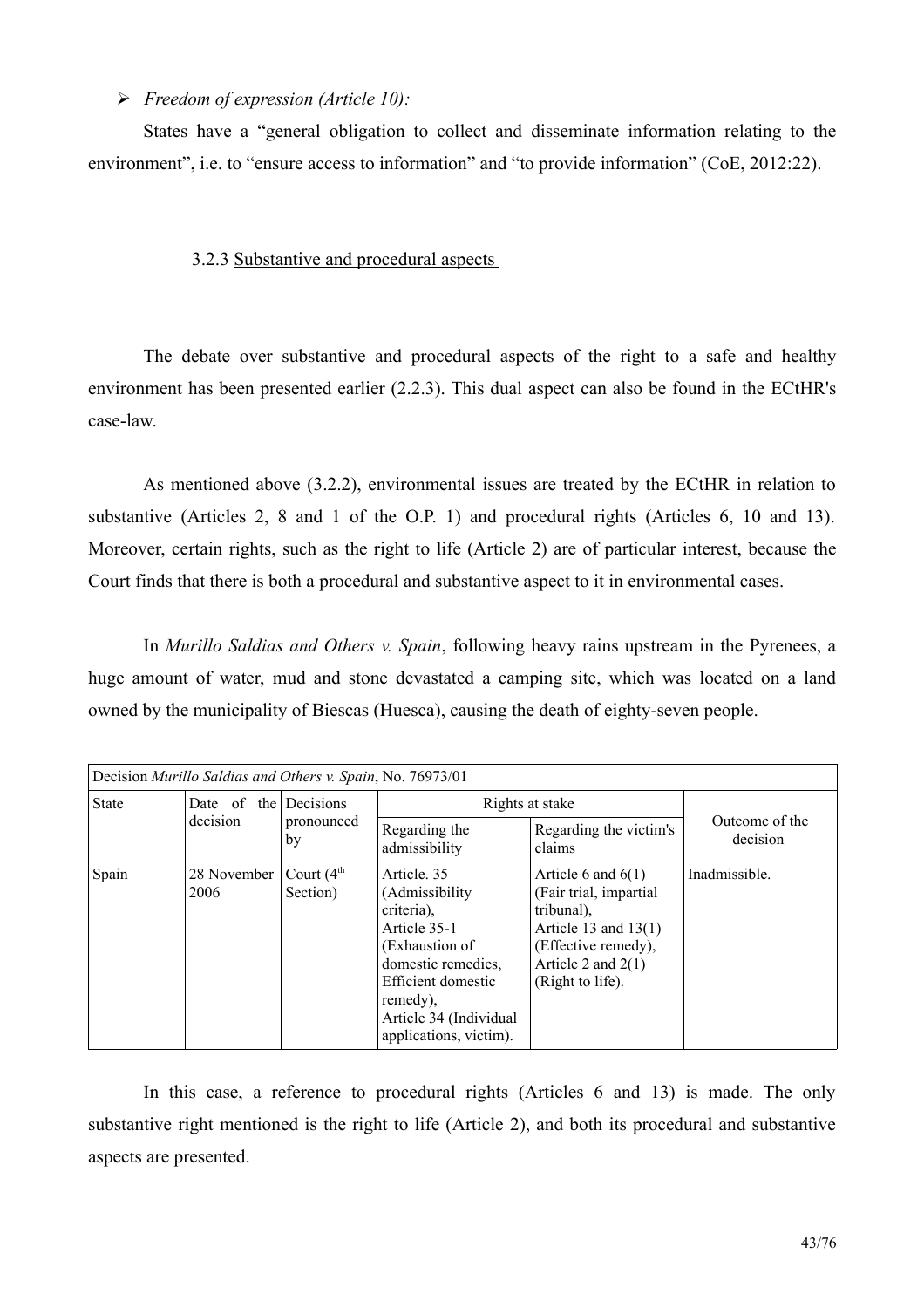## $\triangleright$  Freedom of expression (Article 10):

States have a "general obligation to collect and disseminate information relating to the environment", i.e. to "ensure access to information" and "to provide information" (CoE, 2012:22).

## 3.2.3 Substantive and procedural aspects

The debate over substantive and procedural aspects of the right to a safe and healthy environment has been presented earlier (2.2.3). This dual aspect can also be found in the ECtHR's case-law

As mentioned above (3.2.2), environmental issues are treated by the ECtHR in relation to substantive (Articles 2, 8 and 1 of the O.P. 1) and procedural rights (Articles 6, 10 and 13). Moreover, certain rights, such as the right to life (Article 2) are of particular interest, because the Court finds that there is both a procedural and substantive aspect to it in environmental cases.

In Murillo Saldias and Others v. Spain, following heavy rains upstream in the Pyrenees, a huge amount of water, mud and stone devastated a camping site, which was located on a land owned by the municipality of Biescas (Huesca), causing the death of eighty-seven people.

| Decision Murillo Saldias and Others v. Spain, No. 76973/01 |                         |                               |                                                                                                                                                                                            |                                                                                                                                                           |                            |
|------------------------------------------------------------|-------------------------|-------------------------------|--------------------------------------------------------------------------------------------------------------------------------------------------------------------------------------------|-----------------------------------------------------------------------------------------------------------------------------------------------------------|----------------------------|
| <b>State</b>                                               | Date of the<br>decision | Decisions<br>pronounced<br>by | Rights at stake                                                                                                                                                                            |                                                                                                                                                           |                            |
|                                                            |                         |                               | Regarding the<br>admissibility                                                                                                                                                             | Regarding the victim's<br>claims                                                                                                                          | Outcome of the<br>decision |
| Spain                                                      | 28 November<br>2006     | Court $(4th$<br>Section)      | Article, 35<br>(Admissibility)<br>criteria).<br>Article 35-1<br>(Exhaustion of<br>domestic remedies,<br>Efficient domestic<br>remedy),<br>Article 34 (Individual<br>applications, victim). | Article 6 and $6(1)$<br>(Fair trial, impartial<br>tribunal),<br>Article 13 and $13(1)$<br>(Effective remedy),<br>Article 2 and $2(1)$<br>(Right to life). | Inadmissible.              |

In this case, a reference to procedural rights (Articles 6 and 13) is made. The only substantive right mentioned is the right to life (Article 2), and both its procedural and substantive aspects are presented.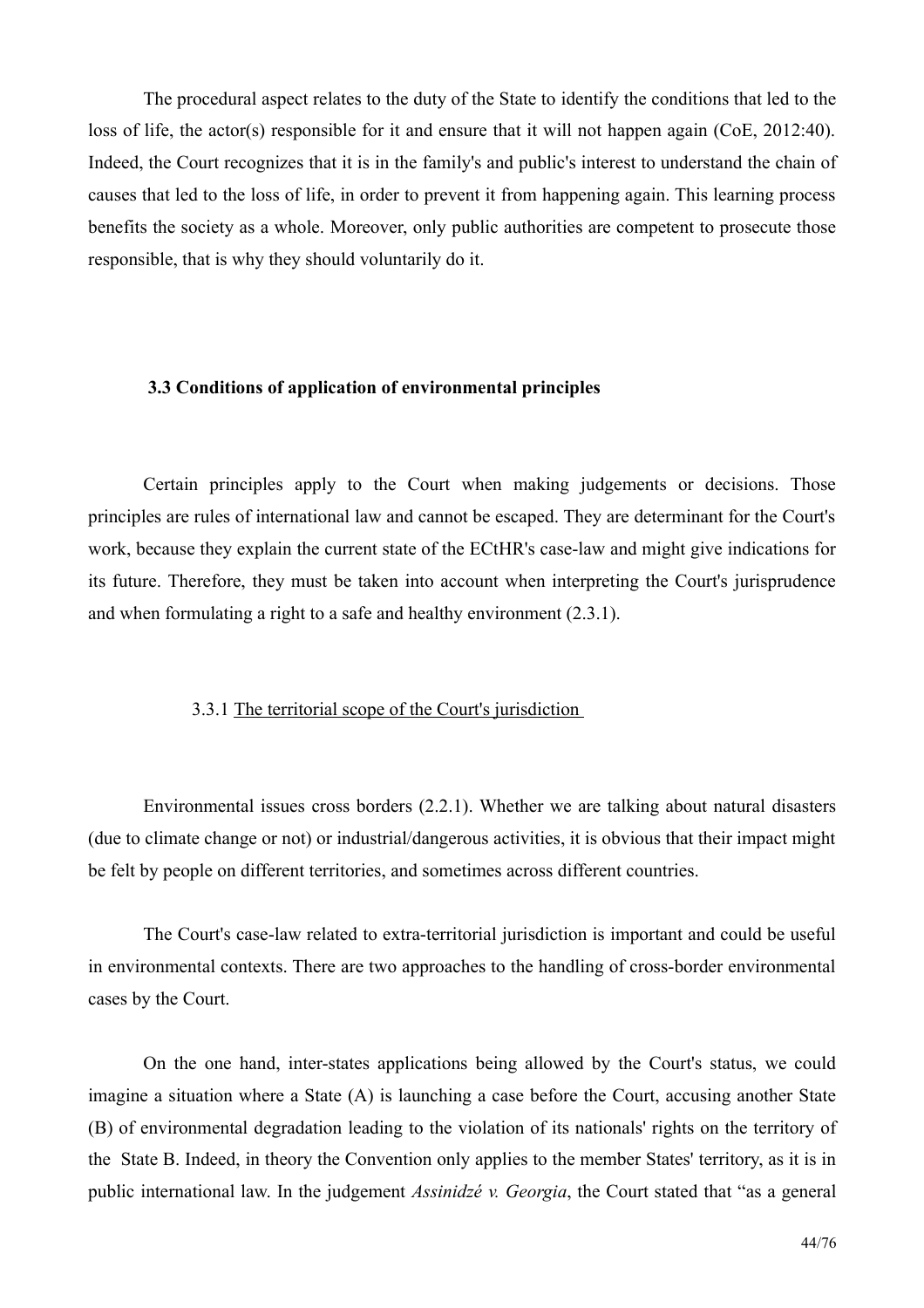The procedural aspect relates to the duty of the State to identify the conditions that led to the loss of life, the actor(s) responsible for it and ensure that it will not happen again ( $CoE$ , 2012:40). Indeed, the Court recognizes that it is in the family's and public's interest to understand the chain of causes that led to the loss of life, in order to prevent it from happening again. This learning process benefits the society as a whole. Moreover, only public authorities are competent to prosecute those responsible, that is why they should voluntarily do it.

#### 3.3 Conditions of application of environmental principles

Certain principles apply to the Court when making judgements or decisions. Those principles are rules of international law and cannot be escaped. They are determinant for the Court's work, because they explain the current state of the ECtHR's case-law and might give indications for its future. Therefore, they must be taken into account when interpreting the Court's jurisprudence and when formulating a right to a safe and healthy environment  $(2.3.1)$ .

## 3.3.1 The territorial scope of the Court's jurisdiction

Environmental issues cross borders (2.2.1). Whether we are talking about natural disasters (due to climate change or not) or industrial/dangerous activities, it is obvious that their impact might be felt by people on different territories, and sometimes across different countries.

The Court's case-law related to extra-territorial jurisdiction is important and could be useful in environmental contexts. There are two approaches to the handling of cross-border environmental cases by the Court.

On the one hand, inter-states applications being allowed by the Court's status, we could imagine a situation where a State (A) is launching a case before the Court, accusing another State (B) of environmental degradation leading to the violation of its nationals' rights on the territory of the State B. Indeed, in theory the Convention only applies to the member States' territory, as it is in public international law. In the judgement Assinidzé v. Georgia, the Court stated that "as a general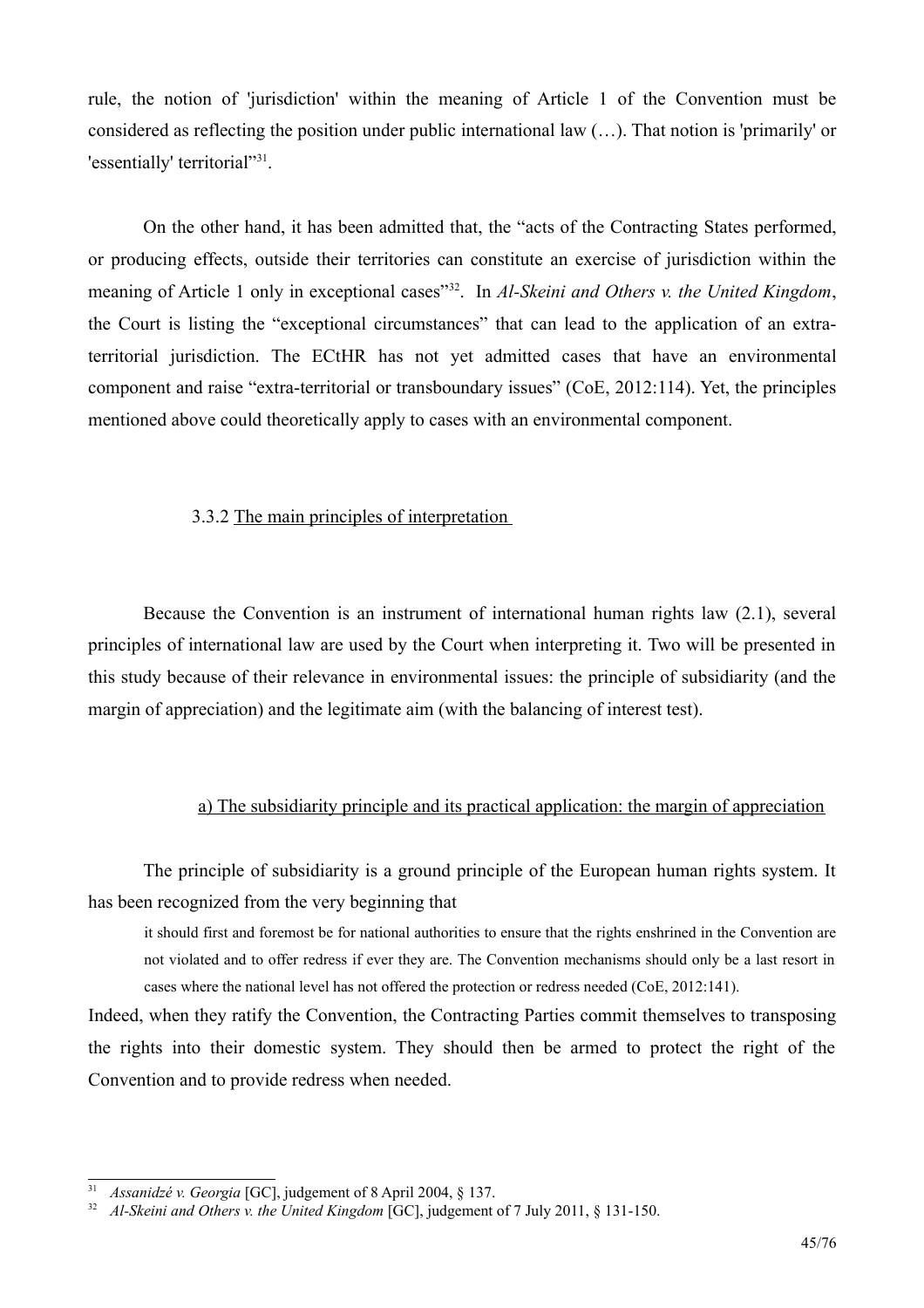rule, the notion of 'jurisdiction' within the meaning of Article 1 of the Convention must be considered as reflecting the position under public international law  $(\dots)$ . That notion is 'primarily' or 'essentially' territorial"<sup>31</sup>.

On the other hand, it has been admitted that, the "acts of the Contracting States performed, or producing effects, outside their territories can constitute an exercise of jurisdiction within the meaning of Article 1 only in exceptional cases"<sup>32</sup>. In Al-Skeini and Others v. the United Kingdom, the Court is listing the "exceptional circumstances" that can lead to the application of an extraterritorial jurisdiction. The ECtHR has not yet admitted cases that have an environmental component and raise "extra-territorial or transboundary issues" (CoE, 2012;114). Yet, the principles mentioned above could theoretically apply to cases with an environmental component.

## 3.3.2 The main principles of interpretation

Because the Convention is an instrument of international human rights law (2.1), several principles of international law are used by the Court when interpreting it. Two will be presented in this study because of their relevance in environmental issues: the principle of subsidiarity (and the margin of appreciation) and the legitimate aim (with the balancing of interest test).

#### a) The subsidiarity principle and its practical application: the margin of appreciation

The principle of subsidiarity is a ground principle of the European human rights system. It has been recognized from the very beginning that

it should first and foremost be for national authorities to ensure that the rights enshrined in the Convention are not violated and to offer redress if ever they are. The Convention mechanisms should only be a last resort in cases where the national level has not offered the protection or redress needed (CoE, 2012:141).

Indeed, when they ratify the Convention, the Contracting Parties commit themselves to transposing the rights into their domestic system. They should then be armed to protect the right of the Convention and to provide redress when needed.

<span id="page-44-1"></span><sup>&</sup>lt;sup>31</sup> *Assanidzé v. Georgia* [GC], judgement of 8 April 2004, § 137.

<span id="page-44-0"></span><sup>&</sup>lt;sup>32</sup> Al-Skeini and Others v. the United Kingdom [GC], judgement of 7 July 2011, § 131-150.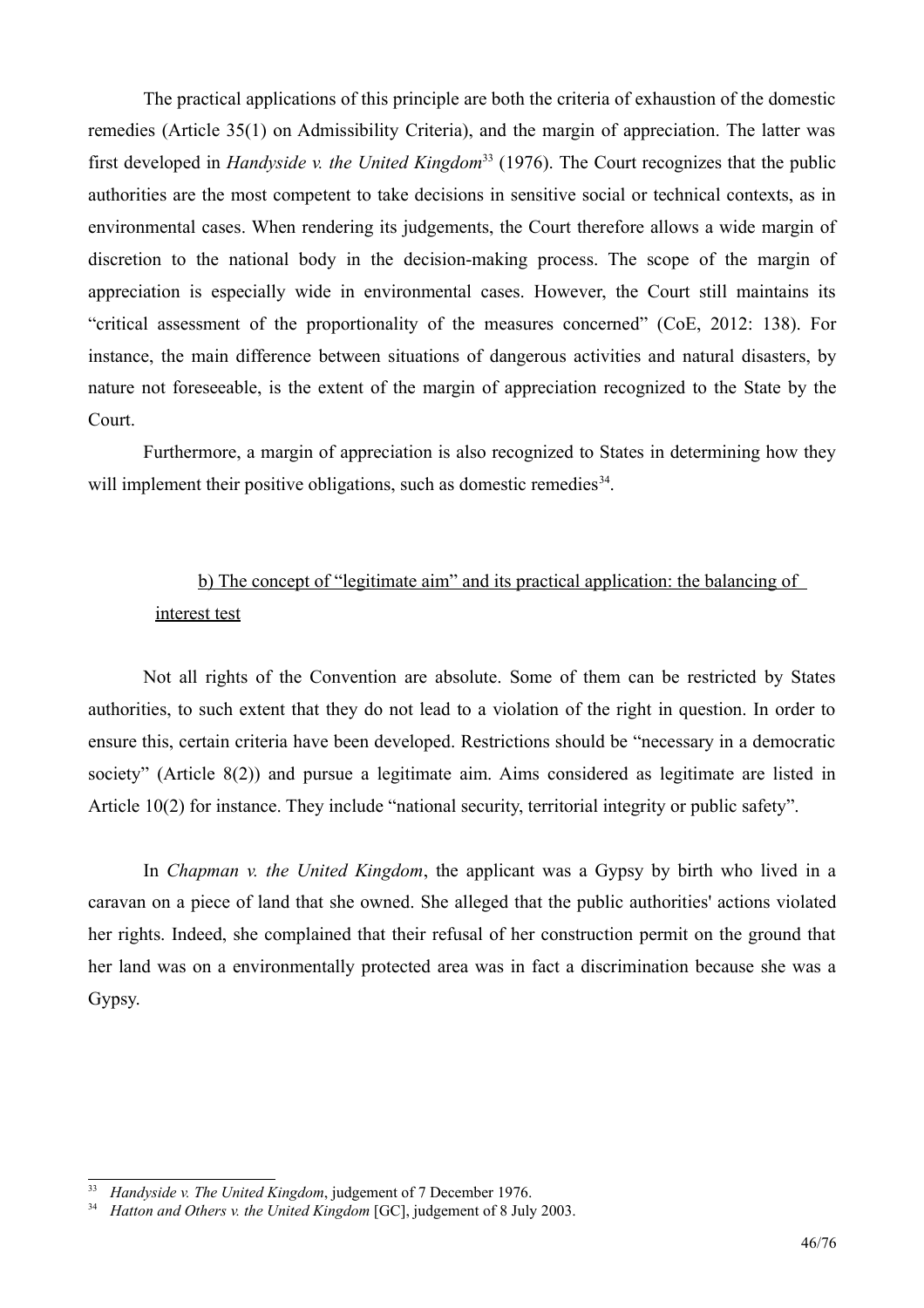The practical applications of this principle are both the criteria of exhaustion of the domestic remedies (Article 35(1) on Admissibility Criteria), and the margin of appreciation. The latter was first developed in *Handyside v. the United Kingdom*<sup>33</sup> (1976). The Court recognizes that the public authorities are the most competent to take decisions in sensitive social or technical contexts, as in environmental cases. When rendering its judgements, the Court therefore allows a wide margin of discretion to the national body in the decision-making process. The scope of the margin of appreciation is especially wide in environmental cases. However, the Court still maintains its "critical assessment of the proportionality of the measures concerned" (CoE, 2012: 138). For instance, the main difference between situations of dangerous activities and natural disasters, by nature not foreseeable, is the extent of the margin of appreciation recognized to the State by the Court.

Furthermore, a margin of appreciation is also recognized to States in determining how they will implement their positive obligations, such as domestic remedies<sup>34</sup>.

## b) The concept of "legitimate aim" and its practical application: the balancing of interest test

Not all rights of the Convention are absolute. Some of them can be restricted by States authorities, to such extent that they do not lead to a violation of the right in question. In order to ensure this, certain criteria have been developed. Restrictions should be "necessary in a democratic society" (Article  $8(2)$ ) and pursue a legitimate aim. Aims considered as legitimate are listed in Article 10(2) for instance. They include "national security, territorial integrity or public safety".

In *Chapman v. the United Kingdom*, the applicant was a Gypsy by birth who lived in a caravan on a piece of land that she owned. She alleged that the public authorities' actions violated her rights. Indeed, she complained that their refusal of her construction permit on the ground that her land was on a environmentally protected area was in fact a discrimination because she was a Gypsy.

<span id="page-45-1"></span><sup>&</sup>lt;sup>33</sup> Handyside v. The United Kingdom, judgement of 7 December 1976.

<span id="page-45-0"></span><sup>&</sup>lt;sup>34</sup> Hatton and Others v. the United Kingdom [GC], judgement of 8 July 2003.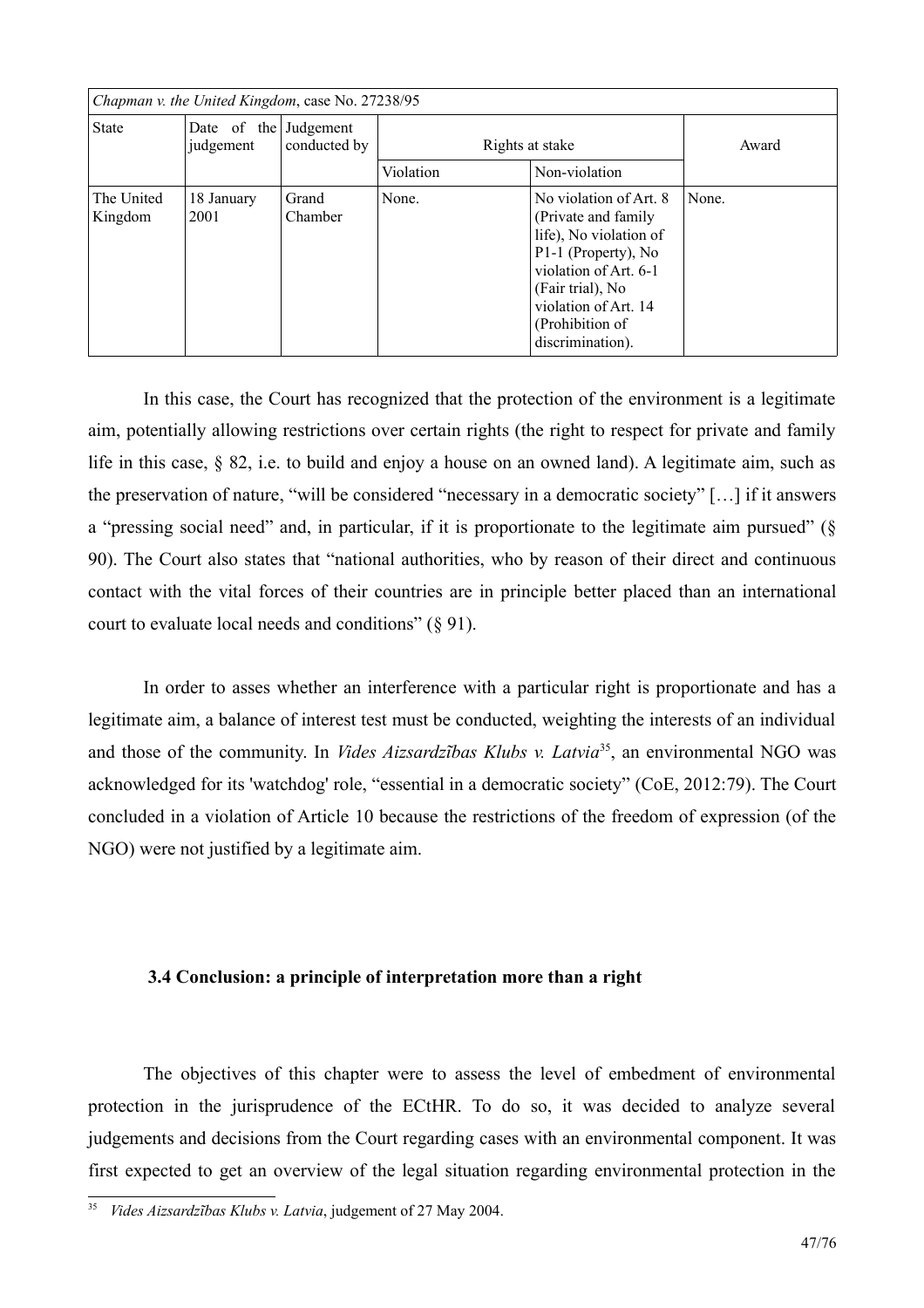| Chapman v. the United Kingdom, case No. 27238/95 |                                    |                  |                 |                                                                                                                                                                                                             |       |
|--------------------------------------------------|------------------------------------|------------------|-----------------|-------------------------------------------------------------------------------------------------------------------------------------------------------------------------------------------------------------|-------|
| <b>State</b>                                     | Date of the Judgement<br>judgement | conducted by     | Rights at stake |                                                                                                                                                                                                             | Award |
|                                                  |                                    |                  | Violation       | Non-violation                                                                                                                                                                                               |       |
| The United<br>Kingdom                            | 18 January<br>2001                 | Grand<br>Chamber | None.           | No violation of Art. 8<br>(Private and family)<br>life), No violation of<br>P1-1 (Property), No<br>violation of Art. 6-1<br>(Fair trial), No<br>violation of Art. 14<br>(Prohibition of<br>discrimination). | None. |

In this case, the Court has recognized that the protection of the environment is a legitimate aim, potentially allowing restrictions over certain rights (the right to respect for private and family life in this case, § 82, i.e. to build and enjoy a house on an owned land). A legitimate aim, such as the preservation of nature, "will be considered "necessary in a democratic society" [...] if it answers a "pressing social need" and, in particular, if it is proportionate to the legitimate aim pursued" (§ 90). The Court also states that "national authorities, who by reason of their direct and continuous contact with the vital forces of their countries are in principle better placed than an international court to evaluate local needs and conditions"  $(\S 91)$ .

In order to asses whether an interference with a particular right is proportionate and has a legitimate aim, a balance of interest test must be conducted, weighting the interests of an individual and those of the community. In *Vides Aizsardzības Klubs v. Latvia*<sup>35</sup>, an environmental NGO was acknowledged for its 'watchdog' role, "essential in a democratic society" (CoE, 2012:79). The Court concluded in a violation of Article 10 because the restrictions of the freedom of expression (of the NGO) were not justified by a legitimate aim.

#### 3.4 Conclusion: a principle of interpretation more than a right

The objectives of this chapter were to assess the level of embedment of environmental protection in the jurisprudence of the ECtHR. To do so, it was decided to analyze several judgements and decisions from the Court regarding cases with an environmental component. It was first expected to get an overview of the legal situation regarding environmental protection in the

<span id="page-46-0"></span><sup>&</sup>lt;sup>35</sup> Vides Aizsardzības Klubs v. Latvia, judgement of 27 May 2004.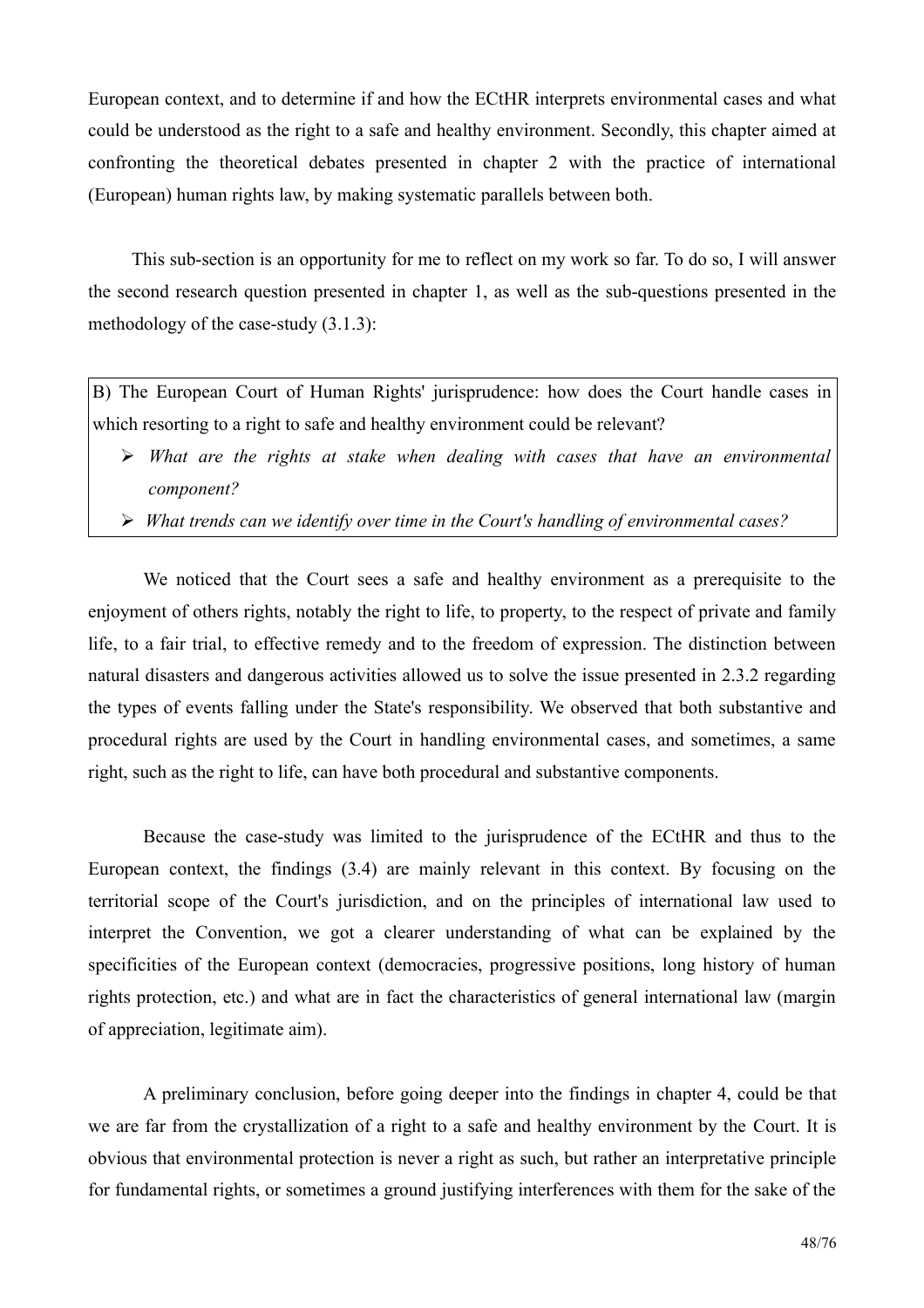European context, and to determine if and how the ECtHR interprets environmental cases and what could be understood as the right to a safe and healthy environment. Secondly, this chapter aimed at confronting the theoretical debates presented in chapter 2 with the practice of international (European) human rights law, by making systematic parallels between both.

This sub-section is an opportunity for me to reflect on my work so far. To do so, I will answer the second research question presented in chapter 1, as well as the sub-questions presented in the methodology of the case-study  $(3.1.3)$ :

B) The European Court of Human Rights' jurisprudence: how does the Court handle cases in which resorting to a right to safe and healthy environment could be relevant?

- $\triangleright$  What are the rights at stake when dealing with cases that have an environmental component?
- $\triangleright$  What trends can we identify over time in the Court's handling of environmental cases?

We noticed that the Court sees a safe and healthy environment as a prerequisite to the enjoyment of others rights, notably the right to life, to property, to the respect of private and family life, to a fair trial, to effective remedy and to the freedom of expression. The distinction between natural disasters and dangerous activities allowed us to solve the issue presented in 2.3.2 regarding the types of events falling under the State's responsibility. We observed that both substantive and procedural rights are used by the Court in handling environmental cases, and sometimes, a same right, such as the right to life, can have both procedural and substantive components.

Because the case-study was limited to the jurisprudence of the ECtHR and thus to the European context, the findings (3.4) are mainly relevant in this context. By focusing on the territorial scope of the Court's jurisdiction, and on the principles of international law used to interpret the Convention, we got a clearer understanding of what can be explained by the specificities of the European context (democracies, progressive positions, long history of human rights protection, etc.) and what are in fact the characteristics of general international law (margin of appreciation, legitimate aim).

A preliminary conclusion, before going deeper into the findings in chapter 4, could be that we are far from the crystallization of a right to a safe and healthy environment by the Court. It is obvious that environmental protection is never a right as such, but rather an interpretative principle for fundamental rights, or sometimes a ground justifying interferences with them for the sake of the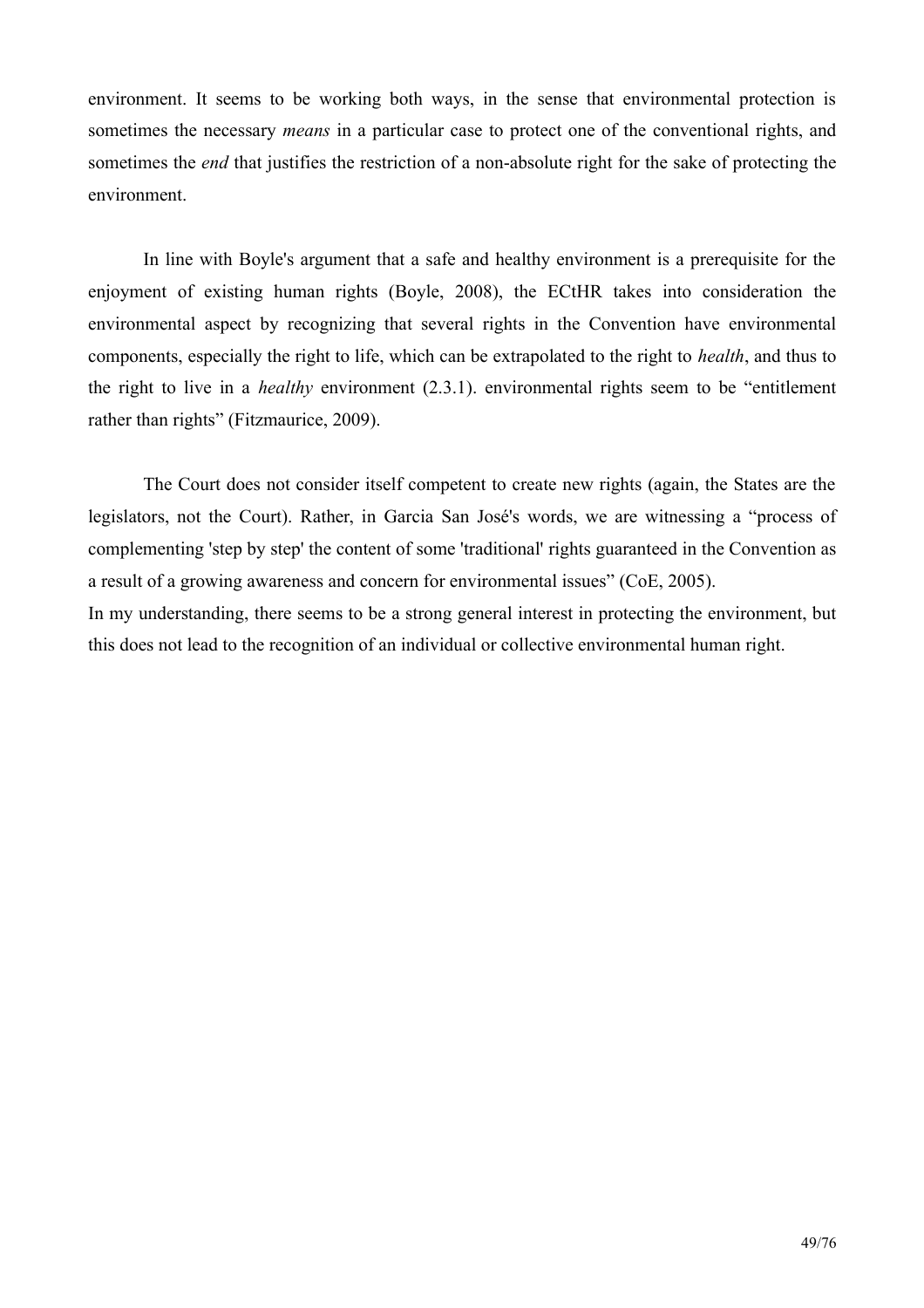environment. It seems to be working both ways, in the sense that environmental protection is sometimes the necessary *means* in a particular case to protect one of the conventional rights, and sometimes the *end* that justifies the restriction of a non-absolute right for the sake of protecting the environment.

In line with Boyle's argument that a safe and healthy environment is a prerequisite for the enjoyment of existing human rights (Boyle, 2008), the ECtHR takes into consideration the environmental aspect by recognizing that several rights in the Convention have environmental components, especially the right to life, which can be extrapolated to the right to *health*, and thus to the right to live in a *healthy* environment  $(2.3.1)$ , environmental rights seem to be "entitlement" rather than rights" (Fitzmaurice, 2009).

The Court does not consider itself competent to create new rights (again, the States are the legislators, not the Court). Rather, in Garcia San José's words, we are witnessing a "process of complementing 'step by step' the content of some 'traditional' rights guaranteed in the Convention as a result of a growing awareness and concern for environmental issues" (CoE, 2005).

In my understanding, there seems to be a strong general interest in protecting the environment, but this does not lead to the recognition of an individual or collective environmental human right.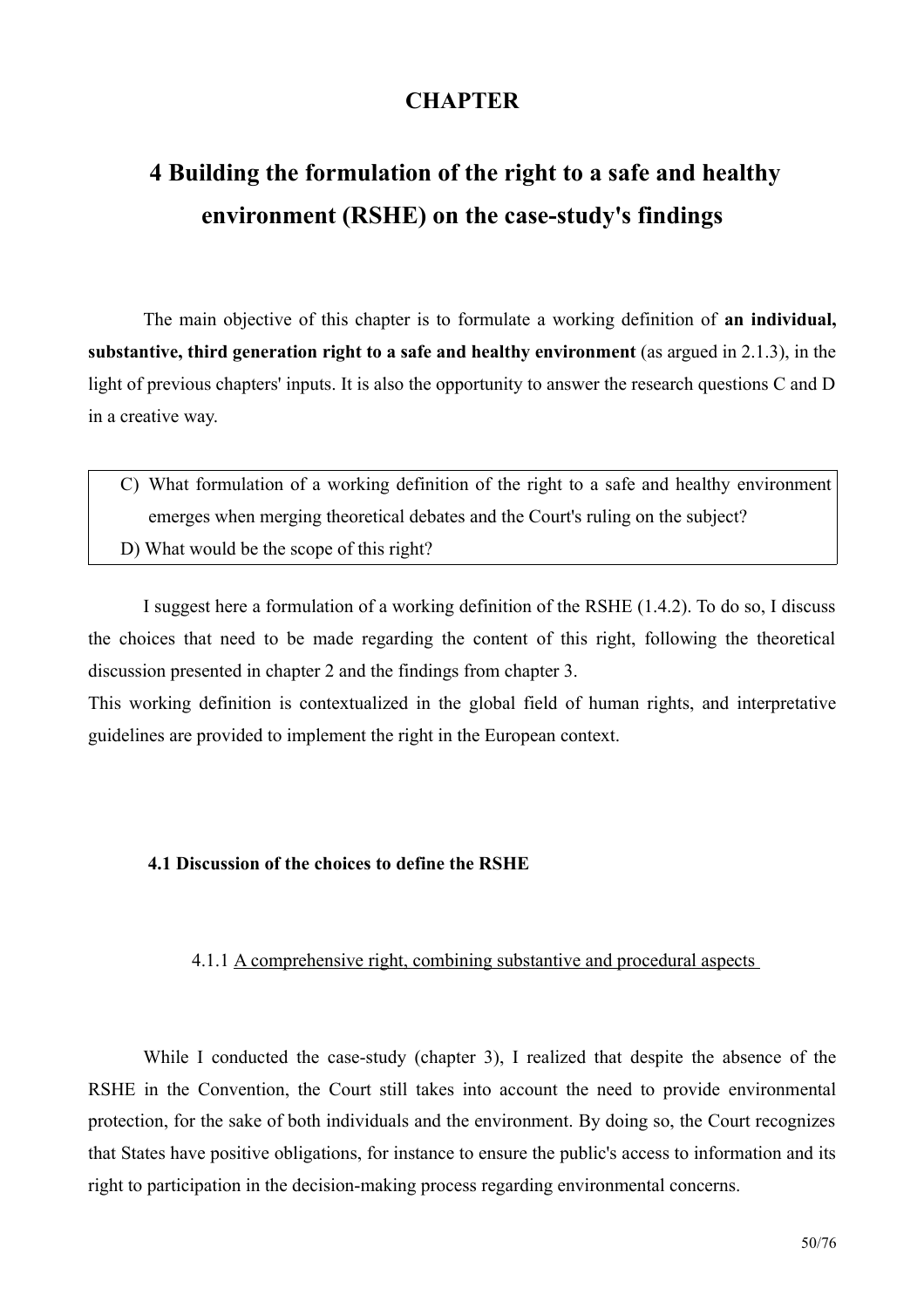## **CHAPTER**

# 4 Building the formulation of the right to a safe and healthy environment (RSHE) on the case-study's findings

The main objective of this chapter is to formulate a working definition of an individual, substantive, third generation right to a safe and healthy environment (as argued in  $2.1.3$ ), in the light of previous chapters' inputs. It is also the opportunity to answer the research questions C and D in a creative way.

C) What formulation of a working definition of the right to a safe and healthy environment emerges when merging theoretical debates and the Court's ruling on the subject? D) What would be the scope of this right?

I suggest here a formulation of a working definition of the RSHE (1.4.2). To do so, I discuss the choices that need to be made regarding the content of this right, following the theoretical discussion presented in chapter 2 and the findings from chapter 3.

This working definition is contextualized in the global field of human rights, and interpretative guidelines are provided to implement the right in the European context.

## 4.1 Discussion of the choices to define the RSHE

## 4.1.1 A comprehensive right, combining substantive and procedural aspects

While I conducted the case-study (chapter 3), I realized that despite the absence of the RSHE in the Convention, the Court still takes into account the need to provide environmental protection, for the sake of both individuals and the environment. By doing so, the Court recognizes that States have positive obligations, for instance to ensure the public's access to information and its right to participation in the decision-making process regarding environmental concerns.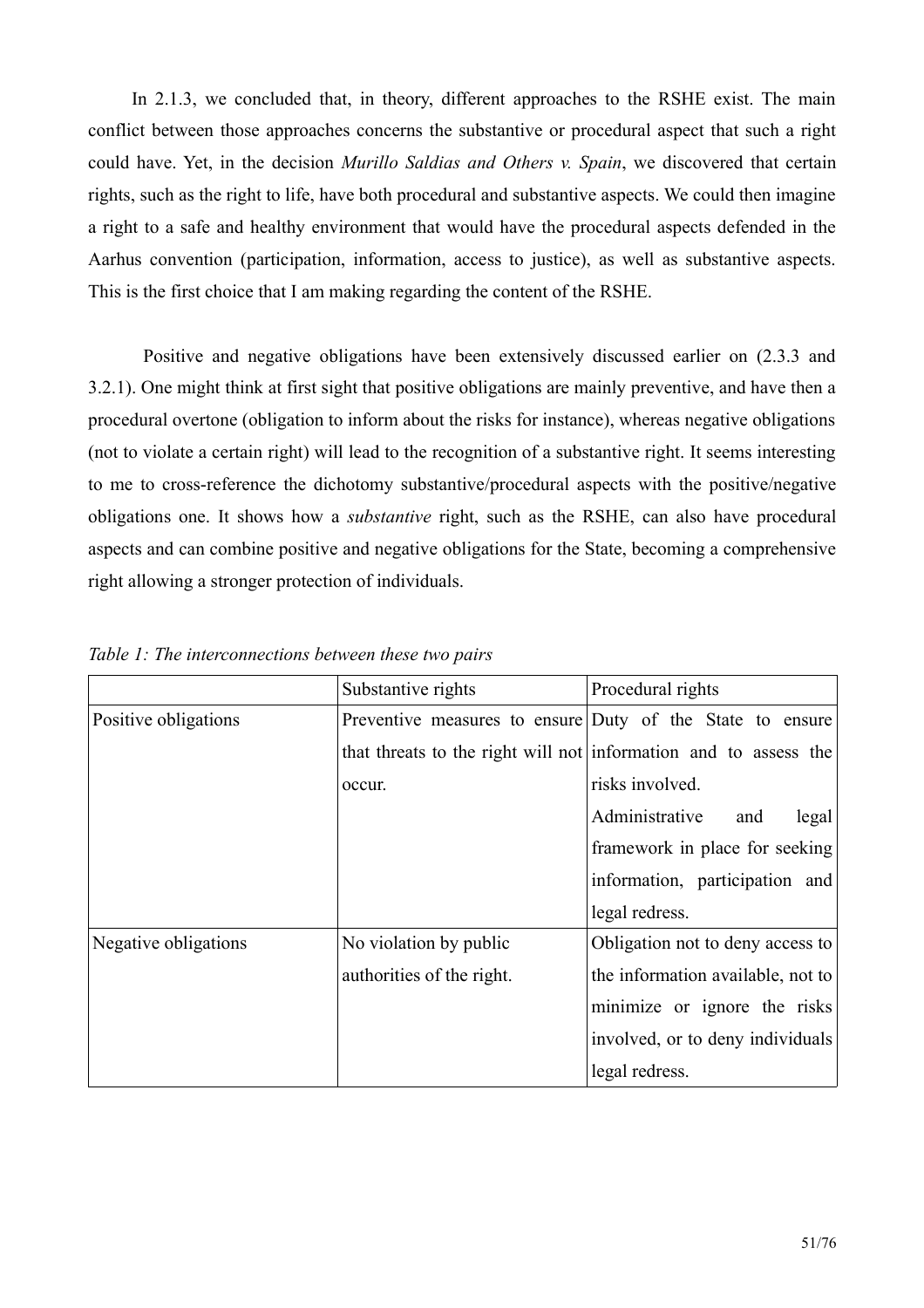In 2.1.3, we concluded that, in theory, different approaches to the RSHE exist. The main conflict between those approaches concerns the substantive or procedural aspect that such a right could have. Yet, in the decision Murillo Saldias and Others v. Spain, we discovered that certain rights, such as the right to life, have both procedural and substantive aspects. We could then imagine a right to a safe and healthy environment that would have the procedural aspects defended in the Aarhus convention (participation, information, access to justice), as well as substantive aspects. This is the first choice that I am making regarding the content of the RSHE.

Positive and negative obligations have been extensively discussed earlier on (2.3.3 and 3.2.1). One might think at first sight that positive obligations are mainly preventive, and have then a procedural overtone (obligation to inform about the risks for instance), whereas negative obligations (not to violate a certain right) will lead to the recognition of a substantive right. It seems interesting to me to cross-reference the dichotomy substantive/procedural aspects with the positive/negative obligations one. It shows how a *substantive* right, such as the RSHE, can also have procedural aspects and can combine positive and negative obligations for the State, becoming a comprehensive right allowing a stronger protection of individuals.

|                      | Substantive rights        | Procedural rights                                                |
|----------------------|---------------------------|------------------------------------------------------------------|
| Positive obligations |                           | Preventive measures to ensure Duty of the State to ensure        |
|                      |                           | that threats to the right will not information and to assess the |
|                      | occur.                    | risks involved.                                                  |
|                      |                           | Administrative<br>legal<br>and                                   |
|                      |                           | framework in place for seeking                                   |
|                      |                           | information, participation and                                   |
|                      |                           | legal redress.                                                   |
| Negative obligations | No violation by public    | Obligation not to deny access to                                 |
|                      | authorities of the right. | the information available, not to                                |
|                      |                           | minimize or ignore the risks                                     |
|                      |                           | involved, or to deny individuals                                 |
|                      |                           | legal redress.                                                   |

Table 1: The interconnections between these two pairs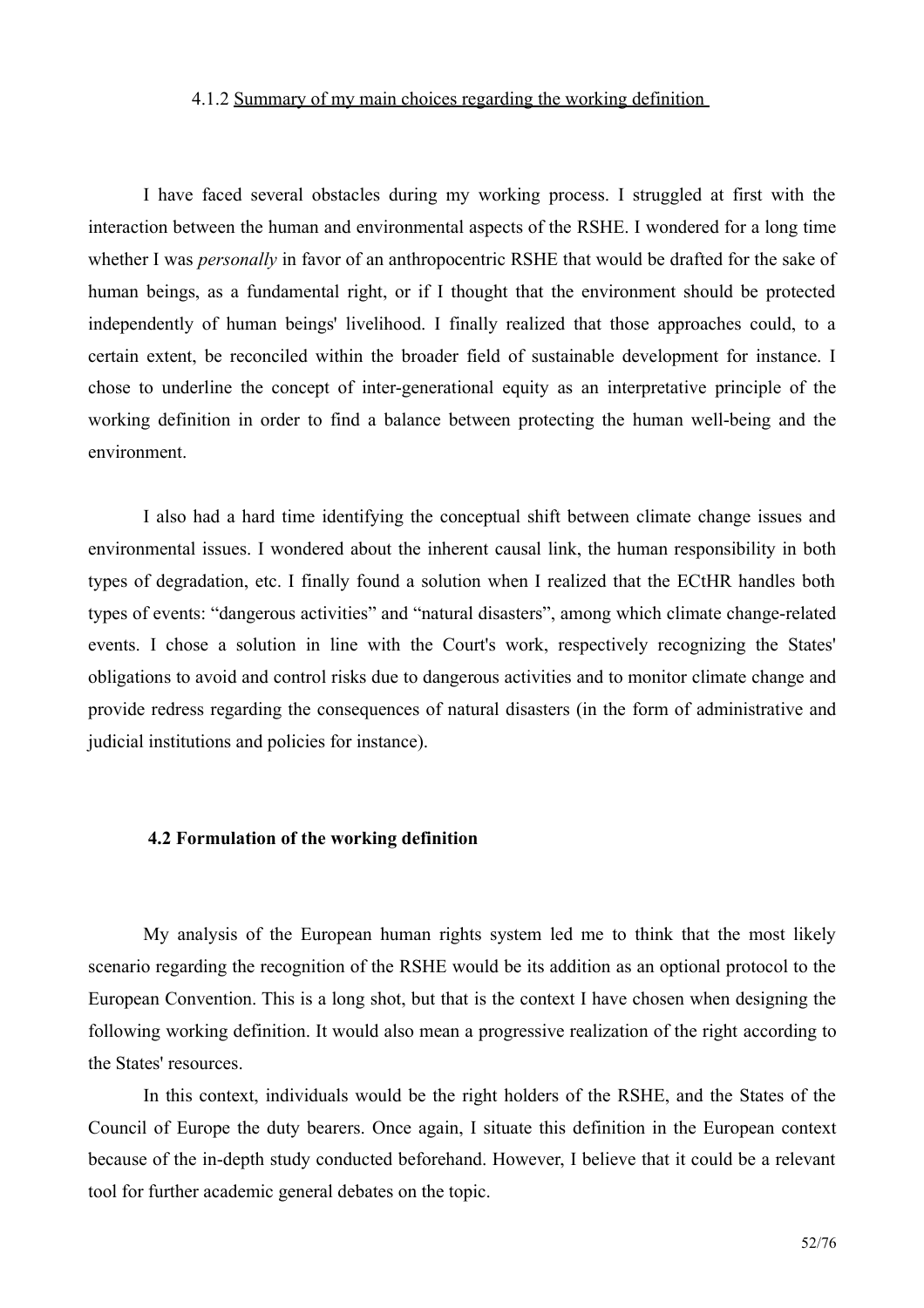#### 4.1.2 Summary of my main choices regarding the working definition

I have faced several obstacles during my working process. I struggled at first with the interaction between the human and environmental aspects of the RSHE. I wondered for a long time whether I was *personally* in favor of an anthropocentric RSHE that would be drafted for the sake of human beings, as a fundamental right, or if I thought that the environment should be protected independently of human beings' livelihood. I finally realized that those approaches could, to a certain extent, be reconciled within the broader field of sustainable development for instance. I chose to underline the concept of inter-generational equity as an interpretative principle of the working definition in order to find a balance between protecting the human well-being and the environment

I also had a hard time identifying the conceptual shift between climate change issues and environmental issues. I wondered about the inherent causal link, the human responsibility in both types of degradation, etc. I finally found a solution when I realized that the ECtHR handles both types of events: "dangerous activities" and "natural disasters", among which climate change-related events. I chose a solution in line with the Court's work, respectively recognizing the States' obligations to avoid and control risks due to dangerous activities and to monitor climate change and provide redress regarding the consequences of natural disasters (in the form of administrative and judicial institutions and policies for instance).

#### 4.2 Formulation of the working definition

My analysis of the European human rights system led me to think that the most likely scenario regarding the recognition of the RSHE would be its addition as an optional protocol to the European Convention. This is a long shot, but that is the context I have chosen when designing the following working definition. It would also mean a progressive realization of the right according to the States' resources.

In this context, individuals would be the right holders of the RSHE, and the States of the Council of Europe the duty bearers. Once again, I situate this definition in the European context because of the in-depth study conducted beforehand. However, I believe that it could be a relevant tool for further academic general debates on the topic.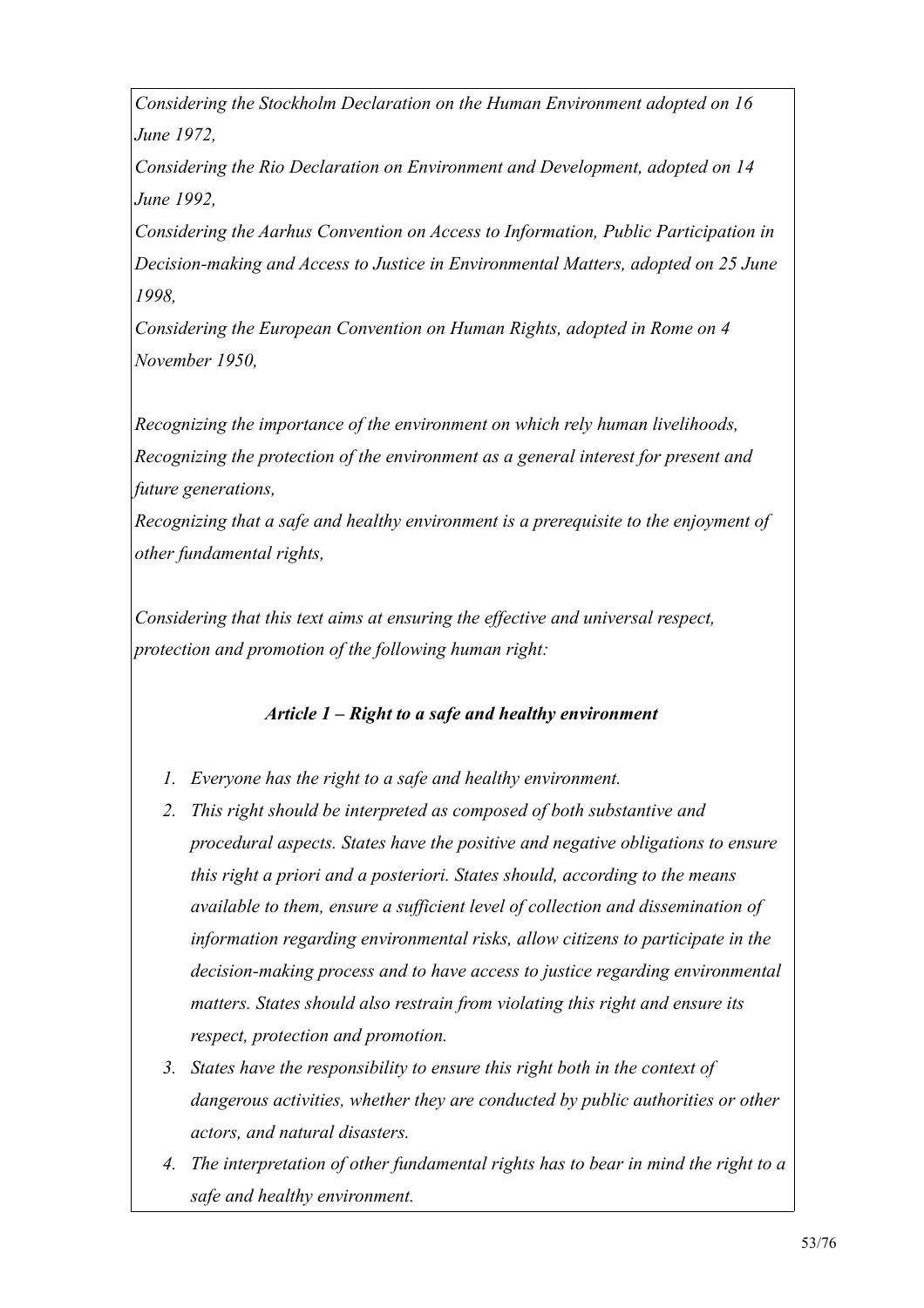Considering the Stockholm Declaration on the Human Environment adopted on 16 June 1972.

Considering the Rio Declaration on Environment and Development, adopted on 14 June 1992.

Considering the Aarhus Convention on Access to Information, Public Participation in Decision-making and Access to Justice in Environmental Matters, adopted on 25 June 1998.

Considering the European Convention on Human Rights, adopted in Rome on 4 November 1950.

Recognizing the importance of the environment on which rely human livelihoods, Recognizing the protection of the environment as a general interest for present and future generations,

Recognizing that a safe and healthy environment is a prerequisite to the enjoyment of other fundamental rights.

Considering that this text aims at ensuring the effective and universal respect, protection and promotion of the following human right:

## Article  $1 - Right$  to a safe and healthy environment

- 1. Everyone has the right to a safe and healthy environment.
- 2. This right should be interpreted as composed of both substantive and procedural aspects. States have the positive and negative obligations to ensure this right a priori and a posteriori. States should, according to the means available to them, ensure a sufficient level of collection and dissemination of information regarding environmental risks, allow citizens to participate in the decision-making process and to have access to justice regarding environmental matters. States should also restrain from violating this right and ensure its respect, protection and promotion.
- 3. States have the responsibility to ensure this right both in the context of dangerous activities, whether they are conducted by public authorities or other actors, and natural disasters.
- 4. The interpretation of other fundamental rights has to bear in mind the right to a safe and healthy environment.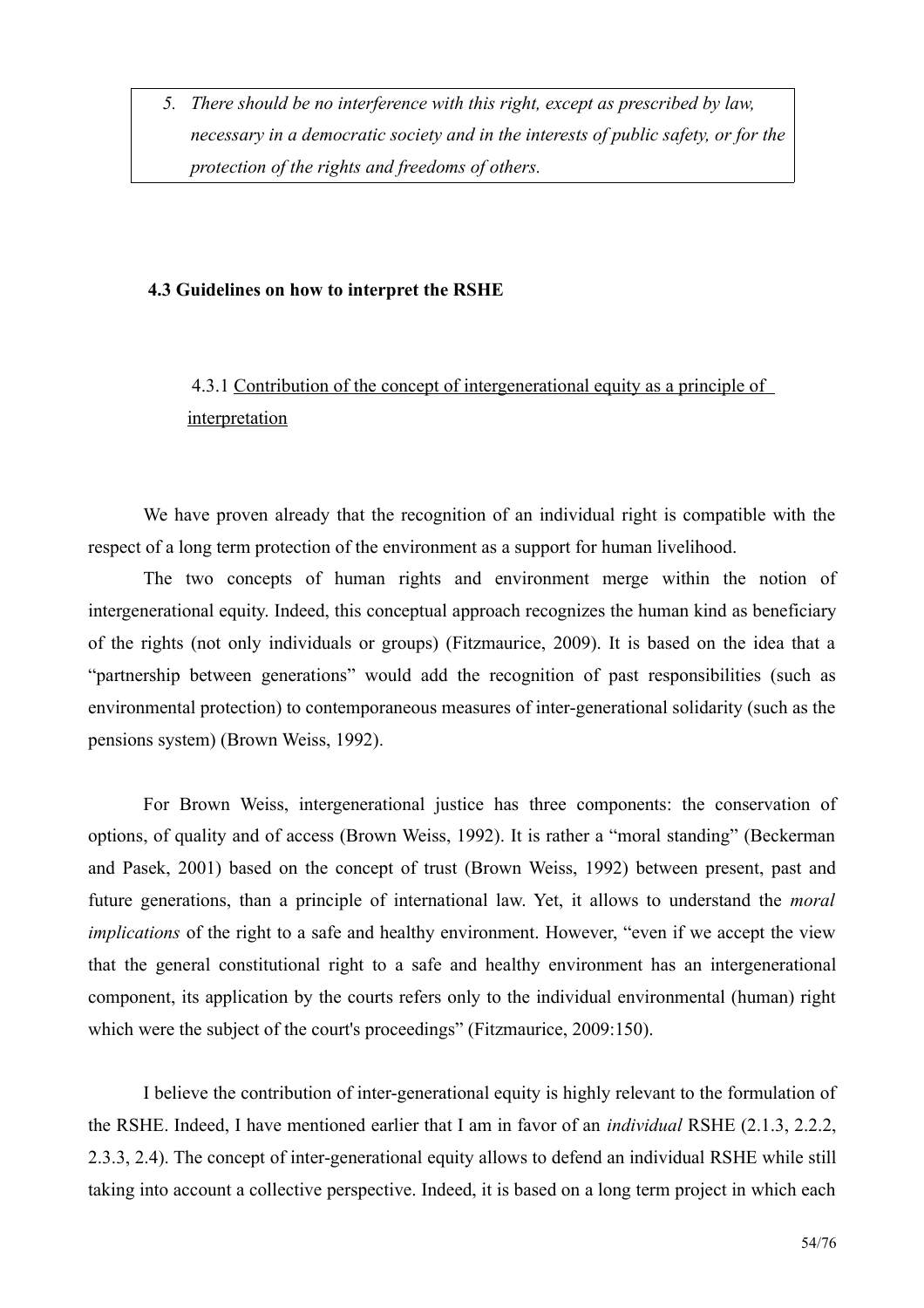5. There should be no interference with this right, except as prescribed by law, necessary in a democratic society and in the interests of public safety, or for the protection of the rights and freedoms of others.

## 4.3 Guidelines on how to interpret the RSHE

## 4.3.1 Contribution of the concept of intergenerational equity as a principle of interpretation

We have proven already that the recognition of an individual right is compatible with the respect of a long term protection of the environment as a support for human livelihood.

The two concepts of human rights and environment merge within the notion of intergenerational equity. Indeed, this conceptual approach recognizes the human kind as beneficiary of the rights (not only individuals or groups) (Fitzmaurice, 2009). It is based on the idea that a "partnership between generations" would add the recognition of past responsibilities (such as environmental protection) to contemporaneous measures of inter-generational solidarity (such as the pensions system) (Brown Weiss, 1992).

For Brown Weiss, intergenerational justice has three components: the conservation of options, of quality and of access (Brown Weiss, 1992). It is rather a "moral standing" (Beckerman and Pasek, 2001) based on the concept of trust (Brown Weiss, 1992) between present, past and future generations, than a principle of international law. Yet, it allows to understand the *moral implications* of the right to a safe and healthy environment. However, "even if we accept the view that the general constitutional right to a safe and healthy environment has an intergenerational component, its application by the courts refers only to the individual environmental (human) right which were the subject of the court's proceedings" (Fitzmaurice, 2009:150).

I believe the contribution of inter-generational equity is highly relevant to the formulation of the RSHE. Indeed, I have mentioned earlier that I am in favor of an *individual* RSHE (2.1.3, 2.2.2, 2.3.3, 2.4). The concept of inter-generational equity allows to defend an individual RSHE while still taking into account a collective perspective. Indeed, it is based on a long term project in which each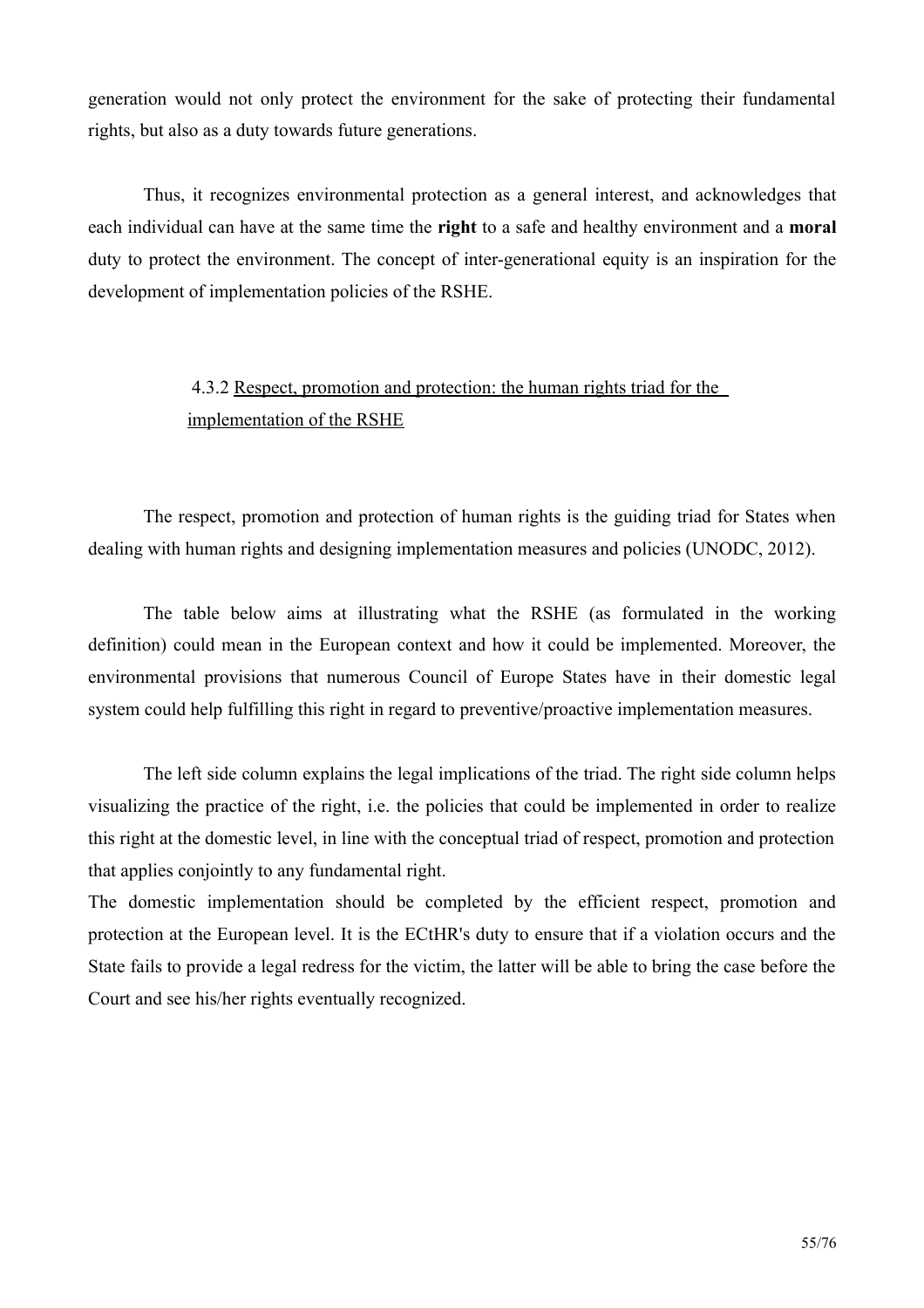generation would not only protect the environment for the sake of protecting their fundamental rights, but also as a duty towards future generations.

Thus, it recognizes environmental protection as a general interest, and acknowledges that each individual can have at the same time the right to a safe and healthy environment and a moral duty to protect the environment. The concept of inter-generational equity is an inspiration for the development of implementation policies of the RSHE.

## 4.3.2 Respect, promotion and protection; the human rights triad for the implementation of the RSHE

The respect, promotion and protection of human rights is the guiding triad for States when dealing with human rights and designing implementation measures and policies (UNODC, 2012).

The table below aims at illustrating what the RSHE (as formulated in the working definition) could mean in the European context and how it could be implemented. Moreover, the environmental provisions that numerous Council of Europe States have in their domestic legal system could help fulfilling this right in regard to preventive/proactive implementation measures.

The left side column explains the legal implications of the triad. The right side column helps visualizing the practice of the right, *i.e.* the policies that could be implemented in order to realize this right at the domestic level, in line with the conceptual triad of respect, promotion and protection that applies conjointly to any fundamental right.

The domestic implementation should be completed by the efficient respect, promotion and protection at the European level. It is the ECtHR's duty to ensure that if a violation occurs and the State fails to provide a legal redress for the victim, the latter will be able to bring the case before the Court and see his/her rights eventually recognized.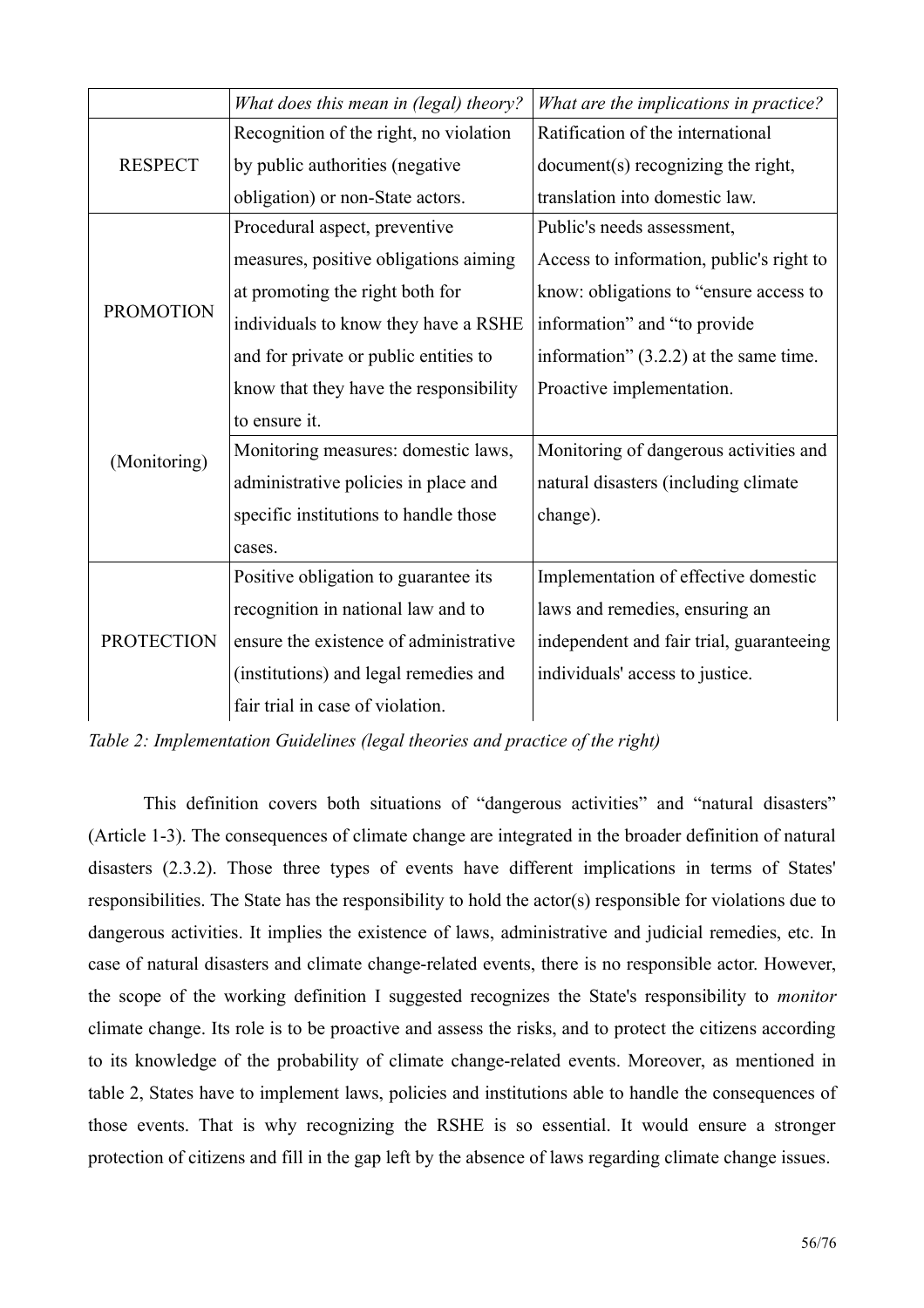|                   | What does this mean in (legal) theory? | What are the implications in practice?   |  |
|-------------------|----------------------------------------|------------------------------------------|--|
|                   | Recognition of the right, no violation | Ratification of the international        |  |
| <b>RESPECT</b>    | by public authorities (negative        | document(s) recognizing the right,       |  |
|                   | obligation) or non-State actors.       | translation into domestic law.           |  |
|                   | Procedural aspect, preventive          | Public's needs assessment,               |  |
|                   | measures, positive obligations aiming  | Access to information, public's right to |  |
|                   | at promoting the right both for        | know: obligations to "ensure access to   |  |
| <b>PROMOTION</b>  | individuals to know they have a RSHE   | information" and "to provide"            |  |
|                   | and for private or public entities to  | information" $(3.2.2)$ at the same time. |  |
|                   | know that they have the responsibility | Proactive implementation.                |  |
|                   | to ensure it.                          |                                          |  |
| (Monitoring)      | Monitoring measures: domestic laws,    | Monitoring of dangerous activities and   |  |
|                   | administrative policies in place and   | natural disasters (including climate     |  |
|                   | specific institutions to handle those  | change).                                 |  |
|                   | cases.                                 |                                          |  |
|                   | Positive obligation to guarantee its   | Implementation of effective domestic     |  |
| <b>PROTECTION</b> | recognition in national law and to     | laws and remedies, ensuring an           |  |
|                   | ensure the existence of administrative | independent and fair trial, guaranteeing |  |
|                   | (institutions) and legal remedies and  | individuals' access to justice.          |  |
|                   | fair trial in case of violation.       |                                          |  |

Table 2: Implementation Guidelines (legal theories and practice of the right)

This definition covers both situations of "dangerous activities" and "natural disasters" (Article 1-3). The consequences of climate change are integrated in the broader definition of natural disasters (2.3.2). Those three types of events have different implications in terms of States' responsibilities. The State has the responsibility to hold the actor(s) responsible for violations due to dangerous activities. It implies the existence of laws, administrative and judicial remedies, etc. In case of natural disasters and climate change-related events, there is no responsible actor. However, the scope of the working definition I suggested recognizes the State's responsibility to *monitor* climate change. Its role is to be proactive and assess the risks, and to protect the citizens according to its knowledge of the probability of climate change-related events. Moreover, as mentioned in table 2, States have to implement laws, policies and institutions able to handle the consequences of those events. That is why recognizing the RSHE is so essential. It would ensure a stronger protection of citizens and fill in the gap left by the absence of laws regarding climate change issues.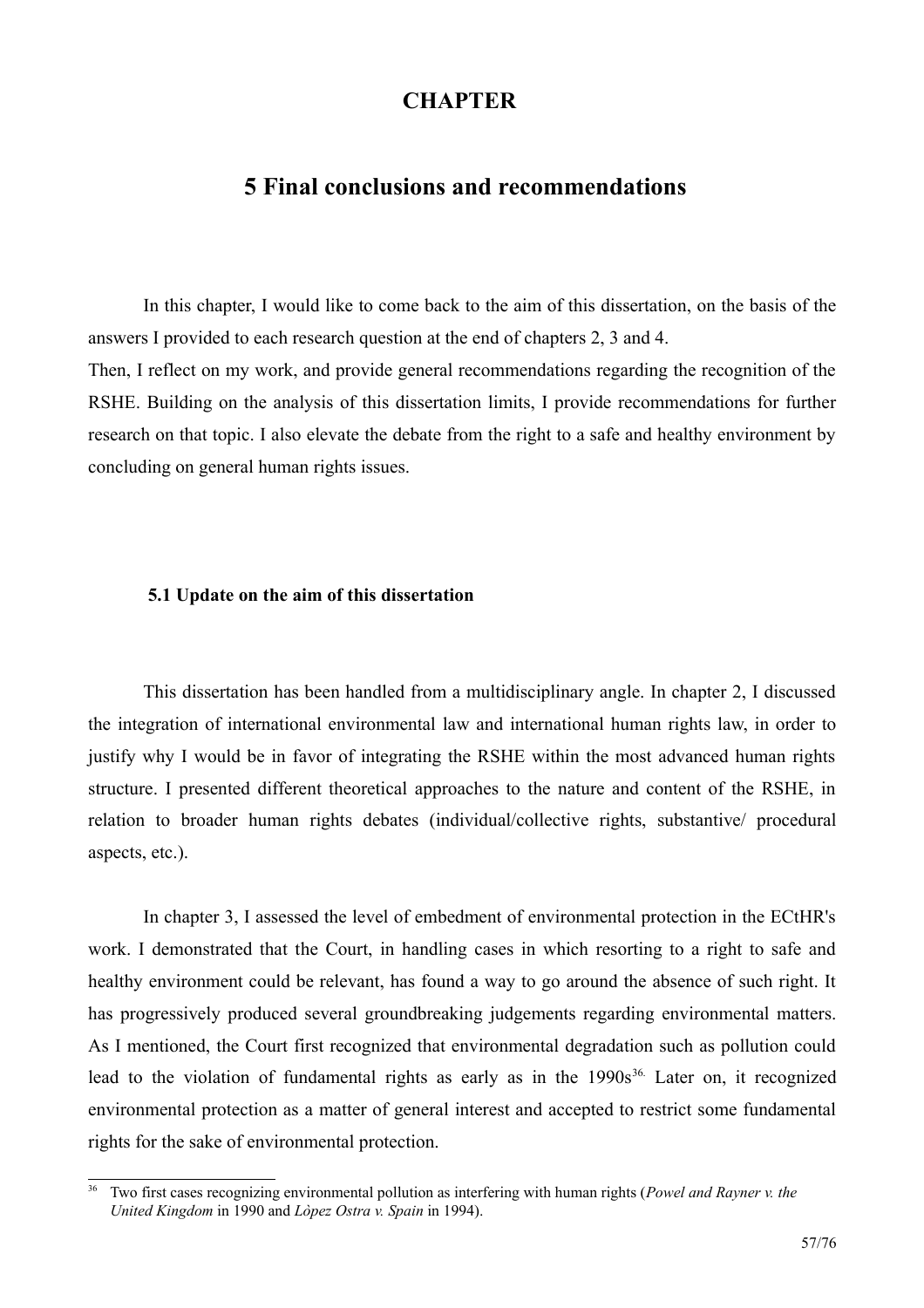## **CHAPTER**

## **5 Final conclusions and recommendations**

In this chapter, I would like to come back to the aim of this dissertation, on the basis of the answers I provided to each research question at the end of chapters 2, 3 and 4. Then, I reflect on my work, and provide general recommendations regarding the recognition of the RSHE. Building on the analysis of this dissertation limits. I provide recommendations for further research on that topic. I also elevate the debate from the right to a safe and healthy environment by concluding on general human rights issues.

#### 5.1 Update on the aim of this dissertation

This dissertation has been handled from a multidisciplinary angle. In chapter 2, I discussed the integration of international environmental law and international human rights law, in order to justify why I would be in favor of integrating the RSHE within the most advanced human rights structure. I presented different theoretical approaches to the nature and content of the RSHE, in relation to broader human rights debates (individual/collective rights, substantive/ procedural aspects, etc.).

In chapter 3, I assessed the level of embedment of environmental protection in the ECtHR's work. I demonstrated that the Court, in handling cases in which resorting to a right to safe and healthy environment could be relevant, has found a way to go around the absence of such right. It has progressively produced several groundbreaking judgements regarding environmental matters. As I mentioned, the Court first recognized that environmental degradation such as pollution could lead to the violation of fundamental rights as early as in the 1990s<sup>36.</sup> Later on, it recognized environmental protection as a matter of general interest and accepted to restrict some fundamental rights for the sake of environmental protection.

<span id="page-56-0"></span> $36$ Two first cases recognizing environmental pollution as interfering with human rights (*Powel and Rayner v. the* United Kingdom in 1990 and Lòpez Ostra v. Spain in 1994).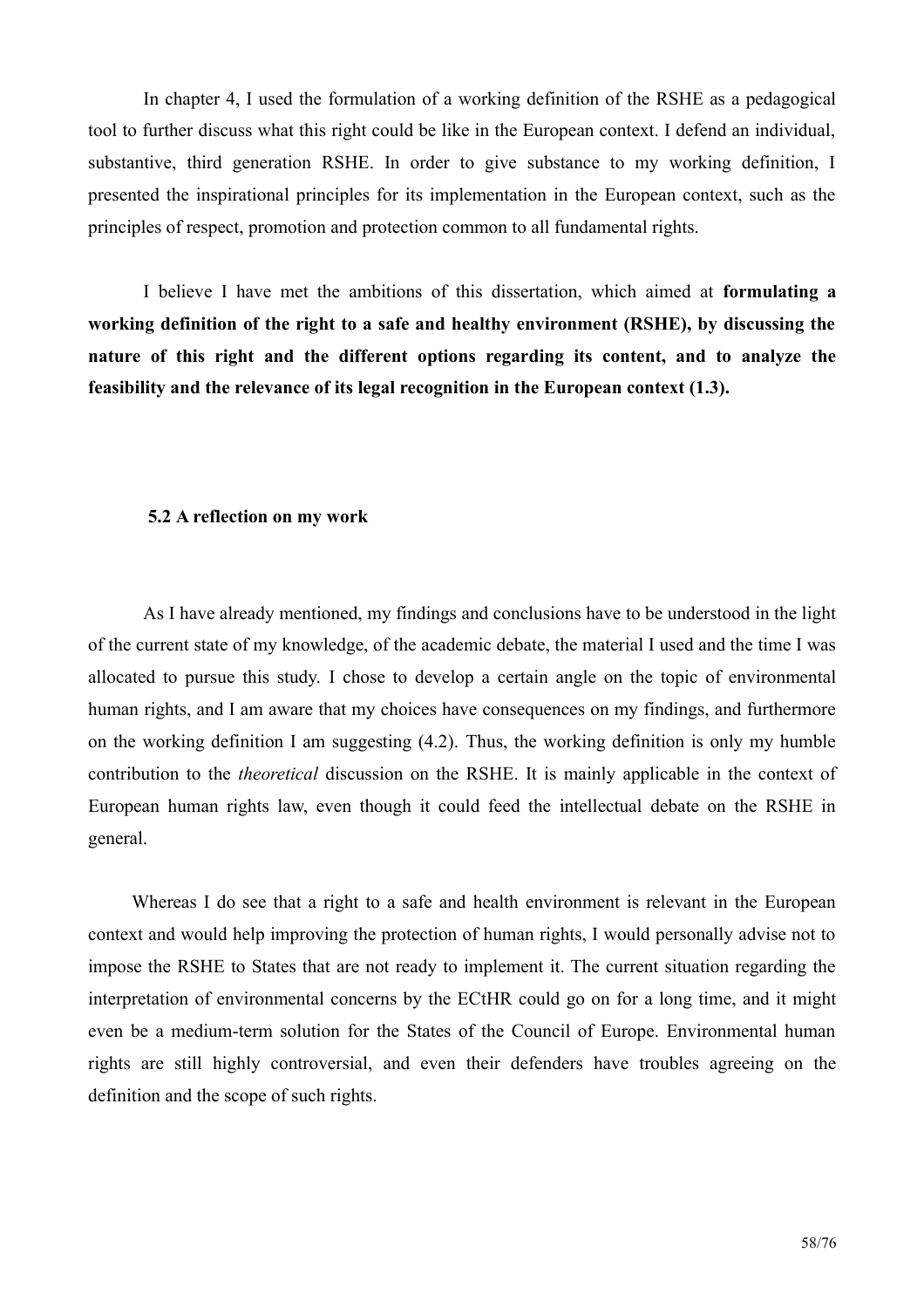In chapter 4, I used the formulation of a working definition of the RSHE as a pedagogical tool to further discuss what this right could be like in the European context. I defend an individual, substantive, third generation RSHE. In order to give substance to my working definition, I presented the inspirational principles for its implementation in the European context, such as the principles of respect, promotion and protection common to all fundamental rights.

I believe I have met the ambitions of this dissertation, which aimed at **formulating a** working definition of the right to a safe and healthy environment (RSHE), by discussing the nature of this right and the different options regarding its content, and to analyze the feasibility and the relevance of its legal recognition in the European context (1.3).

#### 5.2 A reflection on my work

As I have already mentioned, my findings and conclusions have to be understood in the light of the current state of my knowledge, of the academic debate, the material I used and the time I was allocated to pursue this study. I chose to develop a certain angle on the topic of environmental human rights, and I am aware that my choices have consequences on my findings, and furthermore on the working definition I am suggesting  $(4.2)$ . Thus, the working definition is only my humble contribution to the *theoretical* discussion on the RSHE. It is mainly applicable in the context of European human rights law, even though it could feed the intellectual debate on the RSHE in general.

Whereas I do see that a right to a safe and health environment is relevant in the European context and would help improving the protection of human rights, I would personally advise not to impose the RSHE to States that are not ready to implement it. The current situation regarding the interpretation of environmental concerns by the ECtHR could go on for a long time, and it might even be a medium-term solution for the States of the Council of Europe. Environmental human rights are still highly controversial, and even their defenders have troubles agreeing on the definition and the scope of such rights.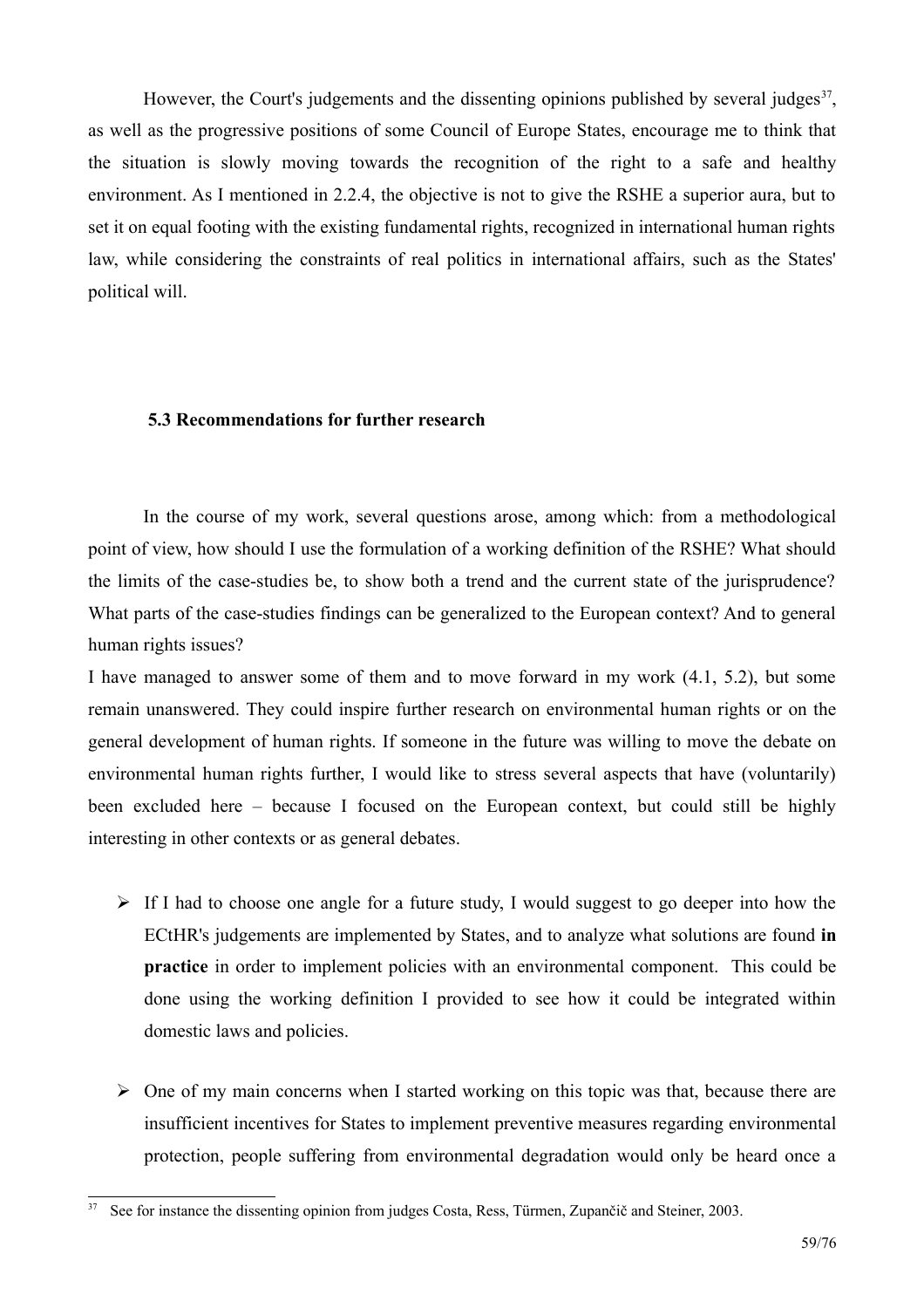However, the Court's judgements and the dissenting opinions published by several judges<sup>37</sup>. as well as the progressive positions of some Council of Europe States, encourage me to think that the situation is slowly moving towards the recognition of the right to a safe and healthy environment. As I mentioned in 2.2.4, the objective is not to give the RSHE a superior aura, but to set it on equal footing with the existing fundamental rights, recognized in international human rights law, while considering the constraints of real politics in international affairs, such as the States' political will.

#### 5.3 Recommendations for further research

In the course of my work, several questions arose, among which: from a methodological point of view, how should I use the formulation of a working definition of the RSHE? What should the limits of the case-studies be, to show both a trend and the current state of the jurisprudence? What parts of the case-studies findings can be generalized to the European context? And to general human rights issues?

I have managed to answer some of them and to move forward in my work (4.1, 5.2), but some remain unanswered. They could inspire further research on environmental human rights or on the general development of human rights. If someone in the future was willing to move the debate on environmental human rights further, I would like to stress several aspects that have (voluntarily) been excluded here – because I focused on the European context, but could still be highly interesting in other contexts or as general debates.

- $\triangleright$  If I had to choose one angle for a future study, I would suggest to go deeper into how the ECtHR's judgements are implemented by States, and to analyze what solutions are found in **practice** in order to implement policies with an environmental component. This could be done using the working definition I provided to see how it could be integrated within domestic laws and policies.
- $\triangleright$  One of my main concerns when I started working on this topic was that, because there are insufficient incentives for States to implement preventive measures regarding environmental protection, people suffering from environmental degradation would only be heard once a

<span id="page-58-0"></span><sup>&</sup>lt;sup>37</sup> See for instance the dissenting opinion from judges Costa, Ress, Türmen, Zupančič and Steiner, 2003.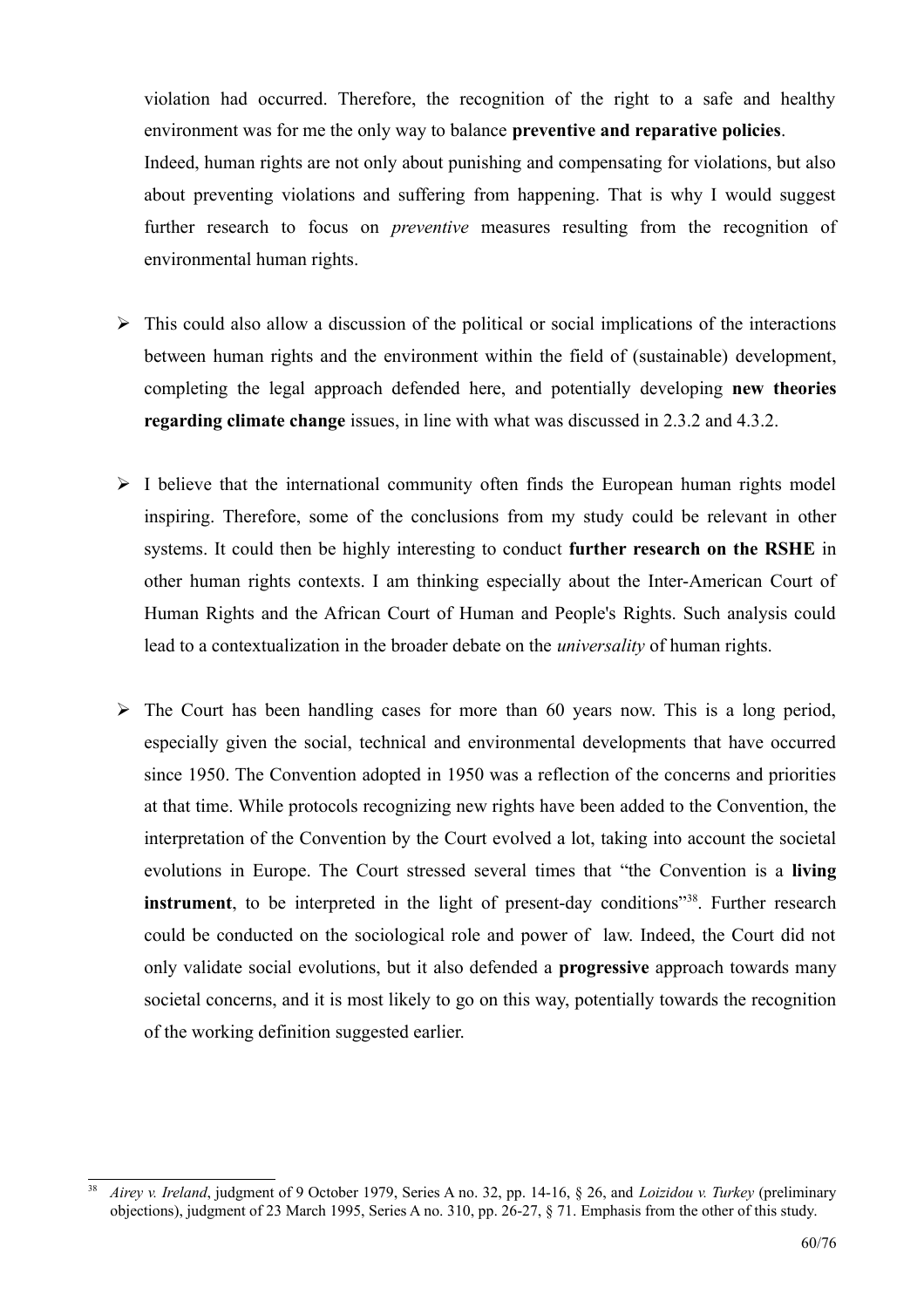violation had occurred. Therefore, the recognition of the right to a safe and healthy environment was for me the only way to balance **preventive and reparative policies**. Indeed, human rights are not only about punishing and compensating for violations, but also about preventing violations and suffering from happening. That is why I would suggest further research to focus on *preventive* measures resulting from the recognition of environmental human rights.

- $\triangleright$  This could also allow a discussion of the political or social implications of the interactions between human rights and the environment within the field of (sustainable) development, completing the legal approach defended here, and potentially developing new theories regarding climate change issues, in line with what was discussed in 2.3.2 and 4.3.2.
- $\triangleright$  I believe that the international community often finds the European human rights model inspiring. Therefore, some of the conclusions from my study could be relevant in other systems. It could then be highly interesting to conduct further research on the RSHE in other human rights contexts. I am thinking especially about the Inter-American Court of Human Rights and the African Court of Human and People's Rights. Such analysis could lead to a contextualization in the broader debate on the *universality* of human rights.
- $\triangleright$  The Court has been handling cases for more than 60 years now. This is a long period, especially given the social, technical and environmental developments that have occurred since 1950. The Convention adopted in 1950 was a reflection of the concerns and priorities at that time. While protocols recognizing new rights have been added to the Convention, the interpretation of the Convention by the Court evolved a lot, taking into account the societal evolutions in Europe. The Court stressed several times that "the Convention is a living **instrument**, to be interpreted in the light of present-day conditions<sup>"38</sup>. Further research could be conducted on the sociological role and power of law. Indeed, the Court did not only validate social evolutions, but it also defended a **progressive** approach towards many societal concerns, and it is most likely to go on this way, potentially towards the recognition of the working definition suggested earlier.

<span id="page-59-0"></span> $38$ Airey v. Ireland, judgment of 9 October 1979, Series A no. 32, pp. 14-16, § 26, and Loizidou v. Turkey (preliminary objections), judgment of 23 March 1995, Series A no. 310, pp. 26-27, § 71. Emphasis from the other of this study.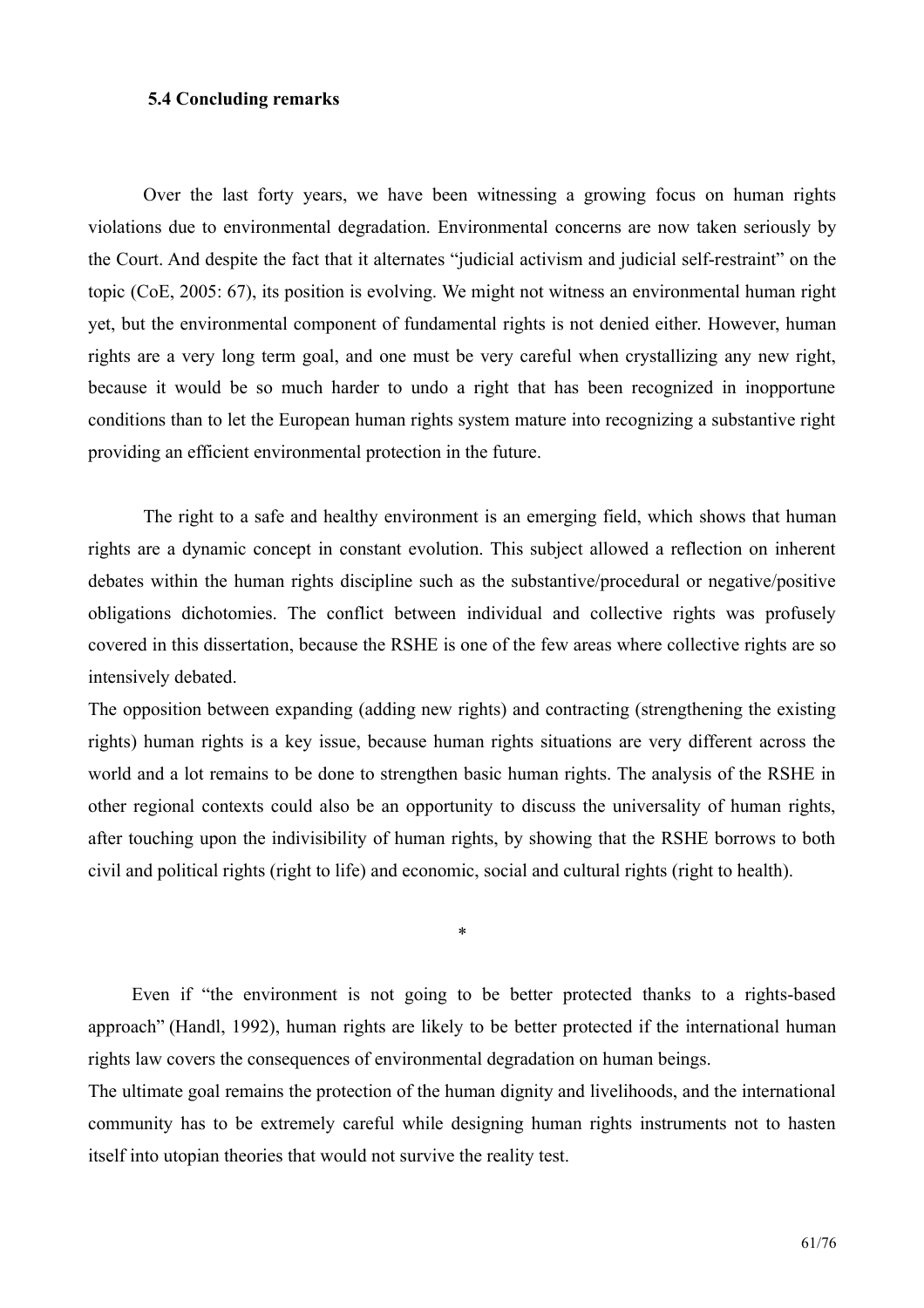#### **5.4 Concluding remarks**

Over the last forty years, we have been witnessing a growing focus on human rights violations due to environmental degradation. Environmental concerns are now taken seriously by the Court. And despite the fact that it alternates "judicial activism and judicial self-restraint" on the topic (CoE, 2005: 67), its position is evolving. We might not witness an environmental human right yet, but the environmental component of fundamental rights is not denied either. However, human rights are a very long term goal, and one must be very careful when crystallizing any new right, because it would be so much harder to undo a right that has been recognized in inopportune conditions than to let the European human rights system mature into recognizing a substantive right providing an efficient environmental protection in the future.

The right to a safe and healthy environment is an emerging field, which shows that human rights are a dynamic concept in constant evolution. This subject allowed a reflection on inherent debates within the human rights discipline such as the substantive/procedural or negative/positive obligations dichotomies. The conflict between individual and collective rights was profusely covered in this dissertation, because the RSHE is one of the few areas where collective rights are so intensively debated.

The opposition between expanding (adding new rights) and contracting (strengthening the existing rights) human rights is a key issue, because human rights situations are very different across the world and a lot remains to be done to strengthen basic human rights. The analysis of the RSHE in other regional contexts could also be an opportunity to discuss the universality of human rights, after touching upon the indivisibility of human rights, by showing that the RSHE borrows to both civil and political rights (right to life) and economic, social and cultural rights (right to health).

 $\ast$ 

Even if "the environment is not going to be better protected thanks to a rights-based approach" (Handl, 1992), human rights are likely to be better protected if the international human rights law covers the consequences of environmental degradation on human beings.

The ultimate goal remains the protection of the human dignity and livelihoods, and the international community has to be extremely careful while designing human rights instruments not to hasten itself into utopian theories that would not survive the reality test.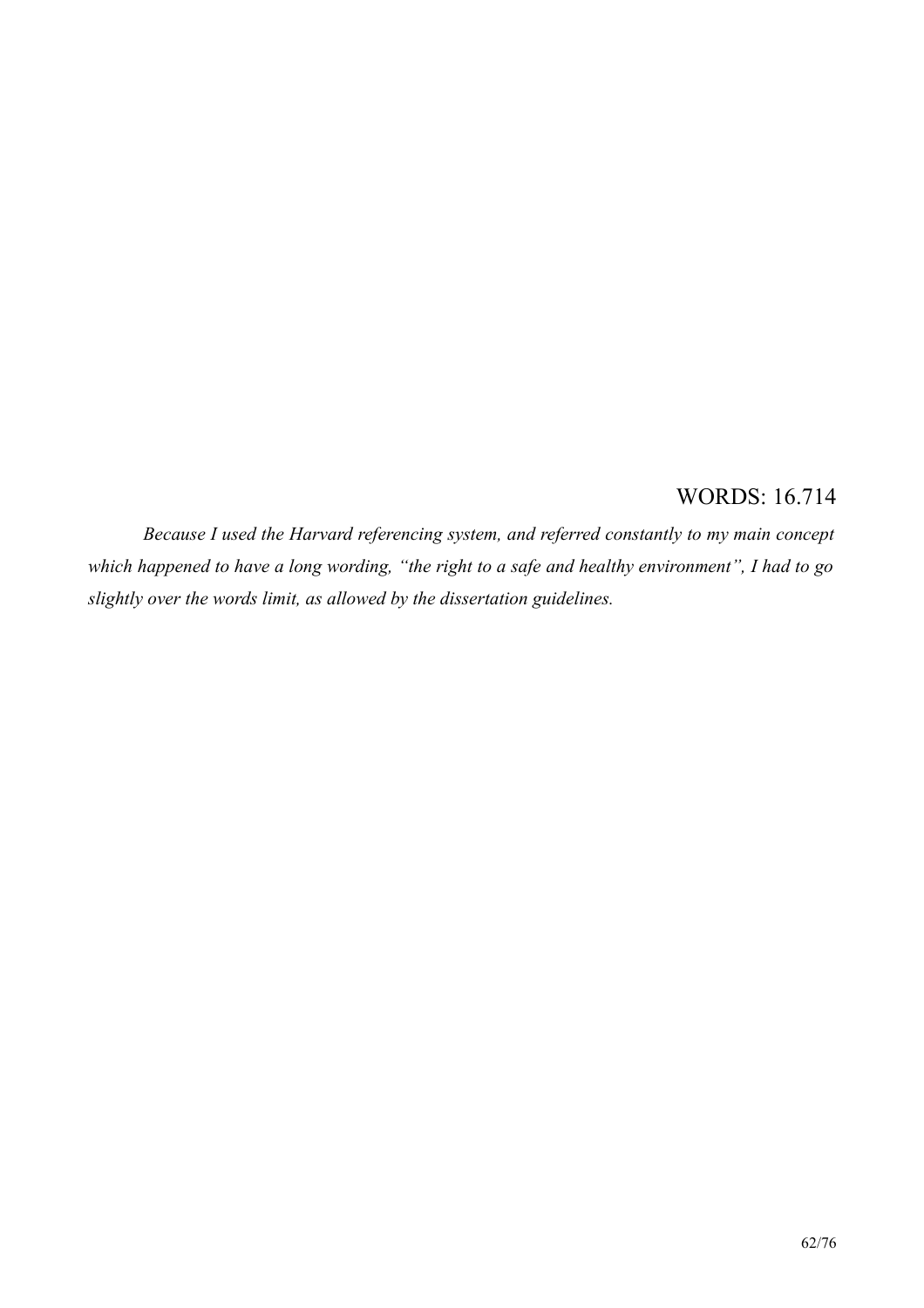## **WORDS: 16.714**

Because I used the Harvard referencing system, and referred constantly to my main concept which happened to have a long wording, "the right to a safe and healthy environment", I had to go slightly over the words limit, as allowed by the dissertation guidelines.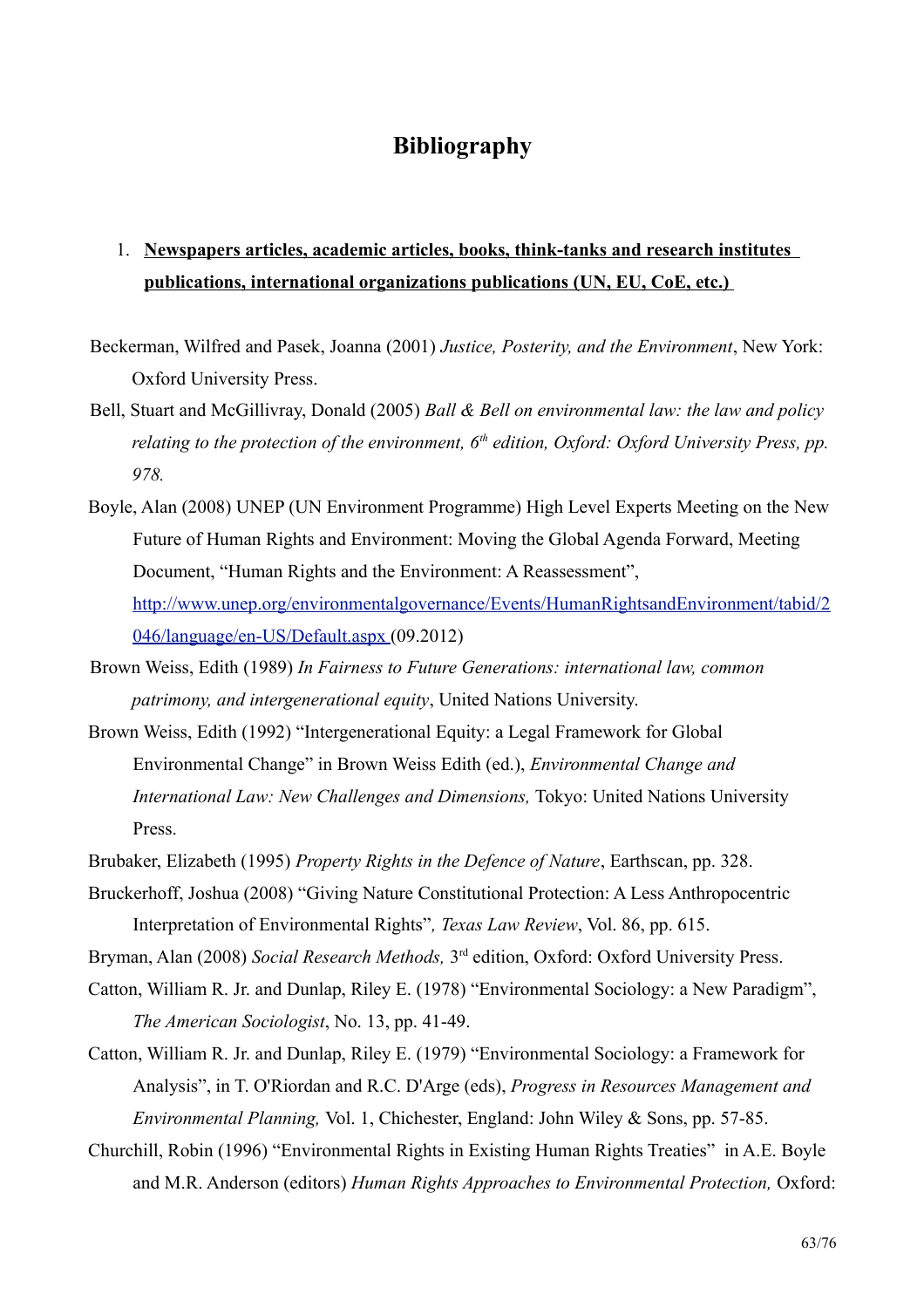## **Bibliography**

## 1. Newspapers articles, academic articles, books, think-tanks and research institutes publications, international organizations publications (UN, EU, CoE, etc.)

- Beckerman, Wilfred and Pasek, Joanna (2001) Justice, Posterity, and the Environment, New York: Oxford University Press.
- Bell, Stuart and McGillivray, Donald (2005) Ball & Bell on environmental law: the law and policy relating to the protection of the environment,  $6<sup>th</sup>$  edition, Oxford: Oxford University Press, pp. 978.
- Boyle, Alan (2008) UNEP (UN Environment Programme) High Level Experts Meeting on the New Future of Human Rights and Environment: Moving the Global Agenda Forward, Meeting Document, "Human Rights and the Environment: A Reassessment", http://www.unep.org/environmentalgovernance/Events/HumanRightsandEnvironment/tabid/2 046/language/en-US/Default.aspx (09.2012)
- Brown Weiss, Edith (1989) In Fairness to Future Generations: international law, common *patrimony, and intergenerational equity, United Nations University.*
- Brown Weiss, Edith (1992) "Intergenerational Equity: a Legal Framework for Global Environmental Change" in Brown Weiss Edith (ed.), *Environmental Change and* International Law: New Challenges and Dimensions, Tokyo: United Nations University Press.
- Brubaker, Elizabeth (1995) Property Rights in the Defence of Nature, Earthscan, pp. 328.
- Bruckerhoff, Joshua (2008) "Giving Nature Constitutional Protection: A Less Anthropocentric Interpretation of Environmental Rights", Texas Law Review, Vol. 86, pp. 615.

Bryman, Alan (2008) Social Research Methods, 3<sup>rd</sup> edition, Oxford: Oxford University Press.

Catton, William R. Jr. and Dunlap, Riley E. (1978) "Environmental Sociology: a New Paradigm", The American Sociologist, No. 13, pp. 41-49.

Catton, William R. Jr. and Dunlap, Riley E. (1979) "Environmental Sociology: a Framework for Analysis", in T. O'Riordan and R.C. D'Arge (eds), Progress in Resources Management and *Environmental Planning, Vol. 1, Chichester, England: John Wiley & Sons, pp. 57-85.* 

Churchill, Robin (1996) "Environmental Rights in Existing Human Rights Treaties" in A.E. Boyle and M.R. Anderson (editors) Human Rights Approaches to Environmental Protection, Oxford: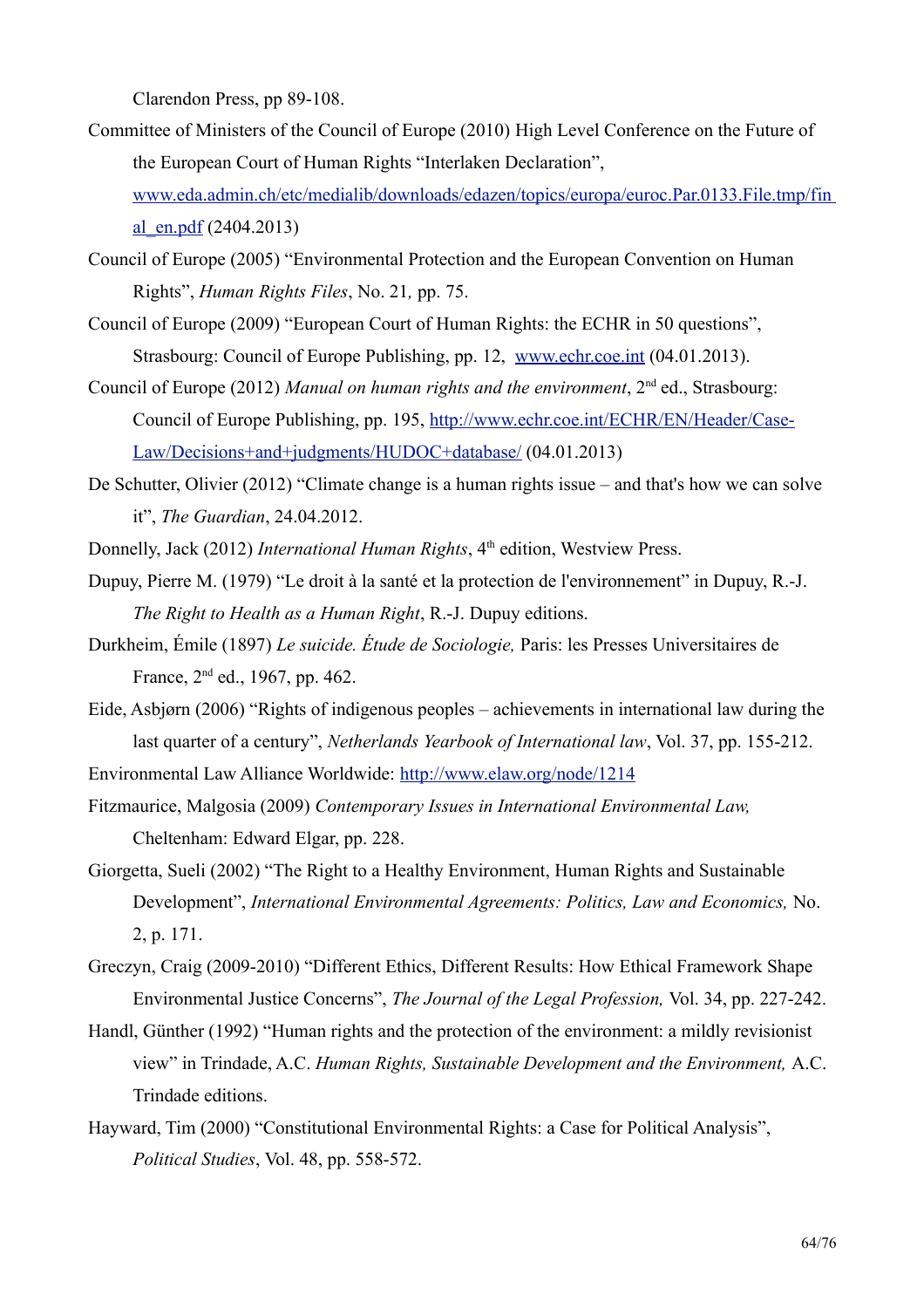Clarendon Press, pp 89-108.

- Committee of Ministers of the Council of Europe (2010) High Level Conference on the Future of the European Court of Human Rights "Interlaken Declaration".
	- www.eda.admin.ch/etc/medialib/downloads/edazen/topics/europa/euroc.Par.0133.File.tmp/fin al en.pdf  $(2404.2013)$
- Council of Europe (2005) "Environmental Protection and the European Convention on Human Rights", *Human Rights Files*, No. 21, pp. 75.
- Council of Europe (2009) "European Court of Human Rights: the ECHR in 50 questions", Strasbourg: Council of Europe Publishing, pp. 12, www.echr.coe.int (04.01.2013).
- Council of Europe (2012) Manual on human rights and the environment,  $2<sup>nd</sup>$  ed., Strasbourg: Council of Europe Publishing, pp. 195, http://www.echr.coe.int/ECHR/EN/Header/Case-Law/Decisions+and+judgments/HUDOC+database/ (04.01.2013)
- De Schutter, Olivier  $(2012)$  "Climate change is a human rights issue and that's how we can solve it", *The Guardian*, 24.04.2012.
- Donnelly, Jack (2012) International Human Rights, 4<sup>th</sup> edition, Westview Press.
- Dupuy, Pierre M. (1979) "Le droit à la santé et la protection de l'environnement" in Dupuy, R.-J. The Right to Health as a Human Right, R.-J. Dupuy editions.
- Durkheim, Émile (1897) Le suicide. Étude de Sociologie, Paris: les Presses Universitaires de France, 2<sup>nd</sup> ed., 1967, pp. 462.
- Eide, Asbiørn (2006) "Rights of indigenous peoples achievements in international law during the last quarter of a century", Netherlands Yearbook of International law, Vol. 37, pp. 155-212.
- Environmental Law Alliance Worldwide: http://www.elaw.org/node/1214
- Fitzmaurice, Malgosia (2009) Contemporary Issues in International Environmental Law, Cheltenham: Edward Elgar, pp. 228.
- Giorgetta, Sueli (2002) "The Right to a Healthy Environment, Human Rights and Sustainable Development", International Environmental Agreements: Politics, Law and Economics, No. 2, p. 171.
- Greczyn, Craig (2009-2010) "Different Ethics, Different Results: How Ethical Framework Shape Environmental Justice Concerns", The Journal of the Legal Profession, Vol. 34, pp. 227-242.
- Handl, Günther (1992) "Human rights and the protection of the environment: a mildly revisionist view" in Trindade, A.C. Human Rights, Sustainable Development and the Environment, A.C. Trindade editions.
- Hayward, Tim (2000) "Constitutional Environmental Rights: a Case for Political Analysis", Political Studies, Vol. 48, pp. 558-572.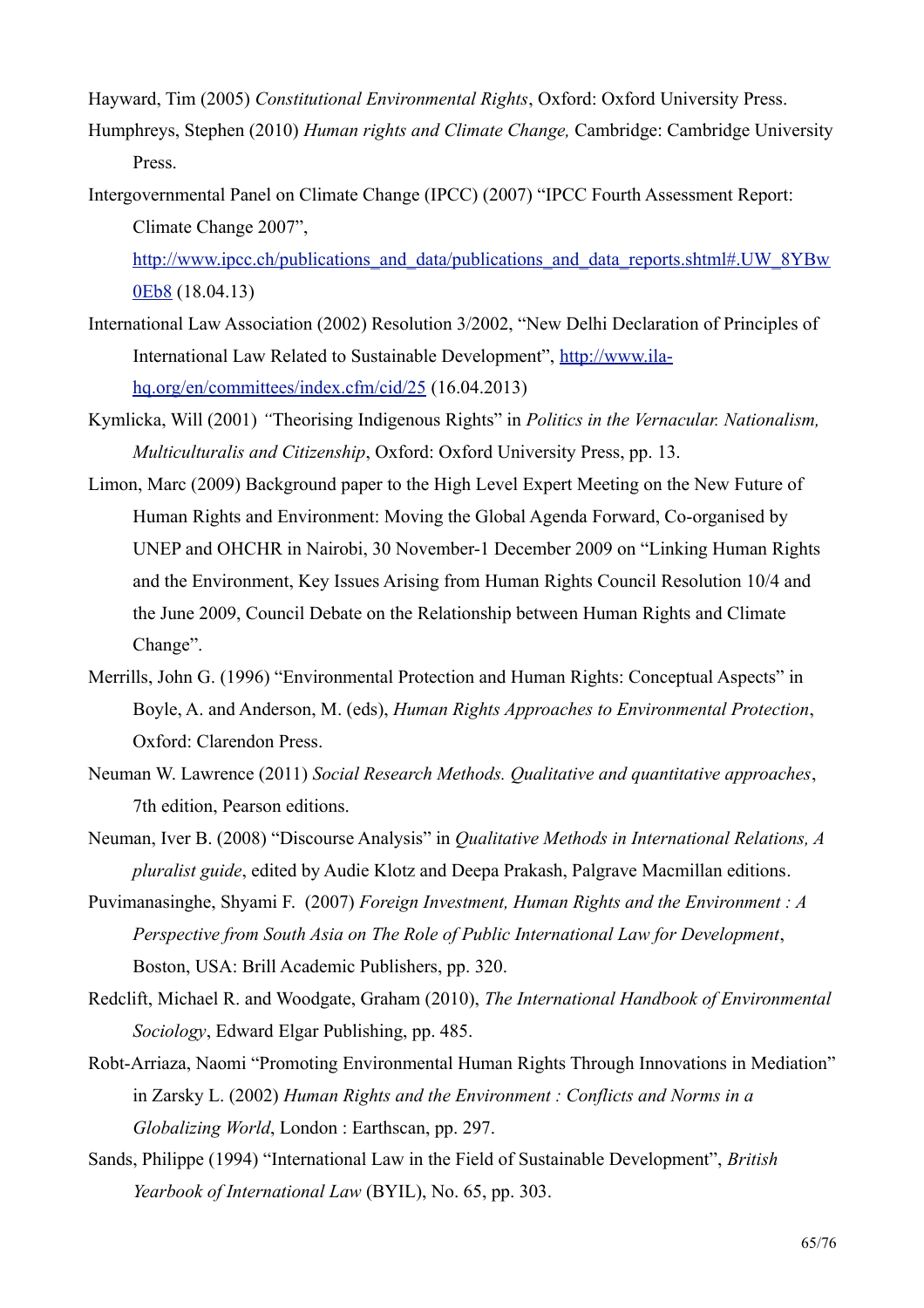Hayward, Tim (2005) Constitutional Environmental Rights, Oxford: Oxford University Press.

- Humphreys, Stephen (2010) Human rights and Climate Change, Cambridge: Cambridge University Press.
- Intergovernmental Panel on Climate Change (IPCC) (2007) "IPCC Fourth Assessment Report: Climate Change 2007".

http://www.ipcc.ch/publications and data/publications and data reports.shtml#.UW 8YBw 0Eb8 (18.04.13)

- International Law Association (2002) Resolution 3/2002, "New Delhi Declaration of Principles of International Law Related to Sustainable Development", http://www.ila $ha.org/en/committees/index.cfm/cid/25(16.04.2013)$
- Kymlicka, Will (2001) "Theorising Indigenous Rights" in *Politics in the Vernacular. Nationalism*, Multiculturalis and Citizenship, Oxford: Oxford University Press, pp. 13.
- Limon, Marc (2009) Background paper to the High Level Expert Meeting on the New Future of Human Rights and Environment: Moving the Global Agenda Forward, Co-organised by UNEP and OHCHR in Nairobi, 30 November-1 December 2009 on "Linking Human Rights" and the Environment, Key Issues Arising from Human Rights Council Resolution 10/4 and the June 2009, Council Debate on the Relationship between Human Rights and Climate Change".
- Merrills, John G. (1996) "Environmental Protection and Human Rights: Conceptual Aspects" in Boyle, A. and Anderson, M. (eds). Human Rights Approaches to Environmental Protection. Oxford: Clarendon Press.
- Neuman W. Lawrence (2011) Social Research Methods. Qualitative and quantitative approaches, 7th edition, Pearson editions.
- Neuman, Iver B. (2008) "Discourse Analysis" in *Qualitative Methods in International Relations*, A *pluralist guide*, edited by Audie Klotz and Deepa Prakash, Palgrave Macmillan editions.
- Puvimanasinghe, Shyami F. (2007) Foreign Investment, Human Rights and the Environment: A Perspective from South Asia on The Role of Public International Law for Development, Boston, USA: Brill Academic Publishers, pp. 320.
- Redclift, Michael R. and Woodgate, Graham (2010), The International Handbook of Environmental Sociology, Edward Elgar Publishing, pp. 485.
- Robt-Arriaza, Naomi "Promoting Environmental Human Rights Through Innovations in Mediation" in Zarsky L. (2002) Human Rights and the Environment: Conflicts and Norms in a Globalizing World, London: Earthscan, pp. 297.
- Sands, Philippe (1994) "International Law in the Field of Sustainable Development", British Yearbook of International Law (BYIL), No. 65, pp. 303.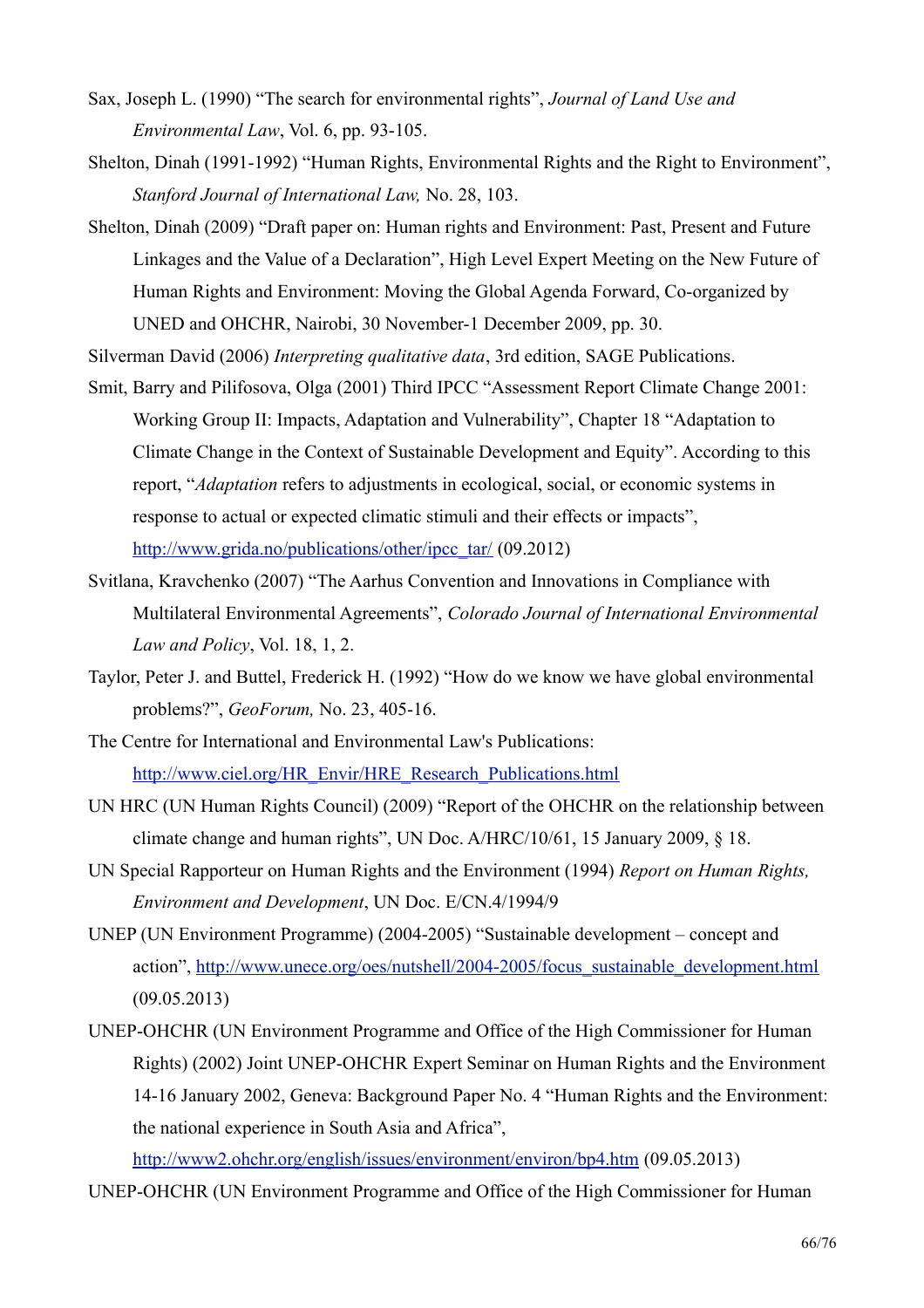- Sax, Joseph L. (1990) "The search for environmental rights", Journal of Land Use and Environmental Law, Vol. 6, pp. 93-105.
- Shelton, Dinah (1991-1992) "Human Rights, Environmental Rights and the Right to Environment", Stanford Journal of International Law, No. 28, 103.
- Shelton, Dinah (2009) "Draft paper on: Human rights and Environment: Past, Present and Future Linkages and the Value of a Declaration", High Level Expert Meeting on the New Future of Human Rights and Environment: Moving the Global Agenda Forward, Co-organized by UNED and OHCHR, Nairobi, 30 November-1 December 2009, pp. 30.

Silverman David (2006) Interpreting qualitative data, 3rd edition, SAGE Publications.

- Smit, Barry and Pilifosova, Olga (2001) Third IPCC "Assessment Report Climate Change 2001: Working Group II: Impacts, Adaptation and Vulnerability", Chapter 18 "Adaptation to Climate Change in the Context of Sustainable Development and Equity". According to this report, "*Adaptation* refers to adjustments in ecological, social, or economic systems in response to actual or expected climatic stimuli and their effects or impacts", http://www.grida.no/publications/other/ipcc\_tar/  $(09.2012)$
- Svitlana, Kravchenko (2007) "The Aarhus Convention and Innovations in Compliance with Multilateral Environmental Agreements", Colorado Journal of International Environmental Law and Policy, Vol. 18, 1, 2.
- Taylor, Peter J. and Buttel, Frederick H. (1992) "How do we know we have global environmental problems?", GeoForum, No. 23, 405-16.
- The Centre for International and Environmental Law's Publications: http://www.ciel.org/HR Envir/HRE Research Publications.html
- UN HRC (UN Human Rights Council) (2009) "Report of the OHCHR on the relationship between climate change and human rights", UN Doc. A/HRC/10/61, 15 January 2009, § 18.
- UN Special Rapporteur on Human Rights and the Environment (1994) Report on Human Rights, Environment and Development, UN Doc. E/CN.4/1994/9
- UNEP (UN Environment Programme) (2004-2005) "Sustainable development concept and action", http://www.unece.org/oes/nutshell/2004-2005/focus sustainable development.html  $(09.05.2013)$
- UNEP-OHCHR (UN Environment Programme and Office of the High Commissioner for Human Rights) (2002) Joint UNEP-OHCHR Expert Seminar on Human Rights and the Environment 14-16 January 2002, Geneva: Background Paper No. 4 "Human Rights and the Environment: the national experience in South Asia and Africa",

http://www2.ohchr.org/english/issues/environment/environ/bp4.htm (09.05.2013)

UNEP-OHCHR (UN Environment Programme and Office of the High Commissioner for Human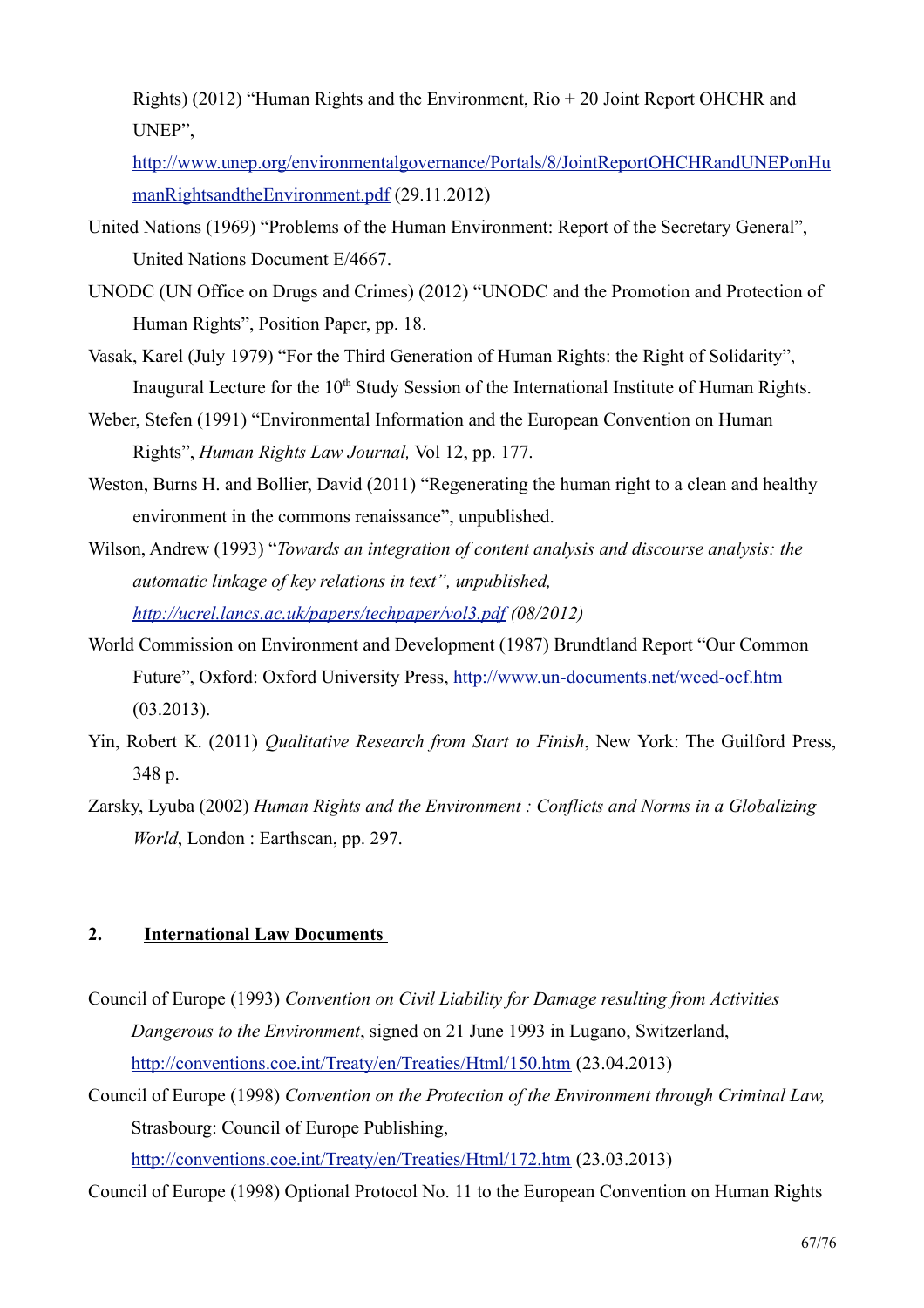Rights) (2012) "Human Rights and the Environment,  $\text{Rio} + 20$  Joint Report OHCHR and UNEP".

http://www.unep.org/environmentalgovernance/Portals/8/JointReportOHCHRandUNEPonHu manRightsandtheEnvironment.pdf (29.11.2012)

- United Nations (1969) "Problems of the Human Environment: Report of the Secretary General", United Nations Document E/4667.
- UNODC (UN Office on Drugs and Crimes) (2012) "UNODC and the Promotion and Protection of Human Rights", Position Paper, pp. 18.
- Vasak, Karel (July 1979) "For the Third Generation of Human Rights: the Right of Solidarity", Inaugural Lecture for the 10<sup>th</sup> Study Session of the International Institute of Human Rights.
- Weber, Stefen (1991) "Environmental Information and the European Convention on Human Rights", *Human Rights Law Journal*, Vol 12, pp. 177.
- Weston, Burns H, and Bollier, David (2011) "Regenerating the human right to a clean and healthy environment in the commons renaissance", unpublished.
- Wilson, Andrew (1993) "Towards an integration of content analysis and discourse analysis: the automatic linkage of key relations in text", unpublished, http://ucrel.lancs.ac.uk/papers/techpaper/vol3.pdf (08/2012)
- World Commission on Environment and Development (1987) Brundtland Report "Our Common" Future", Oxford: Oxford University Press, http://www.un-documents.net/wced-ocf.htm  $(03.2013).$
- Yin, Robert K. (2011) *Qualitative Research from Start to Finish*, New York: The Guilford Press, 348 p.
- Zarsky, Lyuba (2002) Human Rights and the Environment : Conflicts and Norms in a Globalizing World, London: Earthscan, pp. 297.

#### $2.$ **International Law Documents**

- Council of Europe (1993) Convention on Civil Liability for Damage resulting from Activities Dangerous to the Environment, signed on 21 June 1993 in Lugano, Switzerland, http://conventions.coe.int/Treaty/en/Treaties/Html/150.htm (23.04.2013)
- Council of Europe (1998) Convention on the Protection of the Environment through Criminal Law, Strasbourg: Council of Europe Publishing,

http://conventions.coe.int/Treaty/en/Treaties/Html/172.htm (23.03.2013)

Council of Europe (1998) Optional Protocol No. 11 to the European Convention on Human Rights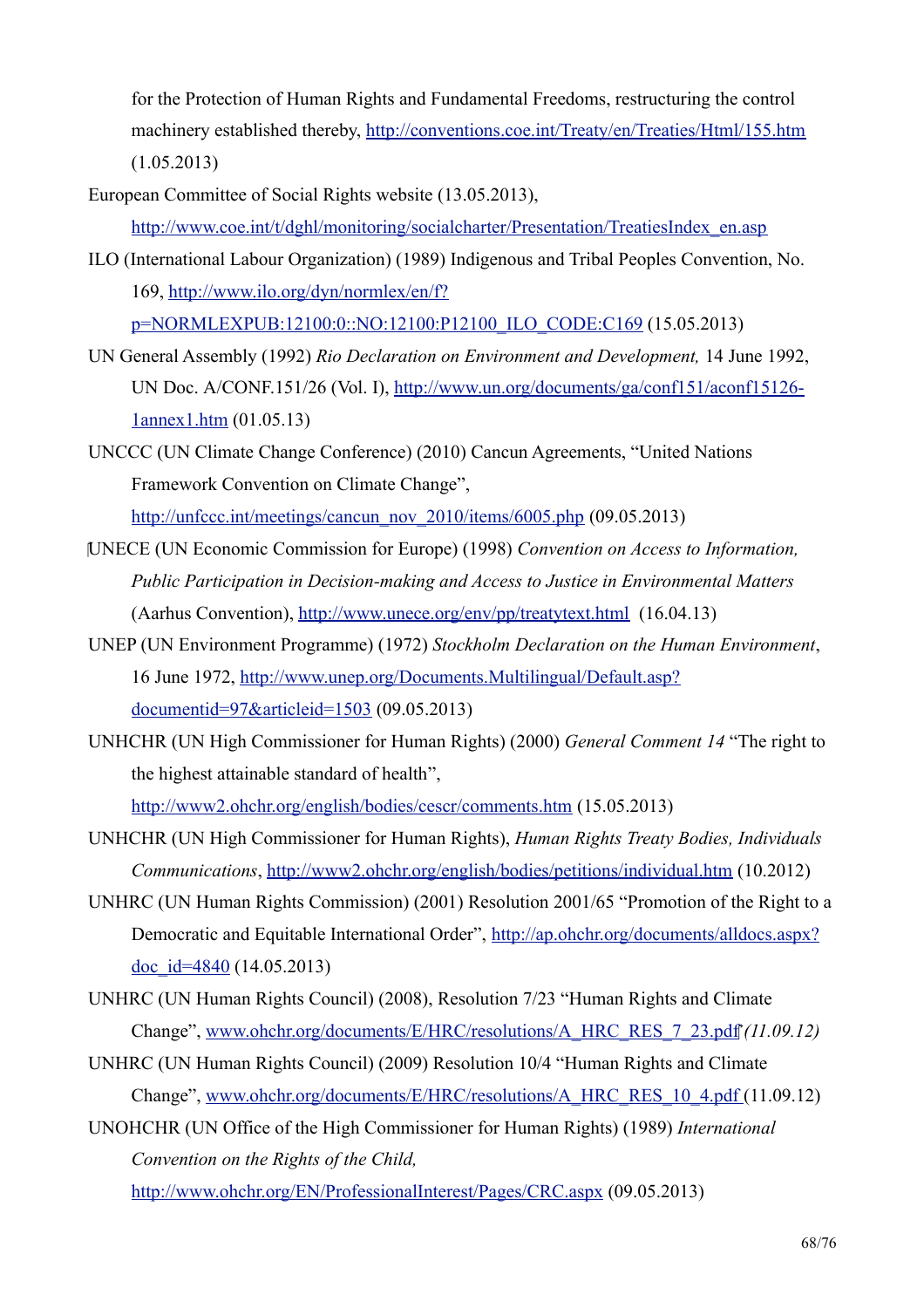for the Protection of Human Rights and Fundamental Freedoms, restructuring the control machinery established thereby, http://conventions.coe.int/Treaty/en/Treaties/Html/155.htm  $(1.05.2013)$ 

European Committee of Social Rights website (13.05.2013),

http://www.coe.int/t/dghl/monitoring/socialcharter/Presentation/TreatiesIndex en.asp

- ILO (International Labour Organization) (1989) Indigenous and Tribal Peoples Convention, No. 169, http://www.ilo.org/dyn/normlex/en/f? p=NORMLEXPUB:12100:0::NO:12100:P12100 ILO CODE:C169 (15.05.2013)
- UN General Assembly (1992) Rio Declaration on Environment and Development, 14 June 1992, UN Doc. A/CONF.151/26 (Vol. I), http://www.un.org/documents/ga/conf151/aconf15126 $lannex1.htm (01.05.13)$
- UNCCC (UN Climate Change Conference) (2010) Cancun Agreements, "United Nations Framework Convention on Climate Change".

http://unfccc.int/meetings/cancun\_nov\_2010/items/6005.php  $(09.05.2013)$ 

- [UNECE (UN Economic Commission for Europe) (1998) Convention on Access to Information, Public Participation in Decision-making and Access to Justice in Environmental Matters (Aarhus Convention), http://www.unece.org/env/pp/treatytext.html (16.04.13)
- UNEP (UN Environment Programme) (1972) Stockholm Declaration on the Human Environment, 16 June 1972, http://www.unep.org/Documents.Multilingual/Default.asp? documentid= $97&$ articleid= $1503(09.05.2013)$
- UNHCHR (UN High Commissioner for Human Rights) (2000) General Comment 14 "The right to the highest attainable standard of health", http://www2.ohchr.org/english/bodies/cescr/comments.htm (15.05.2013)
- UNHCHR (UN High Commissioner for Human Rights), Human Rights Treaty Bodies, Individuals *Communications*, http://www2.ohchr.org/english/bodies/petitions/individual.htm (10.2012)
- UNHRC (UN Human Rights Commission) (2001) Resolution 2001/65 "Promotion of the Right to a Democratic and Equitable International Order", http://ap.ohchr.org/documents/alldocs.aspx? doc id= $4840(14.05.2013)$
- UNHRC (UN Human Rights Council) (2008), Resolution 7/23 "Human Rights and Climate Change", www.ohchr.org/documents/E/HRC/resolutions/A HRC RES 7 23.pdf (11.09.12)
- UNHRC (UN Human Rights Council) (2009) Resolution 10/4 "Human Rights and Climate Change", www.ohchr.org/documents/E/HRC/resolutions/A HRC RES 10 4.pdf (11.09.12)

UNOHCHR (UN Office of the High Commissioner for Human Rights) (1989) International Convention on the Rights of the Child,

http://www.ohchr.org/EN/ProfessionalInterest/Pages/CRC.aspx (09.05.2013)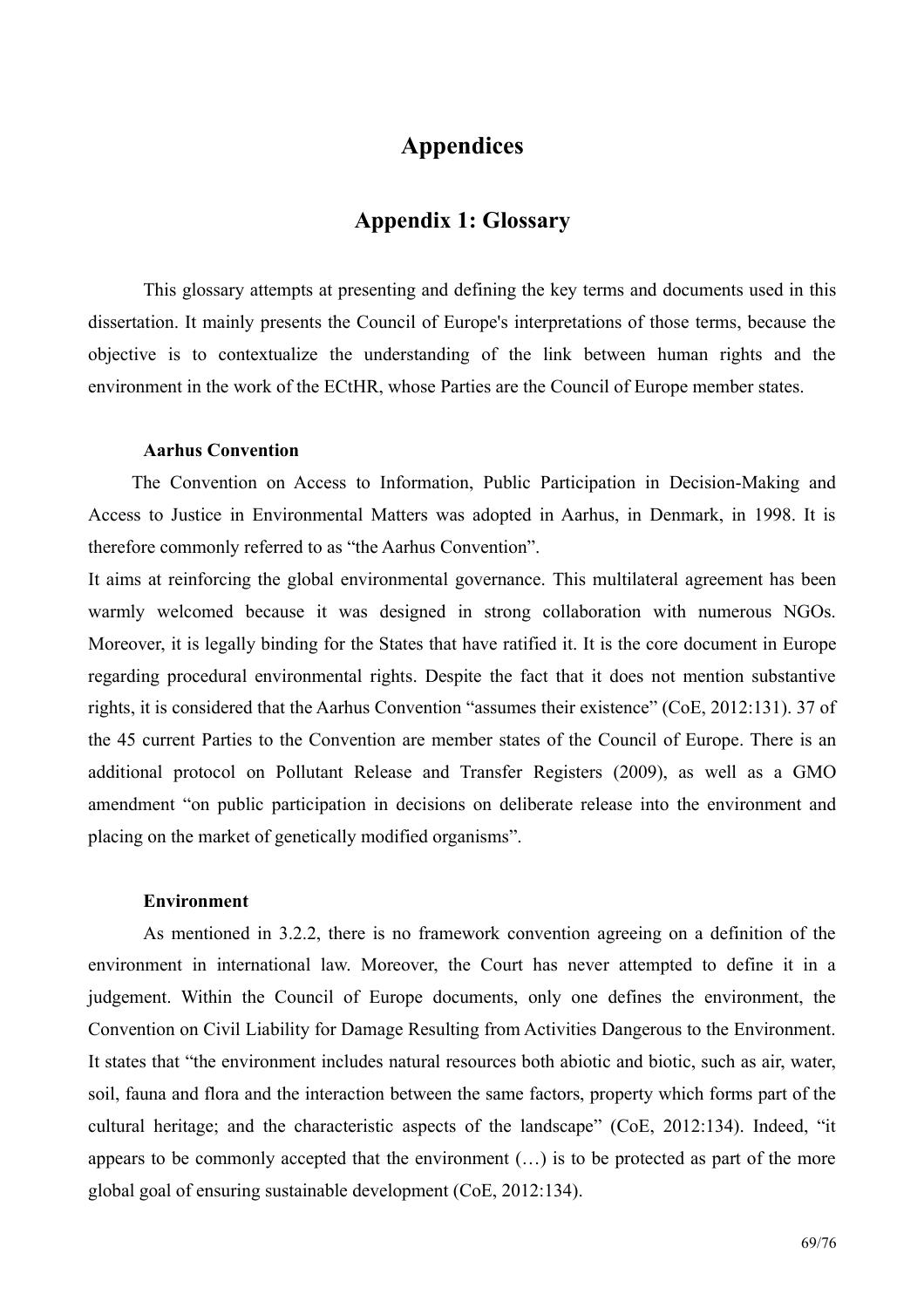## **Appendices**

## **Appendix 1: Glossary**

This glossary attempts at presenting and defining the key terms and documents used in this dissertation. It mainly presents the Council of Europe's interpretations of those terms, because the objective is to contextualize the understanding of the link between human rights and the environment in the work of the ECtHR, whose Parties are the Council of Europe member states.

#### **Aarhus Convention**

The Convention on Access to Information, Public Participation in Decision-Making and Access to Justice in Environmental Matters was adopted in Aarhus, in Denmark, in 1998. It is therefore commonly referred to as "the Aarhus Convention".

It aims at reinforcing the global environmental governance. This multilateral agreement has been warmly welcomed because it was designed in strong collaboration with numerous NGOs. Moreover, it is legally binding for the States that have ratified it. It is the core document in Europe regarding procedural environmental rights. Despite the fact that it does not mention substantive rights, it is considered that the Aarhus Convention "assumes their existence" (CoE, 2012:131). 37 of the 45 current Parties to the Convention are member states of the Council of Europe. There is an additional protocol on Pollutant Release and Transfer Registers (2009), as well as a GMO amendment "on public participation in decisions on deliberate release into the environment and placing on the market of genetically modified organisms".

#### **Environment**

As mentioned in 3.2.2, there is no framework convention agreeing on a definition of the environment in international law. Moreover, the Court has never attempted to define it in a judgement. Within the Council of Europe documents, only one defines the environment, the Convention on Civil Liability for Damage Resulting from Activities Dangerous to the Environment. It states that "the environment includes natural resources both abiotic and biotic, such as air, water, soil, fauna and flora and the interaction between the same factors, property which forms part of the cultural heritage; and the characteristic aspects of the landscape" (CoE, 2012:134). Indeed, "it appears to be commonly accepted that the environment  $(\ldots)$  is to be protected as part of the more global goal of ensuring sustainable development (CoE, 2012:134).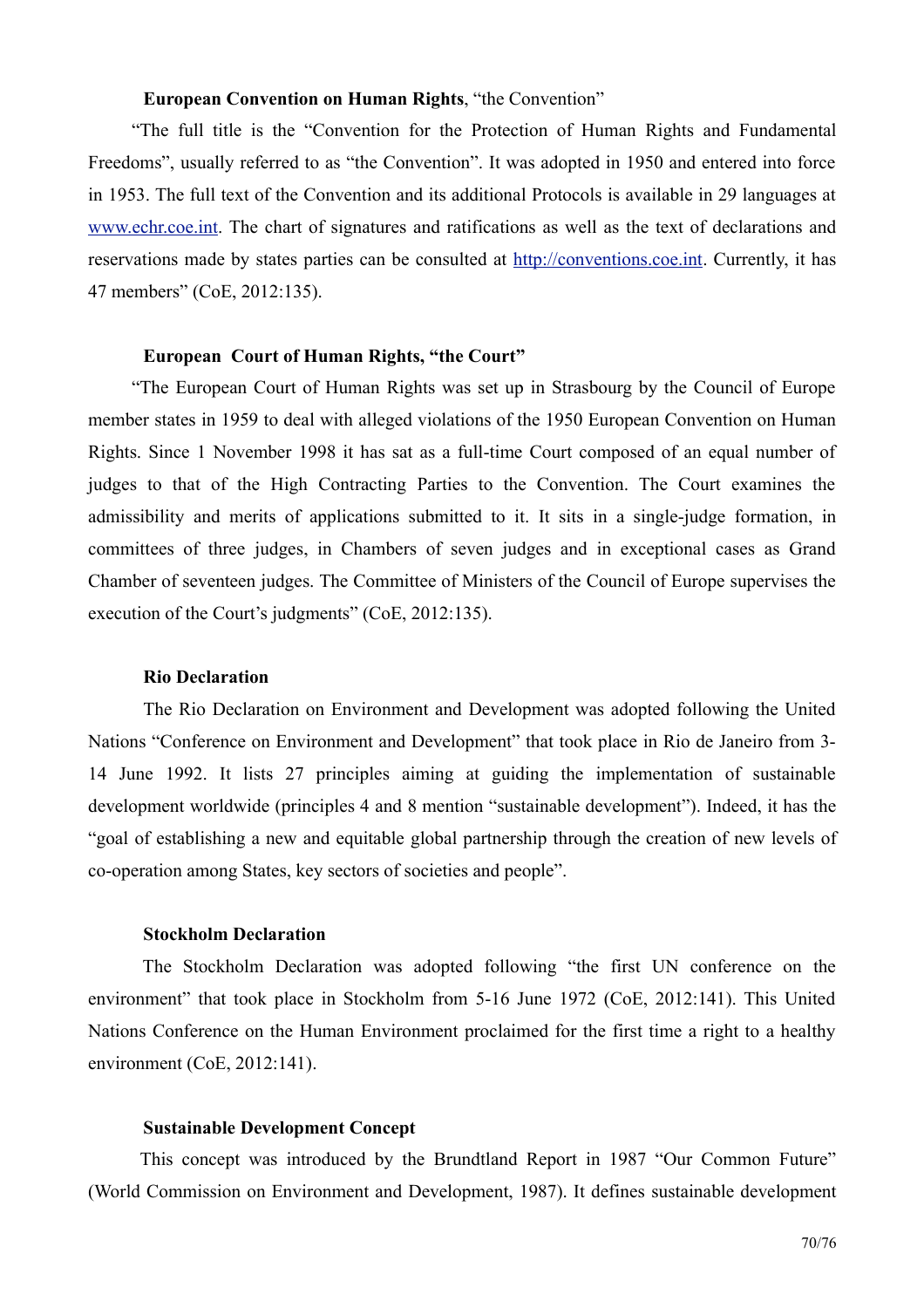## **European Convention on Human Rights. "the Convention"**

"The full title is the "Convention for the Protection of Human Rights and Fundamental Freedoms", usually referred to as "the Convention". It was adopted in 1950 and entered into force in 1953. The full text of the Convention and its additional Protocols is available in 29 languages at www.echr.coe.int. The chart of signatures and ratifications as well as the text of declarations and reservations made by states parties can be consulted at http://conventions.coe.int. Currently, it has 47 members" (CoE, 2012:135).

#### **European Court of Human Rights, "the Court"**

"The European Court of Human Rights was set up in Strasbourg by the Council of Europe member states in 1959 to deal with alleged violations of the 1950 European Convention on Human Rights. Since 1 November 1998 it has sat as a full-time Court composed of an equal number of judges to that of the High Contracting Parties to the Convention. The Court examines the admissibility and merits of applications submitted to it. It sits in a single-judge formation, in committees of three judges, in Chambers of seven judges and in exceptional cases as Grand Chamber of seventeen judges. The Committee of Ministers of the Council of Europe supervises the execution of the Court's judgments" (CoE, 2012:135).

## **Rio Declaration**

The Rio Declaration on Environment and Development was adopted following the United Nations "Conference on Environment and Development" that took place in Rio de Janeiro from 3-14 June 1992. It lists 27 principles aiming at guiding the implementation of sustainable development worldwide (principles 4 and 8 mention "sustainable development"). Indeed, it has the "goal of establishing a new and equitable global partnership through the creation of new levels of co-operation among States, key sectors of societies and people".

## **Stockholm Declaration**

The Stockholm Declaration was adopted following "the first UN conference on the environment" that took place in Stockholm from 5-16 June 1972 (CoE, 2012:141). This United Nations Conference on the Human Environment proclaimed for the first time a right to a healthy environment (CoE,  $2012:141$ ).

#### **Sustainable Development Concept**

This concept was introduced by the Brundtland Report in 1987 "Our Common Future" (World Commission on Environment and Development, 1987). It defines sustainable development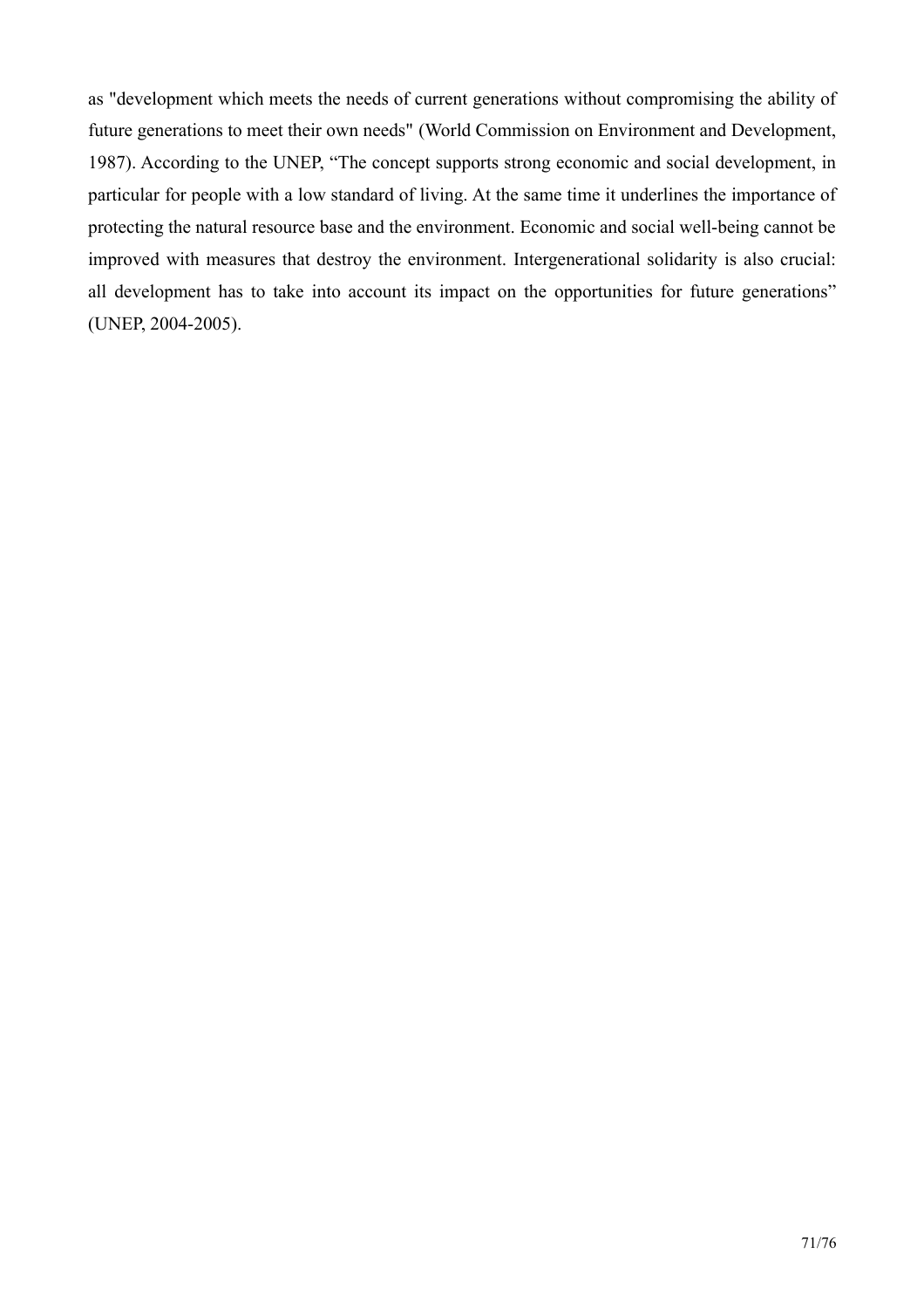as "development which meets the needs of current generations without compromising the ability of future generations to meet their own needs" (World Commission on Environment and Development, 1987). According to the UNEP, "The concept supports strong economic and social development, in particular for people with a low standard of living. At the same time it underlines the importance of protecting the natural resource base and the environment. Economic and social well-being cannot be improved with measures that destroy the environment. Intergenerational solidarity is also crucial: all development has to take into account its impact on the opportunities for future generations" (UNEP, 2004-2005).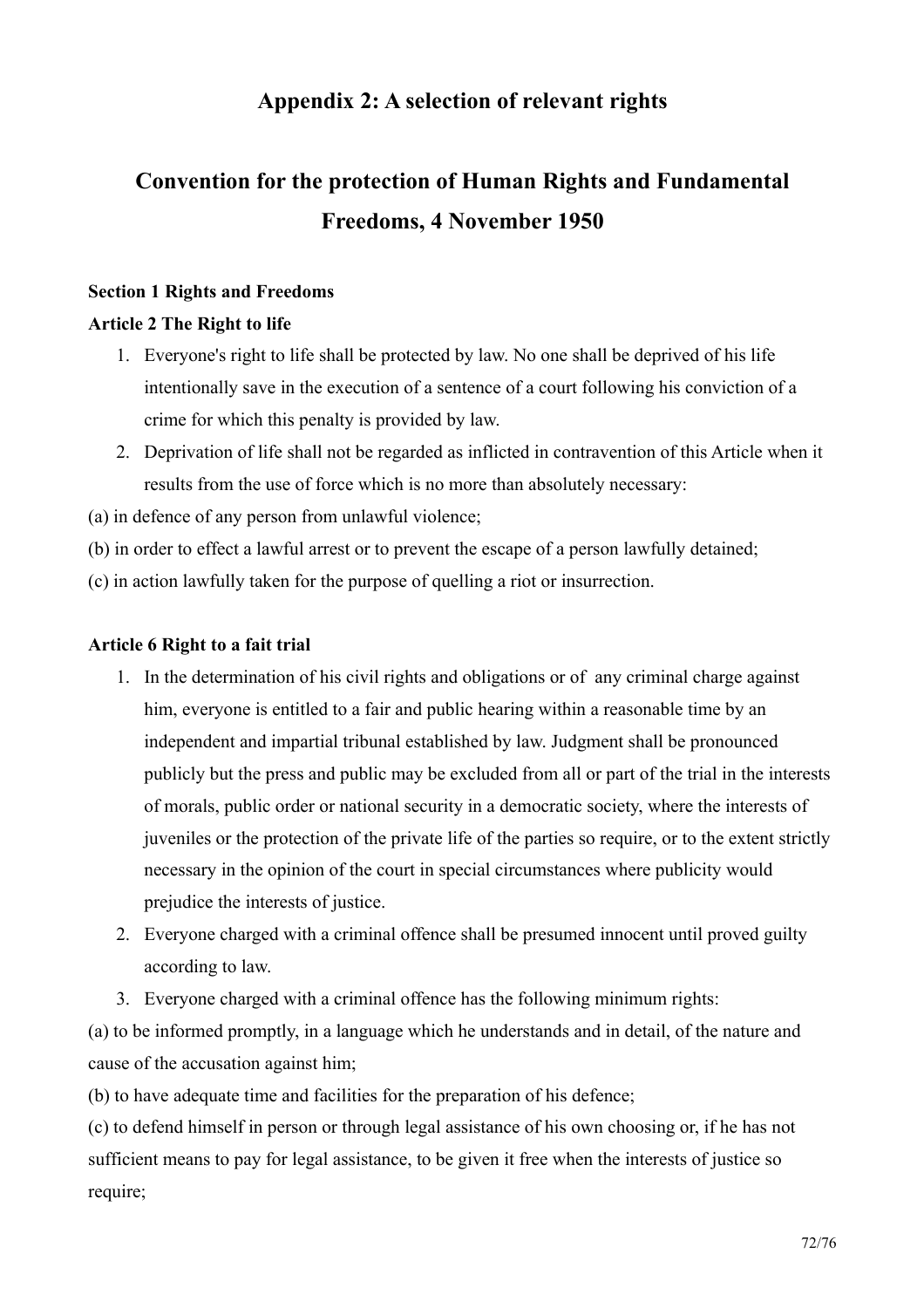## Appendix 2: A selection of relevant rights

# **Convention for the protection of Human Rights and Fundamental** Freedoms, 4 November 1950

## **Section 1 Rights and Freedoms**

## **Article 2 The Right to life**

- 1. Everyone's right to life shall be protected by law. No one shall be deprived of his life intentionally save in the execution of a sentence of a court following his conviction of a crime for which this penalty is provided by law.
- 2. Deprivation of life shall not be regarded as inflicted in contravention of this Article when it results from the use of force which is no more than absolutely necessary:
- (a) in defence of any person from unlawful violence;

(b) in order to effect a lawful arrest or to prevent the escape of a person lawfully detained;

(c) in action lawfully taken for the purpose of quelling a riot or insurrection.

## Article 6 Right to a fait trial

- 1. In the determination of his civil rights and obligations or of any criminal charge against him, everyone is entitled to a fair and public hearing within a reasonable time by an independent and impartial tribunal established by law. Judgment shall be pronounced publicly but the press and public may be excluded from all or part of the trial in the interests of morals, public order or national security in a democratic society, where the interests of juveniles or the protection of the private life of the parties so require, or to the extent strictly necessary in the opinion of the court in special circumstances where publicity would prejudice the interests of justice.
- 2. Everyone charged with a criminal offence shall be presumed innocent until proved guilty according to law.
- 3. Everyone charged with a criminal offence has the following minimum rights:

(a) to be informed promptly, in a language which he understands and in detail, of the nature and cause of the accusation against him.

(b) to have adequate time and facilities for the preparation of his defence;

(c) to defend himself in person or through legal assistance of his own choosing or, if he has not sufficient means to pay for legal assistance, to be given it free when the interests of justice so require;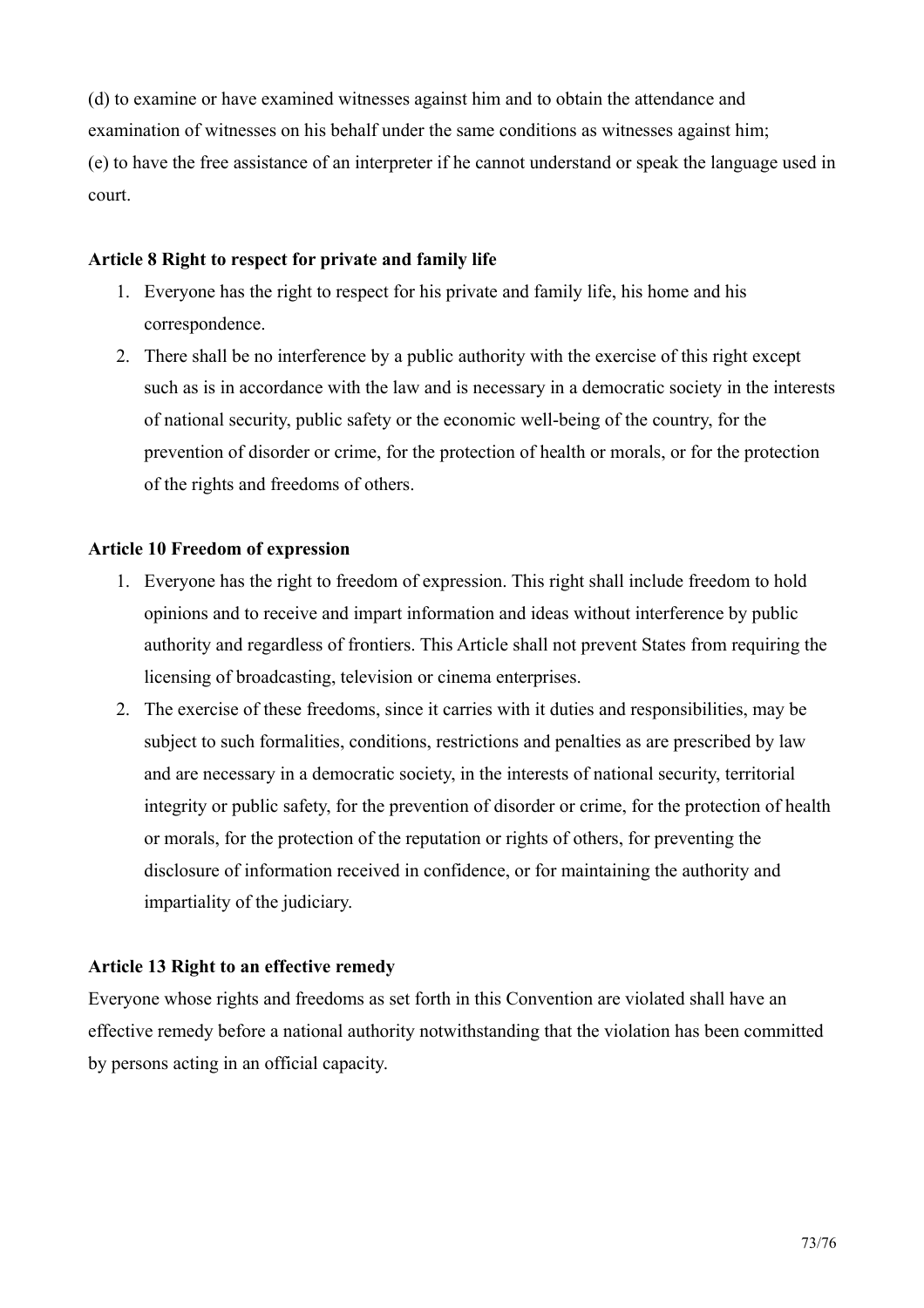(d) to examine or have examined witnesses against him and to obtain the attendance and examination of witnesses on his behalf under the same conditions as witnesses against him: (e) to have the free assistance of an interpreter if he cannot understand or speak the language used in court.

#### Article 8 Right to respect for private and family life

- 1. Everyone has the right to respect for his private and family life, his home and his correspondence.
- 2. There shall be no interference by a public authority with the exercise of this right except such as is in accordance with the law and is necessary in a democratic society in the interests of national security, public safety or the economic well-being of the country, for the prevention of disorder or crime, for the protection of health or morals, or for the protection of the rights and freedoms of others.

### **Article 10 Freedom of expression**

- 1. Everyone has the right to freedom of expression. This right shall include freedom to hold opinions and to receive and impart information and ideas without interference by public authority and regardless of frontiers. This Article shall not prevent States from requiring the licensing of broadcasting, television or cinema enterprises.
- 2. The exercise of these freedoms, since it carries with it duties and responsibilities, may be subject to such formalities, conditions, restrictions and penalties as are prescribed by law and are necessary in a democratic society, in the interests of national security, territorial integrity or public safety, for the prevention of disorder or crime, for the protection of health or morals, for the protection of the reputation or rights of others, for preventing the disclosure of information received in confidence, or for maintaining the authority and impartiality of the judiciary.

### Article 13 Right to an effective remedy

Everyone whose rights and freedoms as set forth in this Convention are violated shall have an effective remedy before a national authority notwithstanding that the violation has been committed by persons acting in an official capacity.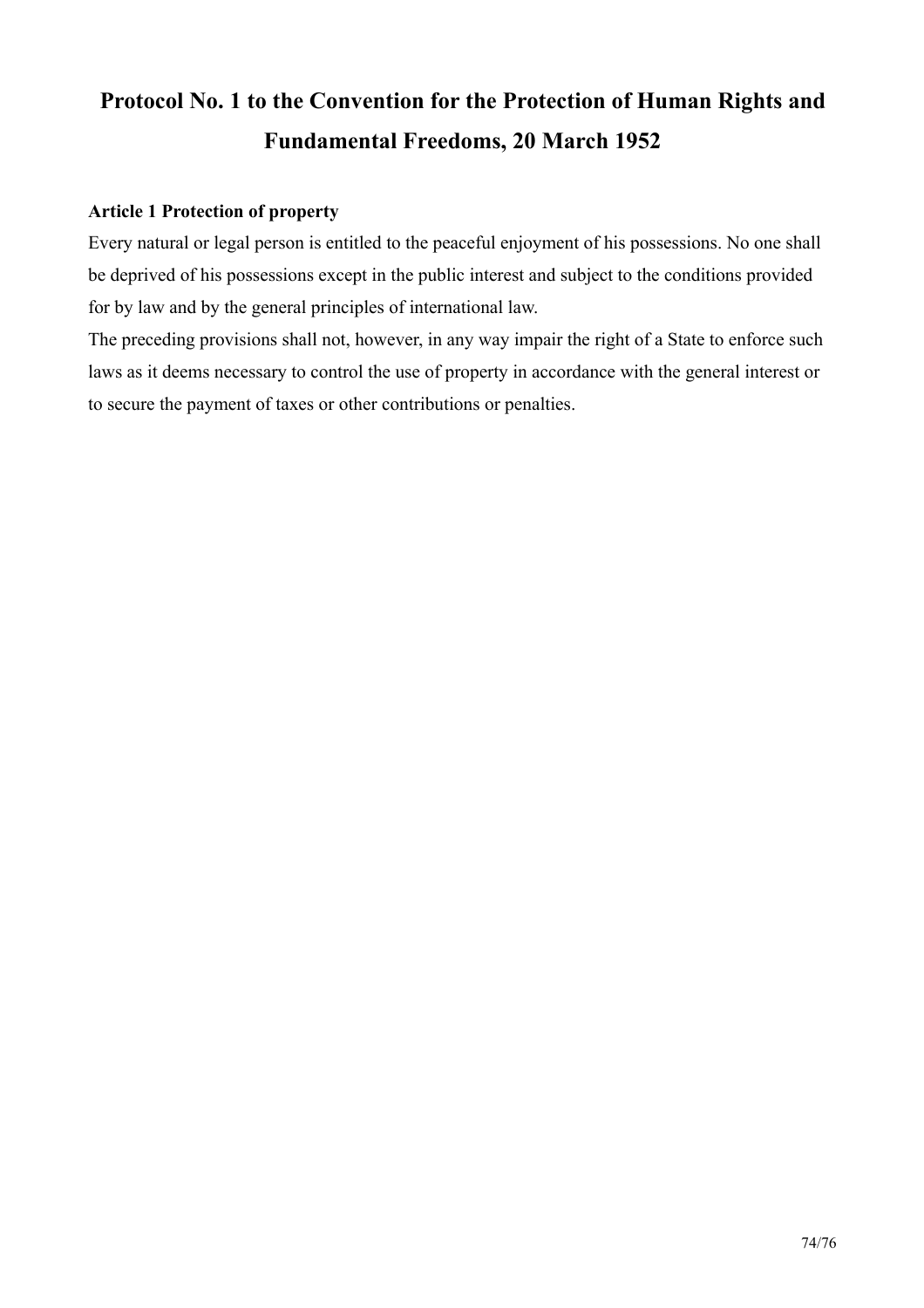# Protocol No. 1 to the Convention for the Protection of Human Rights and **Fundamental Freedoms, 20 March 1952**

### **Article 1 Protection of property**

Every natural or legal person is entitled to the peaceful enjoyment of his possessions. No one shall be deprived of his possessions except in the public interest and subject to the conditions provided for by law and by the general principles of international law.

The preceding provisions shall not, however, in any way impair the right of a State to enforce such laws as it deems necessary to control the use of property in accordance with the general interest or to secure the payment of taxes or other contributions or penalties.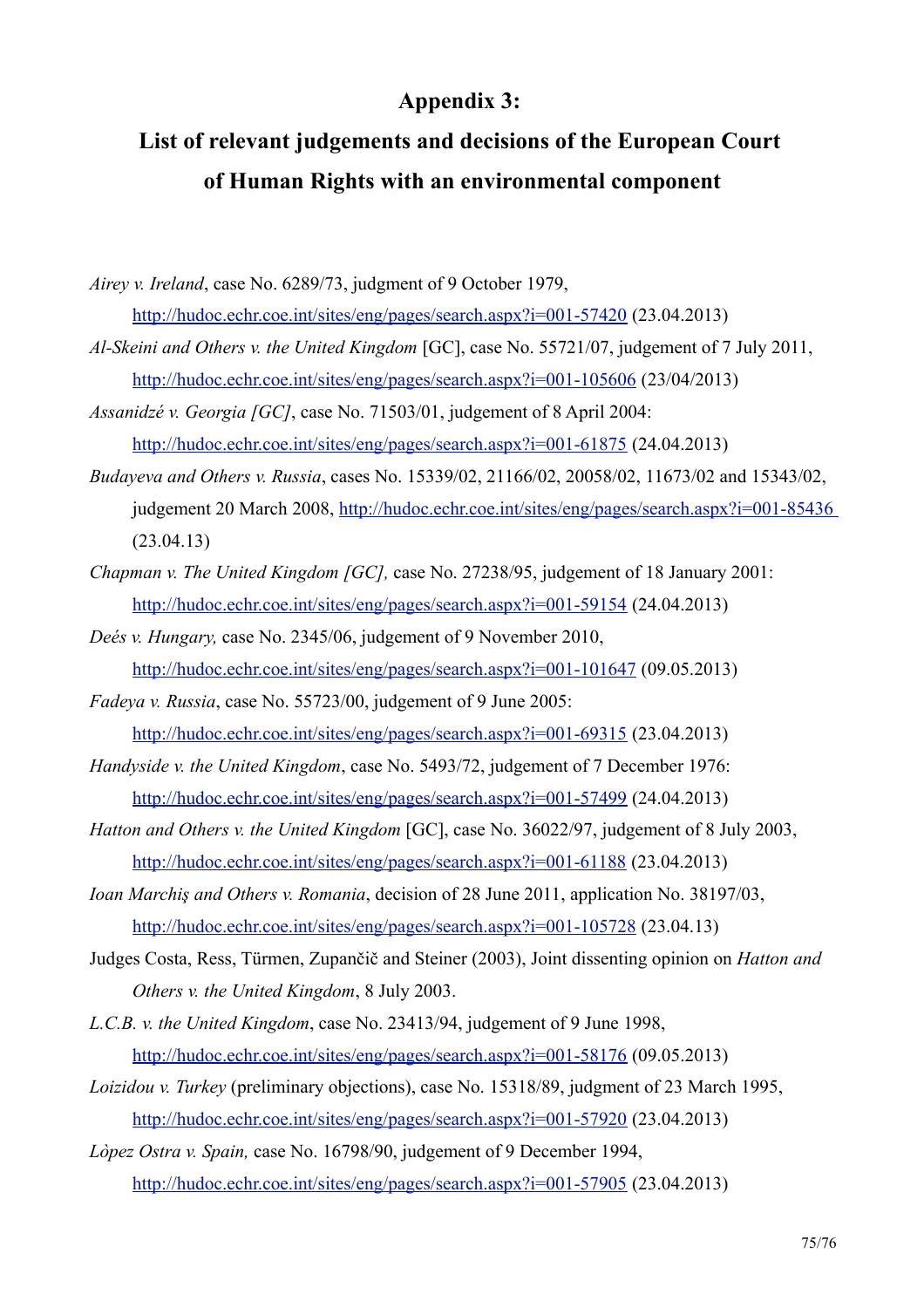### **Appendix 3:**

## List of relevant judgements and decisions of the European Court of Human Rights with an environmental component

Airey v. Ireland, case No. 6289/73, judgment of 9 October 1979, http://hudoc.echr.coe.int/sites/eng/pages/search.aspx?i=001-57420 (23.04.2013)

- Al-Skeini and Others v. the United Kingdom [GC], case No. 55721/07, judgement of 7 July 2011, http://hudoc.echr.coe.int/sites/eng/pages/search.aspx?i=001-105606 (23/04/2013)
- Assanidzé v. Georgia [GC], case No. 71503/01, judgement of 8 April 2004: http://hudoc.echr.coe.int/sites/eng/pages/search.aspx?i=001-61875 (24.04.2013)
- Budaveva and Others v. Russia, cases No. 15339/02, 21166/02, 20058/02, 11673/02 and 15343/02, judgement 20 March 2008, http://hudoc.echr.coe.int/sites/eng/pages/search.aspx?i=001-85436  $(23.04.13)$
- Chapman v. The United Kingdom [GC], case No. 27238/95, judgement of 18 January 2001; http://hudoc.echr.coe.int/sites/eng/pages/search.aspx?i=001-59154 (24.04.2013)
- Deés v. Hungary, case No. 2345/06, judgement of 9 November 2010, http://hudoc.echr.coe.int/sites/eng/pages/search.aspx?i=001-101647 (09.05.2013)
- *Fadeva v. Russia, case No. 55723/00, judgement of 9 June 2005:* http://hudoc.echr.coe.int/sites/eng/pages/search.aspx?i=001-69315 (23.04.2013)
- Handyside v. the United Kingdom, case No. 5493/72, judgement of 7 December 1976: http://hudoc.echr.coe.int/sites/eng/pages/search.aspx?i=001-57499 (24.04.2013)
- *Hatton and Others v. the United Kingdom* [GC], case No. 36022/97, judgement of 8 July 2003, http://hudoc.echr.coe.int/sites/eng/pages/search.aspx?i=001-61188 (23.04.2013)
- *Ioan Marchis and Others v. Romania, decision of 28 June 2011, application No. 38197/03,* http://hudoc.echr.coe.int/sites/eng/pages/search.aspx?i=001-105728 (23.04.13)
- Judges Costa, Ress, Türmen, Zupančič and Steiner (2003), Joint dissenting opinion on *Hatton and* Others v. the United Kingdom, 8 July 2003.
- L.C.B. v. the United Kingdom, case No. 23413/94, judgement of 9 June 1998, http://hudoc.echr.coe.int/sites/eng/pages/search.aspx?i=001-58176 (09.05.2013)
- *Loizidou v. Turkey* (preliminary objections), case No. 15318/89, judgment of 23 March 1995, http://hudoc.echr.coe.int/sites/eng/pages/search.aspx?i=001-57920 (23.04.2013)
- Lòpez Ostra v. Spain, case No. 16798/90, judgement of 9 December 1994, http://hudoc.echr.coe.int/sites/eng/pages/search.aspx?i=001-57905 (23.04.2013)